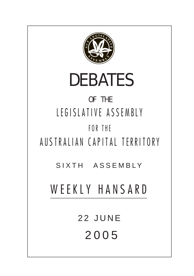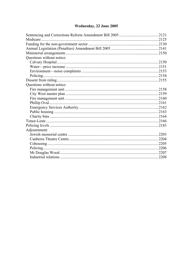# Wednesday, 22 June 2005

| Questions without notice: |  |
|---------------------------|--|
|                           |  |
|                           |  |
|                           |  |
|                           |  |
|                           |  |
| Questions without notice: |  |
|                           |  |
|                           |  |
|                           |  |
|                           |  |
|                           |  |
|                           |  |
|                           |  |
|                           |  |
|                           |  |
| Adjournment:              |  |
|                           |  |
|                           |  |
|                           |  |
|                           |  |
|                           |  |
|                           |  |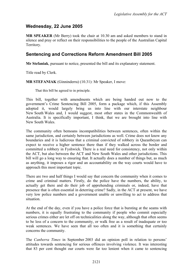# **Wednesday, 22 June 2005**

**MR SPEAKER** (Mr Berry) took the chair at 10.30 am and asked members to stand in silence and pray or reflect on their responsibilities to the people of the Australian Capital Territory.

## <span id="page-2-0"></span>**Sentencing and Corrections Reform Amendment Bill 2005**

**Mr Stefaniak**, pursuant to notice, presented the bill and its explanatory statement.

Title read by Clerk.

**MR STEFANIAK** (Ginninderra) (10.31): Mr Speaker, I move:

That this bill be agreed to in principle.

This bill, together with amendments which are being handed out now to the government's Crime Sentencing Bill 2005, form a package which, if this Assembly adopted it, would largely bring us into line with our interstate neighbour New South Wales and, I would suggest, most other states in the Commonwealth of Australia. It is specifically important, I think, that we are brought into line with New South Wales.

The community often bemoans incompatibilities between sentences, often within the same jurisdiction, and certainly between jurisdictions as well. Crime does not know any boundaries and it is ludicrous that a criminal convicted of robbery in Queanbeyan can expect to receive a higher sentence there than if they walked across the border and committed a robbery in Fyshwick. There is a real need for consistency, not only within the ACT, but also between the ACT and New South Wales and other jurisdictions. This bill will go a long way to ensuring that. It actually does a number of things but, as much as anything, it imposes a rigor and an accountability on the way courts would have to approach this most important topic.

There are two and half things I would say that concern the community when it comes to crime and criminal matters. Firstly, do the police have the numbers, the ability, to actually get there and do their job of apprehending criminals or, indeed, have that presence that is often essential in deterring crime? Sadly, in the ACT at present, we have very low police numbers and a government unable or unwilling to act to address that situation.

At the end of the day, even if you have a police force that is bursting at the seams with numbers, it is equally frustrating to the community if people who commit especially serious crimes either are let off on technicalities along the way, although that often seems to be less of a concern to the community, or walk free as a result of inadequate or too weak sentences. We have seen that all too often and it is something that certainly concerns the community.

The *Canberra Times* in September 2003 did an opinion poll in relation to persons' attitudes towards sentencing for serious offences involving violence. It was interesting that 83 per cent thought our courts were far too lenient when it came to sentencing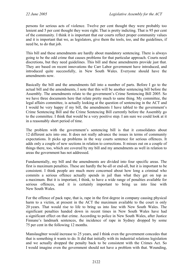persons for serious acts of violence. Twelve per cent thought they were probably too lenient and 5 per cent thought they were right. That is pretty indicting. That is 95 per cent of the community. I think it is important that our courts reflect proper community values and it is important that we, as legislators, give them the tools, too, and the guidelines, if need be, to do that job.

This bill and these amendments are hardly about mandatory sentencing. There is always going to be the odd crime that causes problems for that particular approach. Courts need discretions, but they need guidelines. This bill and these amendments provide just that. They are based on recent innovations the Carr Labor government have introduced, and introduced quite successfully, in New South Wales. Everyone should have the amendments now.

Basically the bill and the amendments fall into a number of parts. Before I go to the actual bill and the amendments, I note that this will be another sentencing bill before the Assembly. The amendments relate to the government's Crime Sentencing Bill 2005. So we have three documents here that relate pretty much to same thing. My committee, the legal affairs committee, is actually looking at the question of sentencing in the ACT and I would be very happy if my bill, the amendments I have tabled to the government's Crime Sentencing Bill and the Crime Sentencing Bill currently before the Assembly go to the committee. I think that would be a very positive step. I am sure we could look at it in a reasonably short period of time.

The problem with the government's sentencing bill is that it consolidates about 12 different acts into one. It does not really advance the issues in terms of community expectations. It picks up problems in the way courts sentence for serious offences. It adds only a couple of new sections in relation to corrections. It misses out on a couple of things there, too, which are covered by my bill and my amendments as well in relation to areas the government has not addressed.

Fundamentally, my bill and the amendments are divided into four specific areas. The first is maximum penalties. These are hardly the be-all or end-all, but it is important to be consistent. I think people are much more concerned about how long a criminal who commits a serious offence actually spends in jail than what they get on top as a maximum. But it is important, I think, to have a wide range of penalties available for serious offences, and it is certainly important to bring us into line with New South Wales.

For the offence of pack rape, that is, rape in the first degree in company causing physical harm to a victim, at present in the ACT the maximum available to the court is only 20 years. That would rise to life to bring us into line with New South Wales. The significant penalties handed down in recent times in New South Wales have had a significant effect on that crime. According to police in New South Wales, after Justice Finnane's landmark sentences, the incidence of rape in Sydney dropped by some 75 per cent in the following 12 months.

Manslaughter would increase to 25 years, and I think even the government concedes that that is something it wants to do. It did that initially with its industrial relations legislation and we actually dropped the penalty back to be consistent with the Crimes Act. So I would imagine even the government should not have a problem with that. Wounding,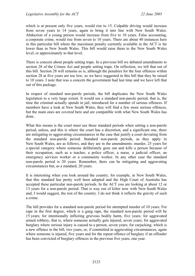which is at present only five years, would rise to 15. Culpable driving would increase from seven years to 14 years, again to bring it into line with New South Wales. Abduction of a young person would increase from five to 10 years. False accounting, a corporate crime, would rise from seven to 10 years. There are about 40 instances here in this particular bill where the maximum penalty currently available in the ACT is far lower than in New South Wales. This bill would raise them to the New South Wales level, or approximately to that level.

There is concern about people setting traps. In a previous bill we debated amendments to section 28 of the Crimes Act and people setting traps. On reflection, we left that out of this bill. Section 28 will remains as is, although the penalties for the four offences within section 28 at five years are too low, so we have suggested in this bill that they be raised to 10 years. I note that was a concern the government had last time and we have left that out of this package.

In respect of standard non-parole periods, the bill duplicates the New South Wales legislation to a very large extent. It would see a standard non-parole period, that is, the time the criminal actually spends in jail, introduced for a number of serious offences. If members have a look at New South Wales, they will find a few more serious offences, but the main ones are covered here and are compatible with what New South Wales has done.

What this means is the court must use these standard periods when setting a non-parole period, unless, and this is where the court has a discretion, and a significant one, there are mitigating or aggravating circumstances in the case that justify a court deviating from the standard non-parole period. Standard non-parole periods, as they apply in New South Wales, are as follows, and they are in the amendments: murder, 25 years for a special category where someone deliberately goes out and kills a person because of their occupation, such as a teacher, a police officer, a nurse, a judicial officer, an emergency services worker or a community worker. In any other case the standard non-parole period is 20 years. Remember, there can be mitigating and aggravating circumstances but, as a standard, 20 years.

It is interesting when you look around the country, for example, in New South Wales, that this standard has pretty well been adopted and the High Court of Australia has accepted these particular non-parole periods. In the ACT you are looking at about 12 or 13 years for a non-parole period. That is way out of kilter now with New South Wales and, I would suggest, the rest of the country. I do not think it reflects the gravity of such a crime.

The bill provides for a standard non-parole period for attempted murder of 10 years. For rape in the first degree, which is a gang rape, the standard non-parole period will be 15 years; for intentionally inflicting grievous bodily harm, five years; for aggravated armed robbery, that is, where someone actually gets injured, seven years; for aggravated burglary where serious injury is caused to a person, seven years; for carjacking, which is a new offence in the bill, two years, or, if committed in aggravating circumstances, again where someone is injured, five years and for the repeat offence of burglary if an offender has been convicted of burglary offences in the previous five years, one year.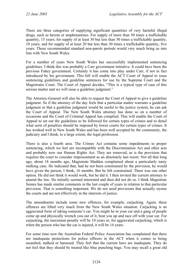There are three categories of supplying significant quantities of very harmful illegal drugs, such as heroin or amphetamines. For supply of more than 50 times a traffickable quantity, 15 years; for supply of at least 30 but less than 50 times a traffickable quantity, 10 years; and for supply of at least 20 but less than 30 times a traffickable quantity, five years. Those recommended standard non-parole periods would very much bring us into line with New South Wales.

For a number of years New South Wales has successfully implemented sentencing guidelines. I think this was probably a Carr government initiative. It could have been the previous Fahey government. Certainly it has come into play under Carr, if not in fact introduced by his government. This bill will enable the ACT Court of Appeal to issue sentencing guidelines and guideline sentences for use by the Supreme Court and the Magistrates Court. The Court of Appeal decides, "This is a typical type of case of this serious matter and we will issue a guideline judgment."

The Attorney-General will also be able to request the Court of Appeal to give a guideline judgment. So if the attorney of the day feels that a particular matter warrants a guideline judgment or that a guideline judgment would be useful to the justice system, he can ask the Court of Appeal. The New South Wales attorney has done so on a number of occasions and the Court of Criminal Appeal has complied. This will enable the Court of Appeal to set out the guidelines to be followed for certain types of crimes and to detail what sorts of penalties should be imposed by lower courts for certain types of crimes. It has worked well in New South Wales and has been well accepted by the community, the judiciary and I think, to a large extent, the legal profession.

There is also a fourth area. The Crimes Act contains some impediments to proper sentencing, which we feel are incompatible with the Discrimination Act and other acts and probably now our Human Rights Act. They are removed, as is the provision that requires the court to consider imprisonment as an absolutely last resort. Not all that long ago, about 18 months ago, Magistrate Madden complained about a particularly nasty stalking case. He indicated that, had he not been constrained by the provision, he would have given the person, I think, 16 months. But he felt constrained. There was one other option. He did not think it would work, but he did it. I then invited the current attorney to amend the law. He initially seemed interested and then did not do so. I think Magistrate Somes has made similar comments in the last couple of years in relation to that particular provision. That is something important. We do not need provisions that actually stymie the courts and are not effectively in the interests of justice.

The amendments include some new offences, for example, carjacking. Again, these offences are lifted very much from the New South Wales situation. Carjacking is an aggravated form of taking someone's car. You might be in your car and a gang of people come up and physically wrench you out of it, beat you up and race off with your car. For carjacking, the maximum penalty will be 10 years or, for aggravated carjacking, which is when the person who has the car is injured, it will be 14 years.

For some time now the Australian Federal Police Association has complained that there are inadequate protections for police officers in the ACT when it comes to being assaulted, stalked or harassed. They feel that the current laws are inadequate. They do not feel that they should be treated like blue punching bags. You may recall a great old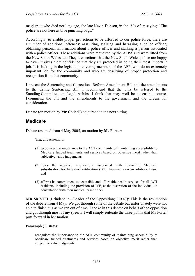magistrate who died not long ago, the late Kevin Dobson, in the '80s often saying; "The police are not here as blue punching bags."

Accordingly, to enable proper protections to be afforded to our police force, there are a number of additional offences: assaulting, stalking and harassing a police officer; obtaining personal information about a police officer and stalking a person associated with a police officer. These additions were requested by the AFPA and were lifted from the New South Wales act. They are sections that the New South Wales police are happy to have. It gives them confidence that they are protected in doing their most important job. It is lacking in the legislation covering members of the AFP, who do an extremely important job for the community and who are deserving of proper protection and recognition from that community.

I present the Sentencing and Corrections Reform Amendment Bill and the amendments to the Crime Sentencing Bill. I recommend that the bills be referred to the Standing Committee on Legal Affairs. I think that may well be a sensible course. I commend the bill and the amendments to the government and the Greens for consideration.

Debate (on motion by **Mr Corbell**) adjourned to the next sitting.

## <span id="page-6-0"></span>**Medicare**

Debate resumed from 4 May 2005, on motion by **Ms Porter**:

That this Assembly:

- (1) recognises the importance to the ACT community of maintaining accessibility to Medicare funded treatments and services based on objective merit rather than subjective value judgements;
- (2) notes the negative implications associated with restricting Medicare subsidisation for In Vitro Fertilisation (IVF) treatments on an arbitrary basis; and
- (3) affirms its commitment to accessible and affordable health services for all ACT residents, including the provision of IVF, at the discretion of the individual, in consultation with their medical practitioner.

**MR SMYTH** (Brindabella—Leader of the Opposition) (10.47): This is the resumption of the debate from 4 May. We got through some of the debate but unfortunately were not able to finish this as we ran out of time. I spoke in this debate on behalf of the opposition and got through most of my speech. I will simply reiterate the three points that Ms Porter puts forward in her motion.

Paragraph (1) states:

recognises the importance to the ACT community of maintaining accessibility to Medicare funded treatments and services based on objective merit rather than subjective value judgments.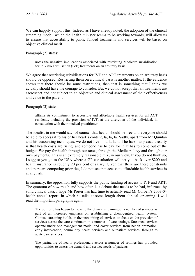We can happily support this. Indeed, as I have already noted, the adoption of the clinical streaming model, which the health minister seems to be working towards, will allow us to ensure that accessibility to public funded treatments and services will be based on objective clinical merit.

Paragraph (2) states:

notes the negative implications associated with restricting Medicare subsidisation for In Vitro Fertilisation (IVF) treatments on an arbitrary basis.

We agree that restricting subsidisations for IVF and ART treatments on an arbitrary basis should be opposed. Restricting them on a clinical basis is another matter. If the evidence shows that there should be some restrictions, then that is something that I think we actually should have the courage to consider. But we do not accept that all treatments are sacrosanct and not subject to an objective and clinical assessment of their effectiveness and value to the patient.

Paragraph (3) states

affirms its commitment to accessible and affordable health services for all ACT residents, including the provision of IVF, at the discretion of the individual, in consultation with their medical practitioner.

The idealist in me would say, of course, that health should be free and everyone should be able to access it to his or her heart's content, la, la, la. Sadly, apart from Mr Quinlan and his accounting techniques, we do not live in la la land. The harsh unpleasant reality is that health costs are rising, and someone has to pay for it. It has to come out of the budget. We pay for health through our taxes, through the Medicare levy and through our own payments. This is an extremely reasonable mix, in our view. If you do not think so, I suggest you go to the USA where a GP consultation will set you back over \$200 and health insurance is roughly 20 per cent of salary. Given that there are these constraints and there are competing priorities, I do not see that access to affordable health services is at any risk.

In summary, the opposition fully supports the public funding of access to IVF and ART. The quantum of how much and how often is a debate that needs to be had, informed by solid clinical data. I hope Ms Porter has had time to actually read Mr Corbell's 2003-04 health annual report, in which he talks at some length about clinical streaming. I will read the important paragraphs again:

The portfolio has begun to move to the clinical streaming of a number of services as part of an increased emphasis on establishing a client-centred health system. Clinical streaming builds on the networking of services, to focus on the provision of services across the care continuum in a number of care settings. Streamed services operate under one management model and cover services from health promotion, early intervention, community health services and outpatient services, through to acute care services.

The partnering of health professionals across a number of settings has provided opportunities to assess the demand and service needs of patients.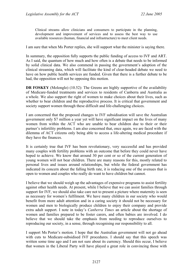Clinical streams allow clinicians and consumers to participate in the planning, development and improvement of services and to assess the best way to use available resources (human, financial and infrastructure) to meet client needs.

I am sure that when Ms Porter replies, she will support what the minister is saying there.

In summary, the opposition fully supports the public funding of access to IVF and ART. As I said, the quantum of how much and how often is a debate that needs to be informed by solid clinical data. We also commend in passing the government's adoption of the clinical streaming data, which will facilitate the kind of clear-headed debate we need to have on how public health services are funded. Given that there is a further debate to be had, the opposition will not be opposing this motion.

**DR FOSKEY** (Molonglo) (10.52): The Greens are highly supportive of the availability of Medicare-funded treatments and services to residents of Canberra and Australia as a whole. We also support the right of women to make choices about their lives, such as whether to bear children and the reproductive process. It is critical that government and society support women through these difficult and life-challenging choices.

I am concerned that the proposed changes to IVF subsidisation will save the Australian government only \$7 million a year yet will have significant impact on the lives of many women from within the ACT who are unable to bear children due to their or their partner's infertility problems. I am also concerned that, once again, we are faced with the dilemma of ACT citizens only being able to access a life-altering medical procedure if they have the finances.

It is certainly true that IVF has been revolutionary, very successful and has provided many couples with fertility problems with an outcome that before they could never have hoped to achieve. We know that around 30 per cent or so of the current generation of young women will not bear children. There are many reasons for this, mostly related to personal lives and issues around relationships, but while the federal government has indicated its concern about the falling birth rate, it is reducing one of the avenues that is open to women and couples who really do want to have children but cannot.

I believe that we should weigh up the advantages of expensive programs to assist fertility against other health needs. At present, while I believe that we can assist families through support for IVF, we should also take care not to present a picture where maternity is seen as necessary for women's fulfilment. We have many children in our society who would benefit from more adult attention and in a caring society it should not be necessary for women and men to biologically produce children to enjoy their company and provide extra adult support. I note in today's *Canberra Times* an article about the shortage of women and families prepared to be foster carers, and often babies are involved. I do believe that we should take the emphasis from needing to reproduce ourselves to reproducing our society, in a sense, through recognising our responsibility to all.

I support Ms Porter's motion. I hope that the Australian government will not go ahead with cuts to Medicare-subsidised IVF procedures. I should say that this speech was written some time ago and I am not sure about its currency. Should this occur, I believe that women in the Liberal Party will have played a great role in convincing those with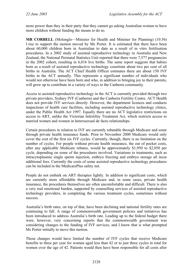more power than they in their party that they cannot go asking Australian women to have more children without funding the means to do so.

**MR CORBELL** (Molonglo—Minister for Health and Minister for Planning) (10.56) I rise to support the motion moved by Ms Porter. It is estimated that there have been about 60,000 children born in Australian to date as a result of in vitro fertilisation procedures. In a 2002 study of assisted reproductive technology in Australia and New Zealand, the National Perinatal Statistics Unit reported that there were 7,577 pregnancies in the 2002 cohort, resulting in 6,816 live births. The same report suggests that babies born as a result of assisted reproductive technology constitute about two per cent of all births in Australia. The ACT Chief Health Officer estimates there are about 150 IVF births in the ACT annually. This represents a significant number of individuals who would not otherwise have been born and who, in addition to bringing joy to their parents, will grow up to contribute in a variety of ways to the Canberra community.

Access to assisted reproductive technology in the ACT is currently provided through two private providers, Sydney IVF (Canberra) and the Canberra Fertility Centre. ACT Health does not provide IVF services directly. However, the department licences and conducts inspections of health care facilities, including assisted reproductive technology clinics, under the Public Health Act 1997. Equally there are no ACT legislative restrictions on access to ART, unlike the Victorian Infertility Treatment Act, which restricts access to married women and women in heterosexual de facto relationships.

Certain procedures in relation to IVF are currently rebatable through Medicare and some through private health insurance funds. Prior to November 2000 Medicare would only cover the cost of the first six IVF cycles. Currently, though, there is no limitation on the number of cycles. For people without private health insurance, the out of pocket costs, after any applicable Medicare rebates, would be approximately \$1,950 to \$2,050 per cycle, depending on some of the procedures involved. Variations to treatments, such as intracytoplasmic single sperm injection, embryo freezing and embryo storage all incur additional fees. Currently the costs of some assisted reproductive technology procedures can be included in the MedicarePlus safety net.

People do not embark on ART therapies lightly. In addition to significant costs, which are currently more affordable through Medicare and, in some cases, private health insurance, the procedures themselves are often uncomfortable and difficult. There is also a very real emotional burden, supported by counselling services of assisted reproductive technology providers, in completing the various treatment cycles, sometimes without success.

Australia's birth rates, on top of that, have been declining and national fertility rates are continuing to fall. A range of commonwealth government policies and initiatives has been introduced to address Australia's birth rate. Leading up to the federal budget there were, however, very concerning reports that the commonwealth government was considering changes to the funding of IVF services, and I know that is what prompted Ms Porter initially to move this motion.

Those changes would have limited the number of IVF cycles that receive Medicare benefits to three per year for women aged less than 42 or to just three cycles in total for women over the age of 42. Patients would then have been responsible for all costs after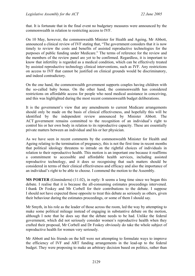that. It is fortunate that in the final event no budgetary measures were announced by the commonwealth in relation to restricting access to IVF.

On 10 May, however, the commonwealth Minister for Health and Ageing, Mr Abbott, announced a clinical review of IVF stating that, "The government considers that it is now timely to review the costs and benefits of assisted reproductive technologies for the purposes of public funding under Medicare." The terms of reference for the review and the members of the review panel are yet to be confirmed. Regardless, it is important to know that infertility is regarded as a medical condition, which can be effectively treated by assisted reproductive technology clinical interventions, such as IVF. Any restrictions on access to IVF that cannot be justified on clinical grounds would be discriminatory, and indeed contradictory.

On the one hand, the commonwealth government supports couples having children with the so-called baby bonus. On the other hand, the commonwealth has considered restrictions on affordable access for people who need medical assistance in conceiving, and this was highlighted during the most recent commonwealth budget deliberations.

It is the government's view that any amendments to current Medicare arrangements should only be made on the basis of clinical effectiveness, and hopefully this will be identified by the independent review announced by Minister Abbott. The ACT government remains committed to the recognition of an individual's right to control his or her own body in relation to its reproductive capacity. These are essentially private matters between an individual and his or her physician.

As we have seen in recent comments by the commonwealth Minister for Health and Ageing relating to the termination of pregnancy, this is not the first time in recent months that political ideology threatens to intrude on the rightful choices of individuals in relation to their reproductive health. This motion is an important one because it reaffirms a commitment to accessible and affordable health services, including assisted reproductive technology, and it does so recognising that such matters should be considered in terms of their clinical effectiveness and efficacy and also the importance of an individual's right to be able to choose. I commend the motion to the Assembly.

**MS PORTER** (Ginninderra) (11.02), in reply: It seems a long time since we began this debate. I realise that it is because the all-consuming estimates proceedings intervened. I thank Dr Foskey and Mr Corbell for their contributions to the debate. I suppose I should not have expected those opposite to treat this debate as seriously as others, given their behaviour during the estimates proceedings, or some of them I should say.

Mr Smyth, in his role as the leader of those across the room, led the way by attempting to make some political mileage instead of engaging in substantive debate on the motion, although I note that he does say that the debate needs to be had. Unlike the federal government, which did not seriously consider women's reproductive health when they crafted their proposal, Mr Corbell and Dr Foskey obviously do take the whole subject of reproductive health for women very seriously.

Mr Abbott and his friends on the hill were not attempting to formulate ways to improve the efficiency of IVF and ART funding arrangements in the lead-up to the federal budget. They were proposing to make an arbitrary decision based on politics, rather than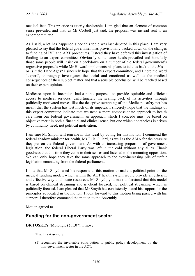medical fact. This practice is utterly deplorable. I am glad that an element of common sense prevailed and that, as Mr Corbell just said, the proposal was instead sent to an expert committee.

As I said, a lot has happened since this topic was last debated in this place. I am very pleased to say that the federal government has provisionally backed down on the changes to funding of IVF and ART procedures. Instead they have deferred this investigation of funding to an expert committee. Obviously some saner heads prevailed and hopefully those same people will insist on a backdown on a number of the federal government's regressive proposals while Mr Howard implements his plans to take us back to the 50s or is it the Dark Ages? I sincerely hope that this expert committee, and I note the word "expert", thoroughly investigates the social and emotional as well as the medical consequences of their subject matter and that a sensible conclusion will be reached based on their expert opinion.

Medicare, upon its inception, had a noble purpose—to provide equitable and efficient access to medical services. Unfortunately the scaling back of its activities through politically motivated moves like the deceptive scrapping of the Medicare safety net has meant that the system has lost much of its impetus. I sincerely hope that the findings of this expert committee indicate that we need a more compassionate approach to health care from our federal government, an approach which I concede must be based on objective merit in both a financial and clinical sense, but one which nonetheless is driven by community need, not political motivation.

I am sure Mr Smyth will join me in this ideal by voting for this motion. I commend the federal shadow minister for health, Ms Julia Gillard, as well as the AMA for the pressure they put on the federal government. As with an increasing proportion of government legislation, the federal Liberal Party was left in the cold without any allies. Thank goodness that this time they came to their senses and listened to the mounting opposition. We can only hope they take the same approach to the ever-increasing pile of unfair legislation emanating from the federal parliament.

I note that Mr Smyth used his response to this motion to make a political point on the medical funding model, which within the ACT health system would provide an efficient and effective way to allocate resources. Mr Smyth, you must understand that this model is based on clinical streaming and is client focused, not political streaming, which is politically focused. I am pleased that Mr Smyth has consistently stated his support for the principles advocated in the motion. I look forward to this motion being passed with his support. I therefore commend the motion to the Assembly.

Motion agreed to.

## <span id="page-11-0"></span>**Funding for the non-government sector**

### **DR FOSKEY** (Molonglo) (11.07): I move:

That this Assembly:

(1) recognises the invaluable contribution to public policy development by the non-government sector in the ACT;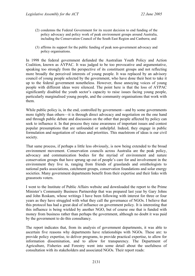- (2) condemns the Federal Government for its recent decision to end funding of the policy advocacy and policy work of peak environment groups around Australia, including the Conservation Council of the South East Region and Canberra; and
- (3) affirms its support for the public funding of peak non-government advocacy and policy organisations.

In 1998 the federal government defunded the Australian Youth Policy and Action Coalition, known as AYPAC. It was judged to be too provocative and argumentative, speaking too strongly from the perspective of its constituent groups and not reflecting more broadly the perceived interests of young people. It was replaced by an advisory council of young people selected by the government, who have done their best to take it up to the federal government nonetheless. However, those annoying voices of young people with different ideas were silenced. The point here is that the loss of AYPAC significantly disabled the youth sector's capacity to raise issues facing young people, particularly marginalised young people, and the community organisations that work with them.

While public policy is, in the end, controlled by government—and by some governments more tightly than others—it is through direct advocacy and negotiation on the one hand and through public debate and discussion on the other that people affected by policy can seek to influence it. In that process they raise awareness of important issues and contest popular presumptions that are unfounded or unhelpful. Indeed, they engage in public formulation and negotiation of values and priorities. This maelstrom of ideas is our civil society.

That same process, if perhaps a little less obviously, is now being extended to the broad environment movement. Conservation councils across Australia are the peak policy, advocacy and communication bodies for the myriad of environment and nature conservation groups that have sprung up out of people's care for and involvement in the environment they live in, ranging from friends of grasslands and ornithologists to national parks associations, catchment groups, conservation foundations and solar energy societies. Many government departments benefit from their expertise and their links with grassroots voters.

I went to the Institute of Public Affairs website and downloaded the report to the Prime Minister's Community Business Partnership that was prepared last year by Gary Johns and John Roskam, whose writings I have been following with interest for three or four years as they have struggled with what they call the governance of NGOs. I believe that this protocol has had a great deal of influence on government policy. It is interesting that this influence is being wielded by another NGO, but of course one that is funded with money from business rather than perhaps the government, although no doubt it was paid by the government to do this consultancy.

The report indicates that, from its analysis of government departments, it was able to ascertain five reasons why departments have relationships with NGOs. These are: to provide policy expertise, to deliver programs, to provide practical expertise, to allow for information dissemination, and to allow for transparency. The Department of Agriculture, Fisheries and Forestry went into some detail about the usefulness of consultation with its stakeholders and associated NGOs. Their report reads: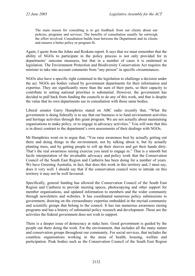The main reason for consulting is to get feedback from our clients about our policies, programs and services. The benefits of consultation usually far outweigh the effort involved. Consultation builds trust between the Department and its clients and ensures a better policy or program fit.

Again, I quote from the Johns and Roskam report. It says that we must remember that the ability of NGOs to participate in the policy process is not only provided for in departments' outcome measures, but that in a number of cases it is enshrined in legislation. The Environment Protection and Biodiversity Conservation Act requires the minister to take into account comments from "any person" in specific circumstances.

NGOs also have a specific right contained in the legislation to challenge a decision under the act. NGOs are bodies valued by government departments for their information and expertise. They are significantly more than the sum of their parts, so their capacity to contribute to setting national priorities is substantial. However, the government has decided to pull back from funding the councils to do any of this work, and that is despite the value that its own departments see in consultation with those same bodies.

Liberal senator Garry Humphries stated on ABC radio recently that, "What the government is doing federally is to say that our business is to fund environment activities and heritage activities through this grant program. We are not actually about maintaining organisations to make policy, or to engage in advocacy activities." You will note that this is in direct contrast to the department's own assessments of their dealings with NGOs.

Mr Humphries went on to argue that, "You raise awareness best by actually getting out there and doing things in the environment, not by talking about it, but by actually planting trees, and by getting people to roll up their sleeves and get their hands dirty. That's the real awareness raising exercise you need to engage in." That is a smooth but facile interpretation of the invaluable advocacy and policy work that the Conservation Council of the South East Region and Canberra has been doing for a number of years. We have Greening Australia, in fact, that does this work in this territory and, I must say, does it very well. I should say that if the conservation council were to intrude on this territory it may not be well favoured.

Specifically, general funding has allowed the Conservation Council of the South East Region and Canberra to provide meeting spaces, photocopying and other support for member organisations, and updated information to members and the wider community through newsletters and websites. It has coordinated numerous policy submissions to government, drawing on the extraordinary expertise embedded in the myriad community and scientific groups that belong to the council. It has run numerous awareness raising programs and has a history of substantial policy research and development. These are the activities the federal government does not wish to support.

There is a deeper issue of democracy at stake here. Good government is guided by the people out there doing the work. For the environment, that includes all the many nature and conservation groups throughout our community. For social services, that includes the countless organisations working in the areas of health, housing, welfare and participation. Peak bodies such as the Conservation Council of the South East Region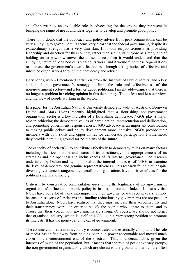and Canberra play an invaluable role in advocating for the groups they represent in bringing the range of needs and ideas together to develop and promote good policy.

There is no doubt that the advocacy and policy advice from peak organisations can be very annoying to government. It seems very clear that the federal government, despite its extraordinary strength, has a very thin skin. If it took its job seriously as providing leadership and direction for this country, rather than seeing its purpose as simply one of holding on to power whatever the consequences, then it would understand that the annoying nature of peak bodies is vital to its work, and it would fund those organisations to increase the government's own effectiveness through taking notice of effective and informed organisations through their advocacy and advice.

Gary Johns, whom I mentioned earlier on, from the Institute of Public Affairs, and a key author of this government's strategy to limit the role and effectiveness of the non-government sector—and a former Labor politician, I might add—argues that there is no longer a problem in voicing opinion in this democracy. That is less and less our view, and the view of people working in the sector.

In a paper for the Australian National University democratic audit of Australia, Bronwyn Dalton and Mark Lyons recently highlighted that a flourishing non-government organisation sector is a key indicator of a flourishing democracy. NGOs play a major role in achieving the democratic values of participation, representation and deliberation, and promoting government responsiveness. NGO advocacy is an important contribution to making public debate and policy development more inclusive. NGOs provide their members with both skills and opportunities for democratic participation. Furthermore, they provide a training ground for politicians of the future.

The capacity of each NGO to contribute effectively to democracy relies on many factors including the size, income and status of its constituency, the appropriateness of its strategies and the openness and inclusiveness of its internal governance. The research undertaken by Dalton and Lyons looked at the internal processes of NGOs to examine the level of democracy and genuine representativeness. This research found that, despite diverse governance arrangements, overall the organisations have positive effects for the political system and society.

Criticism by conservative commentators questioning the legitimacy of non-government organisations' influence on public policy is, in fact, unfounded. Indeed, I must say that NGOs have put a lot of work into improving their governance over recent years. Simply because these sorts of criticisms and funding reductions by governments are not peculiar to Australia alone, NGOs have realised that they must increase their accountability and their transparency overall in order to satisfy the people who donate to them, and to ensure that their voices with governments are strong. Of course, we should not forget that organised industry, which is itself an NGO, is in a very strong position to promote its interests. It has the money, and the ear of government.

The commercial media in this country is concentrated and essentially compliant. The role of media has shifted away from holding people in power accountable and moved much closer to the entertainment end of the spectrum. That is understandable, given the interests of much of the population, but it means that the role of peak advocacy groups; the non-government organisations, which are closest to the ground, and which are often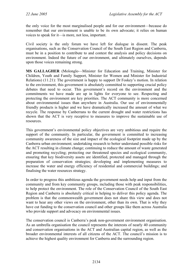the only voice for the most marginalised people and for our environment—because do remember that our environment is unable to be its own advocate; it relies on human voices to speak for it—is more, not less, important.

Civil society is the only forum we have left for dialogue in dissent. The peak organisations, such as the Conservation Council of the South East Region and Canberra, must be in a position to contribute to and contest the analysis and policy decisions on environment. Indeed the future of our environment, and ultimately ourselves, depends upon those voices remaining strong.

**MS GALLAGHER** (Molonglo—Minister for Education and Training, Minister for Children, Youth and Family Support, Minister for Women and Minister for Industrial Relations) (11.21): The government is happy to support Dr Foskey's motion. In relation to the environment, this government is absolutely committed to supporting crucial policy debates that need to occur. This government's record on the environment and the commitments we have made are up in lights for everyone to see. Respecting and protecting the environment are key priorities. The ACT community is more concerned about environmental issues than anywhere in Australia. Our use of environmentally friendly products is higher and we have dramatically increased the amount of what we recycle. The response by Canberrans to the current drought and water restrictions has shown that the ACT is very receptive to measures to improve the sustainable use of resources.

This government's environmental policy objectives are very ambitious and require the support of the community. In particular, the government is committed to increasing community awareness of the size and impact of the ecological footprint made up by the Canberra urban environment; undertaking research to better understand possible risks for the ACT resulting in climate change; continuing to reduce the amount of waste generated and promoting recycling; protecting our threatened species and ecological community, ensuring that key biodiversity assets are identified, protected and managed through the preparation of conservation strategies; developing and implementing measures to increase the water and energy efficiency of residential and commercial buildings; and finalising the water resources strategy.

In order to progress this ambitious agenda the government needs help and input from the community and from key community groups, including those with peak responsibilities, to help protect the environment. The role of the Conservation Council of the South East Region and Canberra is absolutely critical in helping to deliver this policy agenda. The problem is that the commonwealth government does not share this view and does not want to hear any other views on the environment, other than its own. That is why they have cut funding to the conservation council and other groups like them across Australia who provide support and advocacy on environmental issues.

The conservation council is Canberra's peak non-government environment organisation. As an umbrella organisation the council represents the interests of nearly 40 community and conservation organisations in the ACT and Australian capital region, as well as the broader environmental interests of all citizens of the ACT. The council's mission is to achieve the highest quality environment for Canberra and the surrounding region.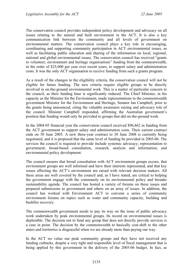The conservation council provides independent policy development and advocacy on all issues relating to the natural and built environment in the ACT. It is also a key communication link between the community and all levels of government on environmental matters. The conservation council plays a key role in encouraging, coordinating and supporting community participation in ACT environmental issues, as well as facilitating public education and sharing of the information on local, regional, national and global environmental issues. The conservation council has received "grants to volunteer, environment and heritage organisations" funding from the commonwealth, in the order of \$25,000 per year over recent years, to support salary and administration costs. It was the only ACT organisation to receive funding from such a grants program.

As a result of the changes to the eligibility criteria, the conservation council will not be eligible for future funding. The new criteria require eligible groups to be directly involved in on-the-ground environmental work. This is a matter of particular concern to the council, as their funding base is significantly reduced. The Chief Minister, in his capacity as the Minister for the Environment, made representations to the commonwealth government Minister for the Environment and Heritage, Senator Ian Campbell, prior to the grants being announced, citing the valuable awareness raising and advocacy role of the council. Minister Campbell responded, affirming the Australian government's position that funding would only be provided to groups that did on-the-ground work.

In the 2004-05 financial year the conservation council received \$96,862 in funding from the ACT government to support salary and administration costs. Their current contract ends on 30 June 2005. A new three-year contract to 30 June 2008 is currently being negotiated, and it is proposed that the same level of funding be provided in 2005-06. The services the council is required to provide include systemic advocacy; representation to government; broad-based consultation, research, analysis and information; and environmental policy development.

The council ensures that broad consultation with ACT environment groups occurs, that environment groups are well informed and have their interests represented, and that key issues affecting the ACT's environment are raised with relevant decision makers. All these areas are well covered by the council and, as I have stated, are critical to helping the government engage with the community on its environmental policy and broader sustainability agenda. The council has hosted a variety of forums on these issues and prepared submissions to government and others on an array of issues. In addition, the council has worked with Environment ACT to convene a series of community environment forums on topics such as water and community capacity, building and bushfire recovery.

The commonwealth government needs to pay its way on the issue of public advocacy work undertaken by peak environmental groups. Its record on environmental issues is deplorable. The decision not to fund any group that does not directly provide services is a case in point. The decision by the commonwealth to basically cost-shift to the other states and territories is disgraceful when we are already more than paying our way.

In the ACT we value our peak community groups and they have not received any funding cutbacks, despite a very tight and responsible level of fiscal management that is being applied by this government in the delivery of the 2005-06 budget. In fact, as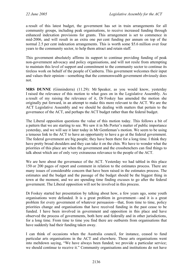a result of this latest budget, the government has set in train arrangements for all community groups, including peak organisations, to receive increased funding through enhanced indexation provisions for grants. This arrangement is set to commence in mid-2006, and will result in an extra one per cent funding per annum on top of the normal 2.5 per cent indexation arrangements. This is worth some \$5.6 million over four years to the community sector, to help them attract and retain staff.

This government absolutely affirms its support to continue providing funding of peak non-government advocacy and policy organisations, and will not resile from attempting to maintain this level of support and commitment to the community sector to continue its tireless work on behalf of the people of Canberra. This government welcomes their input and values their opinion—something that the commonwealth government obviously does not.

**MRS DUNNE** (Ginninderra) (11.29): Mr Speaker, as you would know, yesterday I raised the relevance of this motion to what goes on in the Legislative Assembly. As a result of my raising the relevance of it, Dr Foskey has amended the motion she originally put forward, in an attempt to make this more relevant to the ACT. We are the ACT Legislative Assembly and we should be dealing with matters that pertain to the governance of the ACT, and perhaps the ACT budget rather than the federal budget.

The Liberal opposition questions the value of this motion today. This follows a bit of a pattern that we are starting to see. We saw it in Ms Porter's matter of public importance yesterday, and we will see it later today in Mr Gentleman's motion. We seem to be using a tenuous link to the ACT to have an opportunity to have a go at the federal government. The federal government are big people; they have been there for a long time. I think they have pretty broad shoulders and they can take it on the chin. We have to wonder what the priorities of this place are when the government and the crossbenchers can find things to talk about which are of only very extraneous relevance to the people of the ACT.

We are here about the governance of the ACT. Yesterday we had tabled in this place 150 or 200 pages of report and comment in relation to the estimates process. There are many issues of considerable concern that have been raised in the estimates process. The estimates and the budget and the passage of the budget should be the biggest thing in town at the moment, and we are spending time finding excuses to go after the federal government. The Liberal opposition will not be involved in this process.

Dr Foskey started her presentation by talking about how, a few years ago, some youth organisations were defunded. It is a great problem in government—and it is a great problem for every government of whatever persuasion—that, from time to time, policy priorities change and organisations that have received funding in the past cease to be funded. I have been involved in government and opposition in this place and have observed the process of governments, both here and federally and in other jurisdictions, for a long time. From time to time you find there are outbursts from organisations that have suddenly had their funding taken away.

I can think of occasions when the Australia council, for instance, ceased to fund particular arts organisations in the ACT and elsewhere. Those arts organisations went into meltdown saying, "We have always been funded; we provide a particular service; we should continue to receive it." Community organisations and institutions do not have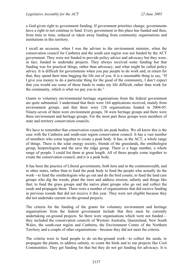a God-given right to government funding. If government priorities change, governments have a right to not continue to fund. Every government in this place has funded and then, from time to time, reduced or taken away funding from community organisations and institutions in this territory.

I recall an occasion, when I was the adviser to the environment minister, when the conservation council for Canberra and the south east region was not funded by the ACT government. They were not funded to provide policy advice and advocacy but they were, in fact, funded to undertake projects. They always received some funding but that funding was for practical things, rather than advocacy, and what might be called policy advice. It is difficult for governments when you pay people to do work and, in return for that, they spend their time bagging the life out of you. It is a reasonable thing to say, "If I give you money to do a particular thing for the good of the community, I don't expect that you would use some of those funds to make my life difficult, rather than work for the community, which is what we pay you to do."

Grants to voluntary environmental heritage organisations from the federal government are quite substantial. I understand that there were 164 applications received, mainly from environment groups, and that there were 128 organisations funded in 2004-05. Ninety-seven of them were environment groups, 38 were heritage groups and there were three environment and heritage groups. For the most part these groups were members of state and territory conservation councils.

We have to remember that conservation councils are peak bodies. We all know this is the case with the Canberra and south-east region conservation council. It has a vast number of members who come together to create a peak body. It has, in the ACT, a whole range of things. There is the solar energy society, friends of the grasslands, the ornithologist group, herpetologists and the save the ridge group. There is a huge number, a whole range of people. I could list them at great length. All of those people come together to create the conservation council, and it is a peak body.

It has been the practice of Liberal governments, both here and in the commonwealth, and in other states, rather than to fund the peak body to fund the people who actually do the work—to fund the ornithologists who go out and do the bird counts; to fund the land care groups who dig the weeds, plant the trees and address erosion, salinity and things like that; to fund the grass groups and the native plant groups who go out and collect the seeds and propagate them. There were a number of organisations that did receive funding in previous rounds that did not receive it this year. They were not eligible because they did not undertake current on-the-ground projects.

The criteria for the funding of the grants for voluntary environment and heritage organisations from the federal government include that they must be currently undertaking on-ground projects. So there were organisations which were not funded they included the conservation councils of Western Australia, Queensland, New South Wales, the south-east region and Canberra, the Environment Centre of the Northern Territory and a couple of other organisations—because they did not meet the criteria.

The criteria were to fund people to do on-the-ground work—to collect the seeds, to propagate the plants, to address salinity, to count the birds and to run projects like Cool Communities. They get funding for that but they do not get funding for advocacy. It is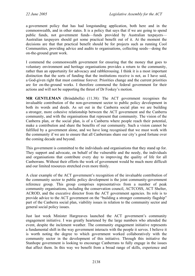a government policy that has had longstanding application, both here and in the commonwealth, and in other states. It is a policy that says that if we are going to spend public funds, not government funds—funds provided by Australian taxpayers— Australian taxpayers should get some practical benefit out of it. At the moment the decisions are that that practical benefit should be for projects such as running Cool Communities, providing advice and audits to organisations, collecting seeds—doing the on-the-ground grunt work.

I commend the commonwealth government for ensuring that the money that goes to voluntary environment and heritage organisations provides a return to the community, rather than an opportunity for advocacy and rabblerousing. I think it is a most important distinction that the sorts of funding that the institutions receive is not, as I have said, a God-given right that must continue forever. Priorities change and the current priorities are for on-the-ground works. I therefore commend the federal government for their actions and will not be supporting the thrust of Dr Foskey's motion.

**MR GENTLEMAN** (Brindabella) (11.38): The ACT government recognises the invaluable contribution of the non-government sector to public policy development in both its words and deeds. As set out in the Canberra social plan we are building a stronger, more cohesive relationship between the ACT government and the Canberra community, and with the organisations that represent that community. The vision of the Canberra plan, or the social plan, is of a Canberra where people reach their potential, make a contribution and share the benefits of our community. Such a vision cannot be fulfilled by a government alone, and we have long recognised that we must work with the community if we are to ensure that all Canberrans share our city's good fortune over the coming decade and beyond.

This government is committed to the individuals and organisations that they stand up for. They support and advocate, on behalf of the vulnerable and the needy, the individuals and organisations that contribute every day to improving the quality of life for all Canberrans. Without their efforts the work of government would be much more difficult and our limited resources stretched even more thinly.

A clear example of the ACT government's recognition of the invaluable contribution of the community sector to public policy development is the joint community-government reference group. This group comprises representatives from a number of peak community organisations, including the conservation council, ACTCOSS, ACT Shelter, ACROD, and the executive director from the ACT government agencies. Its role is to provide advice to the ACT government on the "building a stronger community flagship" part of the Canberra social plan, viability issues in relation to the community sector and general social policy issues.

Just last week Minister Hargreaves launched the ACT government's community engagement initiative. I was greatly heartened by the large numbers who attended the event, despite the inclement weather. The community engagement initiative represents a fundamental shift in the way government interacts with the people it serves. I believe it is worth noting the degree to which government worked collaboratively with the community sector in the development of this initiative. Through this initiative the Stanhope government is looking to encourage Canberrans to fully engage in the issues that affect them. In this way we benefit from a broad range of skills, experience and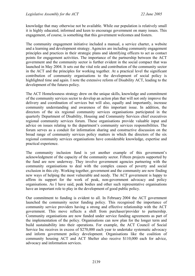knowledge that may otherwise not be available. While our population is relatively small it is highly educated, informed and keen to encourage government on many issues. This engagement, of course, is something that this government welcomes and fosters.

The community engagement initiative included a manual, a service charter, a website and a learning and development strategy. Agencies are including community engagement principles and practices in their strategic plans and identifying officers to act as contact points for engagement activities. The importance of the partnership between the ACT government and the community sector is further evident in the social compact that was launched in May 2004. It sets out the vital role and contribution of the community sector in the ACT and the principles for working together. At a practical level the significant contribution of community organisations to the development of social policy is highlighted time and again. I note the extensive reform of Disability ACT, leading to the development of the futures policy.

The ACT Homelessness strategy drew on the unique skills, knowledge and commitment of the community services sector to develop an action plan that will not only improve the delivery and coordination of services but will also, equally and importantly, increase community understanding and awareness of this important issue. In addition, the directors of the six regional community services organisations participated in the quarterly Department of Disability, Housing and Community Services chief executives regional community services forum. These organisations provide valuable input and advice on issues relating to the department's community services responsibilities. The forum serves as a conduit for information sharing and constructive discussion on the broad range of community services policy matters in which the directors of the six regional community services organisations have considerable knowledge, expertise and practical experience.

The community inclusion fund is yet another example of this government's acknowledgment of the capacity of the community sector. Fifteen projects supported by the fund are now underway. They involve government agencies partnering with the community organisations to deal with the complex causes of poverty and social exclusion in this city. Working together, government and the community are now finding new ways of helping the most vulnerable and needy. The ACT government is happy to affirm its support for the work of peak, non-government advocacy and policy organisations. As I have said, peak bodies and other such representative organisations have an important role to play in the development of good public policy.

Our commitment to funding is evident to all. In February 2004 the ACT government launched the community sector funding policy. This recognised the importance of community service providers having a strong and effective relationship with the ACT government. This move reflects a shift from purchaser/provider to partnership. Community organisations are now funded under service funding agreements as part of the implementation of the policy. Organisations can now plan for the longer term and build sustainability into their operations. For example, the ACT Council of Social Service Inc receives in excess of \$270,000 each year to undertake systematic advocacy and inform government policy development. Organisations like the coalition of community housing ACT and ACT Shelter also receive \$110,000 each for advice, advocacy and information services.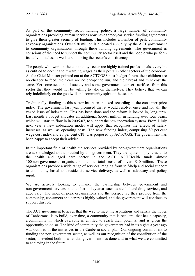As part of the community sector funding policy, a large number of community organisations providing human services now have three-year service funding agreements to give them greater security of funding. This includes a number of peak community advocacy organisations. Over \$70 million is allocated annually by the ACT government to community organisations through these funding agreements. The government is conscious of the need to support the community sector itself and the people who perform its daily miracles, as well as supporting the sector's constituency.

The people who work in the community sector are highly trained professionals, every bit as entitled to decent and rewarding wages as their peers in other sectors of the economy. As the Chief Minister pointed out at the ACTCOSS post-budget forum, their children are no cheaper to feed, their cars are no cheaper to run, and their bread and milk cost the same. Yet some sections of society and some governments expect sacrifices from this sector that they would not be willing to take on themselves. They believe that we can rely indefinitely on the goodwill and community spirit of the sector.

Traditionally, funding to this sector has been indexed according to the consumer price index. The government last year promised that it would resolve, once and for all, the vexed issue of indexation. This has been done and the reform is locked in, long-term. Last month's budget allocates an additional \$5.661 million in funding over four years, which will start to flow in in 2006-07, to support the new indexation system. From 1 July next year a new indexation model will apply that recognises the effects of salary increases, as well as operating costs. The new funding index, comprising 80 per cent wage cost index and 20 per cent CPI, was proposed by ACTCOSS. The government has been happy to accept their advice.

In the important field of health the services provided by non-government organisations are acknowledged and applauded by this government. They are, quite simply, crucial to the health and aged care sector in the ACT. ACT Health funds almost 100 non-government organisations to a total cost of over \$40 million. These organisations provide a wide range of services, ranging from self-help and social support to community based and residential service delivery, as well as advocacy and policy input.

We are actively looking to enhance the partnership between government and non-government services in a number of key areas such as alcohol and drug services, and aged care. The input of peak organisations and the perspective they provide from the community, consumers and carers is highly valued, and the government will continue to support this role.

The ACT government believes that the way to meet the aspirations and satisfy the hopes of Canberrans, is to build, over time, a community that is resilient, that has a capacity, a community in which everyone is entitled to reach their potential and is given the opportunity to do so. The kind of community the government had in its sights a year ago was outlined in the initiatives in the Canberra social plan. Our ongoing commitment to funding the non-government sector, as well as our recognition of the contribution of the sector, is evident both in what this government has done and in what we are committed to achieving in the future.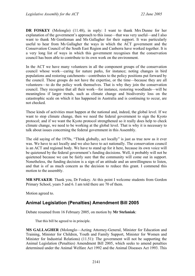**DR FOSKEY** (Molonglo) (11.48), in reply: I want to thank Mrs Dunne for her explanation of the government's approach to this issue—that was very useful—and I also want to thank Mr Gentleman and Ms Gallagher for their support. It was particularly useful to hear from Ms Gallagher the ways in which the ACT government and the Conservation Council of the South East Region and Canberra have worked together. It is a very long list of ways in which this government recognises that the conservation council has been able to contribute to its own work on the environment.

In the ACT we have many volunteers in all the component groups of the conservation council whose work—caring for nature parks, for instance; noting changes in bird populations and restoring catchments—contributes to the policy positions put forward by the council. These groups do not have the expertise, or the time—because they are all volunteers—to do the policy work themselves. That is why they join the conservation council. They recognise that all their work—for instance, restoring woodlands—will be meaningless if larger trends, such as climate change and biodiversity loss on the catastrophic scale on which it has happened in Australia and is continuing to occur, are not checked.

These kinds of activities must happen at the national and, indeed, the global level. If we want to stop climate change, then we need the federal government to sign the Kyoto protocol; and if we want the Kyoto protocol strengthened so it really does help to check climate change, we need to be working at the global level. That is why it is necessary to talk about issues concerning the federal government in this Assembly.

The old saying of the 1970s, "Think globally, act locally" is just as true now as it ever was. We have to act locally and we also have to act nationally. The conservation council is an ACT and regional body. We have to stand up for it here, because its own voice will be quietened by the federal government's funding decisions. Well, it probably will not be quietened because we can be fairly sure that the community will come out in support. Nonetheless, the funding decision is a sign of an attitude and an unwillingness to listen, and that is of as much concern as the decision to reduce this grant. I commend this motion to the assembly.

**MR SPEAKER**: Thank you, Dr Foskey. At this point I welcome students from Gordon Primary School, years 5 and 6. I am told there are 70 of them.

Motion agreed to.

# <span id="page-22-0"></span>**Animal Legislation (Penalties) Amendment Bill 2005**

Debate resumed from 16 February 2005, on motion by **Mr Stefaniak**:

That this bill be agreed to in principle.

**MS GALLAGHER** (Molonglo—Acting Attorney-General, Minister for Education and Training, Minister for Children, Youth and Family Support, Minister for Women and Minister for Industrial Relations) (11.51): The government will not be supporting the Animal Legislation (Penalties) Amendment Bill 2005, which seeks to amend penalties determined under the Animal Welfare Act 1992 and the Animal Diseases Act 1993. This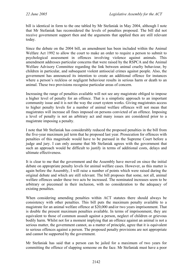bill is identical in form to the one tabled by Mr Stefaniak in May 2004, although I note that Mr Stefaniak has reconsidered the levels of penalties proposed. The bill did not receive government support then and the arguments that applied then are still relevant today.

Since the debate on the 2004 bill, an amendment has been included within the Animal Welfare Act 1992 to allow the court to make an order to require a person to submit to psychological assessment in offences involving violence against animals. This amendment addresses particular concerns that were raised by the RSPCA and the Animal Welfare Advisory Committee regarding the link between animal cruelty behaviour, by children in particular, and subsequent violent antisocial crimes against people. Also, the government has announced its intention to create an additional offence for instances where a person's reckless or negligent behaviour results in serious harm or death to an animal. These two provisions recognise particular areas of concern.

Increasing the range of penalties available will not see any magistrate obliged to impose a higher level of penalty for an offence. That is a simplistic approach to an important community issue and it is not the way the court system works. Giving magistrates access to higher penalty levels for a number of animal welfare offences will not mean that magistrates will increase all fines imposed on persons convicted of an offence. Imposing a level of penalty is not an arbitrary act and many issues are considered prior to a magistrate imposing a penalty.

I note that Mr Stefaniak has considerably reduced the proposed penalties in the bill from the five-year maximum jail term that he proposed last year. Prosecution for offences with penalties of this magnitude would have to be pursued in the Supreme Court before a judge and jury. I can only assume that Mr Stefaniak agrees with the government that such an approach would be difficult to justify in terms of additional costs, delays and ultimate effectiveness.

It is clear to me that the government and the Assembly have moved on since the initial debate on appropriate penalty levels for animal welfare cases. However, as this matter is again before the Assembly, I will raise a number of points which were raised during the original debate and which are still relevant. The bill proposes that some, not all, animal welfare offences under these two acts be increased. The nominated increases seem to be arbitrary or piecemeal in their inclusion, with no consideration to the adequacy of existing penalties.

When considering amending penalties within ACT statutes there should always be consistency with other penalties. This bill puts the maximum penalty available to a magistrate for an animal welfare offence at \$20,000 and/or two years imprisonment. That is double the present maximum penalties available. In terms of imprisonment, they are equivalent to those of common assault against a person, neglect of children or grievous bodily harm. Whilst not for a moment implying that an offence against an animal is not a serious matter, the government cannot, as a matter of principle, agree that it is equivalent to serious offences against a person. The proposed penalty provisions are not appropriate and cannot be supported by the government.

Mr Stefaniak has said that a person can be jailed for a maximum of two years for committing the offence of slapping someone on the face. Mr Stefaniak must have a poor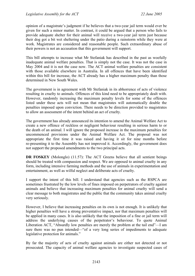opinion of a magistrate's judgment if he believes that a two-year jail term would ever be given for such a minor matter. In contrast, it could be argued that a person who fails to provide adequate shelter for their animal will receive a two-year jail term just because their dog got a bit wet sheltering under the patio during a rainstorm while they were at work. Magistrates are considered and reasonable people. Such extraordinary abuse of their powers is not an accusation that this government will support.

This bill attempts to increase what Mr Stefaniak has described in the past as woefully inadequate animal welfare penalties. That is simply not the case. It was not the case in May 2004 and it is not the case now. The ACT animal welfare penalties are consistent with those available elsewhere in Australia. In all offences that have been identified within this bill for increase, the ACT already has a higher maximum penalty than those determined in New South Wales.

The government is in agreement with Mr Stefaniak in its abhorrence of acts of violence resulting in cruelty to animals. Offences of this kind need to be appropriately dealt with. However, randomly increasing the maximum penalty levels for some of the offences listed under these acts will not mean that magistrates will automatically double the penalties imposed upon conviction. There needs to be direction provided to magistrates to allow an assessment of the intent behind an act of cruelty.

The government has already announced its intention to amend the Animal Welfare Act to create a new offence of reckless or negligent behaviour resulting in serious harm to or the death of an animal. I will ignore the proposed increase in the maximum penalties for uncommenced provisions under the Animal Welfare Act. The proposal was not appropriate the first time it was raised and having it sit for nine months before re-presenting it to the Assembly has not improved it. Accordingly, the government does not support the proposed amendments to the two principal acts.

**DR FOSKEY** (Molonglo) (11.57): The ACT Greens believe that all sentient beings should be treated with compassion and respect. We are opposed to animal cruelty in any form, including intensive farming methods and the use of animals in experimentation and entertainment, as well as wilful neglect and deliberate acts of cruelty.

I support the intent of this bill. I understand that agencies such as the RSPCA are sometimes frustrated by the low levels of fines imposed on perpetrators of cruelty against animals and believe that increasing maximum penalties for animal cruelty will send a clear message to both magistrates and the public that the community takes animal cruelty very seriously.

However, I believe that increasing penalties on its own is not enough. It is unlikely that higher penalties will have a strong preventative impact, nor that maximum penalties will be applied in many cases. It is also unlikely that the imposition of a fine or jail term will address the underlying causes of the perpetrator's behaviour. To quote Animal Liberation ACT, "Absurdly low penalties are merely the problem at the tail end"—I am sure there was no pun intended—"of a very long series of impediments to adequate legislative protection for animals."

By far the majority of acts of cruelty against animals are either not detected or not prosecuted. The capacity of animal welfare agencies to investigate suspected cases of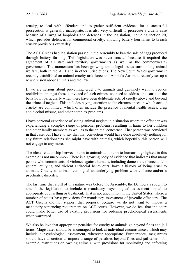cruelty, to deal with offenders and to gather sufficient evidence for a successful prosecution is generally inadequate. It is also very difficult to prosecute a cruelty case because of a swag of loopholes and defences in the legislation, including section 20, which provides defences for commercial cruelty, allowing battery hen farms to breach cruelty provisions every day.

The ACT Greens had legislation passed in the Assembly to ban the sale of eggs produced through battery farming. This legislation was never enacted because it required the agreement of all state and territory governments as well as the commonwealth government. The momentum has been growing about legal issues surrounding animal welfare, both in the ACT and in other jurisdictions. The New South Wales government recently established an animal cruelty task force and Animals Australia recently set up a new division about animals and the law.

If we are serious about preventing cruelty to animals and genuinely want to reduce recidivism amongst those convicted of such crimes, we need to address the cause of the behaviour, particularly when there have been deliberate acts of cruelty above and beyond the crime of neglect. This includes paying attention to the circumstances in which acts of cruelty are committed, which often include the presence of mental health issues, drug and alcohol misuse, and other complex problems.

I have personal experience of seeing animal neglect in a situation where the offender was experiencing a complex range of personal problems, resulting in harm to her children and other family members as well as to the animal concerned. That person was convicted in that case, but I have to say that that conviction would have done absolutely nothing for any future relationships she might have with animals, which hopefully this person will not engage in any more.

The close relationship between harm to animals and harm to humans highlighted in this example is not uncommon. There is a growing body of evidence that indicates that many people who commit acts of violence against humans, including domestic violence and/or general bullying and violent antisocial behaviours, have a history of being cruel to animals. Cruelty to animals can signal an underlying problem with violence and/or a psychiatric disorder.

The last time that a bill of this nature was before the Assembly, the Democrats sought to amend the legislation to include a mandatory psychological assessment linked to appropriate counselling or treatment. That is not uncommon in the United States, where a number of states have provisions for mandatory assessment of juvenile offenders. The ACT Greens did not support that proposal because we do not want to impose a mandatory sentencing requirement on ACT courts. However, we do feel that the court could make better use of existing provisions for ordering psychological assessments when warranted.

We also believe that appropriate penalties for cruelty to animals go beyond fines and jail terms. Magistrates should be encouraged to look at individual circumstances, which may include a psychological assessment, wherever appropriate. Furthermore, magistrates should have discretion to impose a range of penalties beyond fines and jail terms—for example, restrictions on owning animals, with provisions for monitoring and enforcing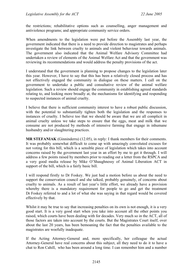the restrictions; rehabilitative options such as counselling, anger management and antiviolence programs; and appropriate community service orders.

When amendments to the legislation were put before the Assembly last year, the government indicated that there is a need to provide direction to magistrates and perhaps investigate the link between cruelty to animals and violent behaviour towards animals. The government also indicated that the Animal Welfare Advisory Committee had undertaken a review of elements of the Animal Welfare Act and that the government was reviewing its recommendations and would address the penalty provisions of the act.

I understand that the government is planning to propose changes to the legislation later this year. However, I have to say that this has been a relatively closed process and has not effectively engaged the community in dialogue on these matters. I call on the government to undertake a public and consultative review of the animal welfare legislation. Such a review should engage the community in establishing agreed standards relating to, and looking more broadly at, the mechanisms for identifying and responding to suspected instances of animal cruelty.

I believe that there is sufficient community interest to have a robust public discussion, with the potential to substantially tighten both the legislation and the responses to instances of cruelty. I believe too that we should be aware that we are all complicit in animal cruelty unless we take steps to ensure that the eggs, meat and milk that we consume are not produced by methods of intensive farming that engage in inhumane husbandry and/or slaughtering practices.

**MR STEFANIAK** (Ginninderra) (12.05), in reply: I thank members for their comments. It was probably somewhat difficult to come up with amazingly convoluted excuses for not voting for this bill, which is a sensible piece of legislation which takes into account concerns raised by the government last year in an effort by me to get it through. I will address a few points raised by members prior to reading out a letter from the RSPCA and a very good media release by Mike O'Shaughnessy of Animal Liberation ACT in support of the bill, which is a fairly basic bill.

I will respond firstly to Dr Foskey. We just had a motion before us about the need to support the conservation council and she talked, probably genuinely, of concerns about cruelty to animals. As a result of last year's little effort, we already have a provision whereby there is a mandatory requirement for people to go and get the treatment Dr Foskey referred to and a lot of what she was saying in that regard would be covered effectively by that.

Whilst it may be true to say that increasing penalties on its own is not enough, it is a very good start. It is a very good start when you take into account all the other points you raised, which courts have been dealing with for decades. Very much so in the ACT, all of those factors are taken into account by the courts. But the Magistrates Court itself, over about the last 20 years, has been bemoaning the fact that the penalties available to the magistrates are woefully inadequate.

If the Acting Attorney-General and, more specifically, her colleague the actual Attorney-General have real concerns about this subject, all they need to do it to have a chat to Ron Cahill, who has been around a long time. I can remember him and a number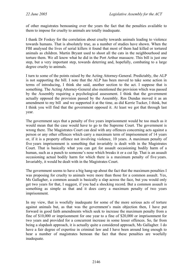of other magistrates bemoaning over the years the fact that the penalties available to them to impose for cruelty to animals are totally inadequate.

I thank Dr Foskey for the correlation about cruelty towards animals leading to violence towards humans. That is absolutely true, as a number of studies have shown. When the FBI analysed the lives of serial killers it found that most of them had killed or tortured animals as children. Martin Bryant used to shoot all the cats in the neighbourhood and torture them. We all know what he did in the Port Arthur massacre. This bill is just one step, but a very important step, towards deterring and, hopefully, combating to a large degree cruelty to animals.

I turn to some of the points raised by the Acting Attorney-General. Predictably, the ALP is not supporting the bill. I note that the ALP has been moved to take some action in terms of introducing, I think she said, another section to the act. I suppose that is something. The Acting Attorney-General also mentioned the provision which was passed by the Assembly requiring a psychological assessment. I think that the government actually opposed the provision passed by the Assembly. Ros Dundas moved it as an amendment to my bill and we supported it at the time, as did Kerrie Tucker, I think, but I think you will find that the government opposed it. At least we got that through last year.

The government says that a penalty of five years imprisonment would be too much as it would mean that the case would have to go to the Supreme Court. The government is wrong there. The Magistrates Court can deal with any offences concerning acts against a person or any other offences which carry a maximum term of imprisonment of 14 years or, if it is a property offence not involving violence, 10 years. A maximum penalty of five years imprisonment is something that invariably is dealt with in the Magistrates Court. That is basically what you can get for assault occasioning bodily harm of a human, such as a punch to someone's nose which breaks it or a cut lip. That is an assault occasioning actual bodily harm for which there is a maximum penalty of five years. Invariably, it would be dealt with in the Magistrates Court.

The government seems to have a big hang-up about the fact that the maximum penalties I was proposing for cruelty to animals were more than those for a common assault. Yes, Ms Gallagher, a common assault is basically a slap across the face, but you would only get two years for that, I suggest, if you had a shocking record. But a common assault is something as simple as that and it does carry a maximum penalty of two years imprisonment.

In my view, that is woefully inadequate for some of the more serious acts of torture against animals but, as that was the government's main objection then, I have put forward in good faith amendments which seek to increase the maximum penalty from a fine of \$10,000 or imprisonment for one year to a fine of \$20,000 or imprisonment for two years and provided for a concurrent increase in some lesser offences. So, far from being a slapdash approach, it is actually quite a considered approach, Ms Gallagher. I do have a fair degree of expertise in criminal law and I have been around long enough to hear a number of magistrates bemoan the fact that these penalties are woefully inadequate.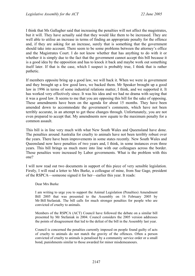I think that Ms Gallagher said that increasing the penalties will not affect the magistrates, but it will. They have actually said that they would like them to be increased. They are well able to utilise an increase in terms of finding an appropriate penalty for the offence and, if they are asking for an increase, surely that is something that the government should take into account. There seem to be some problems between the attorney's office and the Magistrates Court. I do not know whether that has anything to do with it or whether it is simply due to the fact that the government cannot accept this bill because it is a good idea by the opposition and has to knock it back and maybe work out something itself later. If that is the case, which I suspect is probably true, I think that is rather pathetic.

If members opposite bring up a good law, we will back it. When we were in government and they brought up a few good laws, we backed them. Mr Speaker brought up a good law in 1996 in terms of some industrial relations matter, I think, and we supported it. It has worked very effectively since. It was his idea and we had no drama with saying that it was a good law. It seems to me that you are opposing this bill for the sake of opposing. These amendments have been on the agenda for about 15 months. They have been amended down to accommodate the government's comments, which have not been terribly accurate, in an attempt to get these changes through. Unfortunately, you are not even prepared to accept that. My amendments now equate to the maximum penalty for a common assault.

This bill is in line very much with what New South Wales and Queensland have done. The penalties around Australia for cruelty to animals have not been terribly robust over the years. There have been improvements in some states recently. New South Wales and Queensland now have penalties of two years and, I think, in some instances even three years. This bill brings us much more into line with our colleagues across the border. Those penalties were increased by Labor governments. What is the problem with this one?

I will now read out two documents in support of this piece of very sensible legislation. Firstly, I will read a letter to Mrs Burke, a colleague of mine, from Sue Gage, president of the RSPCA—someone signed it for her—earlier this year. It reads:

#### Dear Mrs Burke

I am writing to urge you to support the Animal Legislation (Penalties) Amendment Bill 2005 that was presented to the Assembly on 16 February 2005 by Mr Bill Stefaniak. The bill calls for much stronger penalties for people who are convicted of cruelty to animals.

Members of the RSPCA (ACT) Council have followed the debate on a similar bill presented by Mr Stefaniak in 2004. Council considers the 2005 version addresses the points of disagreement that led to the defeat of the bill in the Assembly last year.

Council is concerned the penalties currently imposed on people found guilty of acts of cruelty to animals do not match the gravity of the offences. Often a person convicted of cruelty to animals is penalised by a community service order or a small bond, punishments similar to those awarded for minor misdemeanours.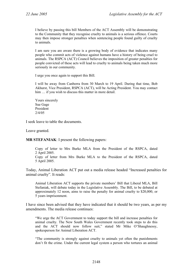I believe by passing this bill Members of the ACT Assembly will be demonstrating to the Community that they recognise cruelty to animals is a serious offence. Courts may then impose stronger penalties when sentencing people found guilty of cruelty to animals.

I am sure you are aware there is a growing body of evidence that indicates many people who commit acts of violence against humans have a history of being cruel to animals. The RSPCA (ACT) Council believes the imposition of greater penalties for people convicted of these acts will lead to cruelty to animals being taken much more seriously in our community.

I urge you once again to support this Bill.

I will be away from Canberra from 30 March to 19 April. During that time, Bob Akhurst, Vice President, RSPCA (ACT), will be Acting President. You may contact him ... if you wish to discuss this matter in more detail.

Yours sincerely Sue Gage President 2/4/05

I seek leave to table the documents.

Leave granted.

**MR STEFANIAK**: I present the following papers:

Copy of letter to Mrs Burke MLA from the President of the RSPCA, dated 2 April 2005. Copy of letter from Mrs Burke MLA to the President of the RSPCA, dated

5 April 2005.

Today, Animal Liberation ACT put out a media release headed "Increased penalties for animal cruelty". It reads:

Animal Liberation ACT supports the private members' Bill that Liberal MLA, Bill Stefaniak, will debate today in the Legislative Assembly. The Bill, to be debated at approximately 12 noon, aims to raise the penalty for animal cruelty to \$20,000, or 5 years imprisonment.

I have since been advised that they have indicated that it should be two years, as per my amendments. The media release continues:

"We urge the ACT Government to today support the bill and increase penalties for animal cruelty. The New South Wales Government recently took steps to do this and the ACT should now follow suit," stated Mr Mike O'Shaughnessy, spokesperson for Animal Liberation ACT.

"The community is strongly against cruelty to animals yet often the punishments don't fit the crime. Under the current legal system a person who tortures an animal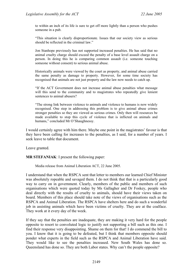to within an inch of its life is sure to get off more lightly than a person who pushes someone in a pub.

"This situation is clearly disproportionate. Issues that our society view as serious should be reflected in the criminal law."

Jon Stanhope previously has not supported increased penalties. He has said that no animal cruelty charge should exceed the penalty of a base level assault charge on a person. In doing this he is comparing common assault (i.e. someone touching someone without consent) to serious animal abuse.

Historically animals were viewed by the court as property, and animal abuse carried the same penalty as damage to property. However, for some time society has recognised that animals are not just property and the law now needs to catch up.

"If the ACT Government does not increase animal abuse penalties what message will this send to the community and to magistrates who repeatedly give lenient sentences to animal abusers?

"The strong link between violence to animals and violence to humans is now widely recognised. One step in addressing this problem is to give animal abuse crimes stronger penalties so they are viewed as serious crimes. Only then will resources be made available to stop this cycle of violence that is inflicted on animals and humans," concluded Mr O'Shaughnessy.

I would certainly agree with him there. Maybe one point in the magistrates' favour is that they have been calling for increases to the penalties, as I said, for a number of years. I seek leave to table that document.

Leave granted.

**MR STEFANIAK**: I present the following paper:

Media release from Animal Liberation ACT, 22 June 2005.

I understand that when the RSPCA sent that letter to members our learned Chief Minister was absolutely ropeable and savaged them. I do not think that that is a particularly good way to carry on in government. Clearly, members of the public and members of such organisations which were quoted today by Ms Gallagher and Dr Foskey, people who deal directly with the results of cruelty to animals, should have their views taken on board. Members of this place should take note of the views of organisations such as the RSPCA and Animal Liberation. The RSPCA have shelters here and do such a wonderful job in assisting animals which have been victims of cruelty. They are at the coalface. They work at it every day of the week.

If they say that the penalties are inadequate, they are making it very hard for the people opposite to resort to convoluted logic to justify not supporting a bill such as this one. I find their response very disappointing. Shame on them for that! I do commend the bill to you. I know that it is going to be defeated, but I think that members opposite should ponder what experts in the field such as the RSPCA and Animal Liberation have said. They would like to see the penalties increased. New South Wales has done so. Queensland has done so. They are both Labor states. Why can't the people opposite?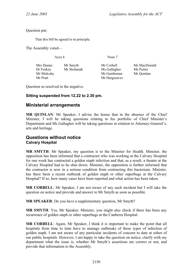Question put:

That this bill be agreed to in principle.

The Assembly voted—

Ayes 6 Noes 7

Mrs Dunne Mr Smyth Mr Corbell Ms MacDonald Dr Foskey Mr Stefaniak Ms Gallagher Ms Porter Mr Mulcahy Mr Gentleman Mr Ouinlan Mr Pratt Mr Hargreaves

Question so resolved in the negative.

## **Sitting suspended from 12.22 to 2.30 pm.**

# <span id="page-31-0"></span>**Ministerial arrangements**

**MR QUINLAN**: Mr Speaker, I advise the house that in the absence of the Chief Minister, I will be taking questions relating to his portfolio of Chief Minister's Department and Ms Gallagher will be taking questions in relation to Attorney-General's, arts and heritage.

## <span id="page-31-1"></span>**Questions without notice Calvary Hospital**

**MR SMYTH**: Mr Speaker, my question is to the Minister for Health. Minister, the opposition has been informed that a contractor who was working at the Calvary Hospital for one week has contracted a golden staph infection and that, as a result, a theatre at the Calvary Hospital had to be shut down. Minister, the opposition is further informed that the contractor is now in a serious condition from contracting this bacterium. Minister, has there been a recent outbreak of golden staph or other superbugs at the Calvary Hospital? If so, how many cases have been reported and what action has been taken.

**MR CORBELL**: Mr Speaker, I am not aware of any such incident but I will take the question on notice and provide and answer to Mr Smyth as soon as possible.

**MR SPEAKER**: Do you have a supplementary question, Mr Smyth?

**MR SMYTH**: Yes, Mr Speaker. Minister, you might also check if there has been any recurrence of golden staph or other superbugs at the Canberra Hospital.

**MR CORBELL**: Again, Mr Speaker, I think it is important to make the point that all hospitals from time to time have to manage outbreaks of these types of infection of golden staph. I am not aware of any particular incidents of concern to date at either of our public hospitals. However, I am happy to take the question on notice, clarify with my department what the issue is, whether Mr Smyth's assertions are correct or not, and provide that information to the Assembly.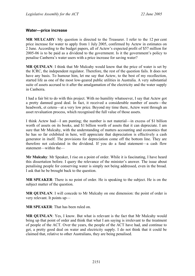### <span id="page-32-0"></span>**Water—price increase**

**MR MULCAHY**: My question is directed to the Treasurer. I refer to the 12 per cent price increase for water to apply from 1 July 2005, confirmed by Actew in estimates on 2 June. According to the budget papers, all of Actew's expected profit of \$57 million for 2005-06 is to be paid as a dividend to the government. Is it the government's policy to penalise Canberra's water users with a price increase for saving water?

**MR QUINLAN**: I think that Mr Mulcahy would know that the price of water is set by the ICRC, the independent regulator. Therefore, the rest of the question fails. It does not have any basis. To humour him, let me say that Actew, to the best of my recollection, started life as one of the most low-geared public utilities in Australia. A very substantial suite of assets accrued to it after the amalgamation of the electricity and the water supply in Canberra.

I had a fair bit to do with this project. With no humility whatsoever, I say that Actew got a pretty damned good deal. In fact, it received a considerable number of assets—the headwork, et cetera—at a very low price. Beyond my time there, Actew went through an asset revaluation process, which recognised the full value of those assets.

I think Actew had—I am punting; the number is not material—in excess of \$1 billion worth of assets on its books, and \$1 billion worth of assets that it can depreciate. I am sure that Mr Mulcahy, with the understanding of matters accounting and economics that he has so far exhibited in here, will appreciate that depreciation is effectively a cash generator in itself. The provisions for depreciation come off the bottom line. They are therefore not calculated in the dividend. If you do a fund statement—a cash flow statement—within the—

**Mr Mulcahy**: Mr Speaker, I rise on a point of order. While it is fascinating, I have heard this dissertation before. I query the relevance of the minister's answer. The issue about penalising people for conserving water is simply not being addressed, even in the broad. I ask that he be brought back to the question.

**MR SPEAKER**: There is no point of order. He is speaking to the subject. He is on the subject matter of the question.

**MR QUINLAN**: I will concede to Mr Mulcahy on one dimension: the point of order is very relevant. It points up—

**MR SPEAKER**: That has been ruled on.

**MR QUINLAN**: Yes, I know. But what is relevant is the fact that Mr Mulcahy would bring up that point of order and think that what I am saying is irrelevant to the treatment of people of the ACT. Over the years, the people of the ACT have had, and continue to get, a pretty good deal on water and electricity supply. I do not think that it could be claimed that, relative to other Australians, they are being penalised.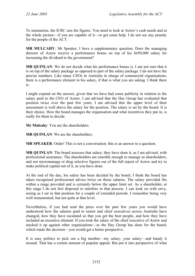To summarise, the ICRC sets the figures. You need to look at Actew's cash needs and at the whole picture—if you are capable of it—or get some help. I do not see any penalty for the people of the ACT.

**MR MULCAHY**: Mr Speaker, I have a supplementary question. Does the managing director of Actew receive a performance bonus on top of his \$450,000 salary for increasing the dividend to the government?

**MR QUINLAN**: We do not decide what his performance bonus is. I am not sure that it is on top of the salary package as opposed to part of the salary package. I do not have the precise numbers. Like many CEOs in Australia in charge of commercial organisations, there is a performance element in his salary, if that is what you are asking. I think there is.

I might expand on the answer, given that we have had some publicity in relation to the salary paid to the CEO of Actew. I am advised that the Hay Group has evaluated that position twice over the past few years. I am advised that the upper level of their assessment is well above the salary for the position. The salary is set by the board. It is their choice. How the board manages the organisation and what incentives they put in, is really for them to decide.

**Mr Mulcahy**: You are the shareholders.

**MR QUINLAN**: We are the shareholders.

**MR SPEAKER**: Order! This is not a conversation; this is an answer to a question.

**MR QUINLAN:** The board assesses that salary; they have done it, as I am advised, with professional assistance. The shareholders are sensible enough to manage as shareholders, and not micromanage or drag selective figures out of the full report of Actew and try to make political capital out of it, as you have done.

At the end of the day, his salary has been decided by the board. I think the board has taken recognised professional advice twice on those salaries. The salary provided fits within a range provided and is certainly below the upper limit set. As a shareholder, at this stage I do not feel disposed to interfere in that process. I can look on with envy, seeing as I sat in that position for a couple of extended periods. I remember being very well remunerated, but not quite at that level.

Nevertheless, if you had read the press over the past few years you would have understood how the salaries paid to senior and chief executives across Australia have changed, how they have escalated so that you get the best people, and how they have included an incentive element. If you took the salary of the chief executive of Actew and stacked it up against other organisations—as the Hay Group has done for the board, which made the decision—you would get a better perspective.

It is easy politics to pick out a big number—my salary, your salary—and bandy it around. That has a certain amount of popular appeal. But put it into perspective of what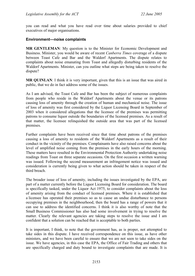you can read and what you have read over time about salaries provided to chief executives of major organisations.

### <span id="page-34-0"></span>**Environment—noise complaints**

**MR GENTLEMAN**: My question is to the Minister for Economic Development and Business. Minister, you would be aware of recent *Canberra Times* coverage of a dispute between Toast Cafe and Bar and the Waldorf Apartments. The dispute relates to complaints about noise emanating from Toast and allegedly disturbing residents of the Waldorf Apartments. Minister, can you outline what steps are being taken to resolve the dispute?

**MR QUINLAN**: I think it is very important, given that this is an issue that was aired in public, that we do in fact address some of the issues.

As I am advised, the Toast Cafe and Bar has been the subject of numerous complaints from people who reside in the Waldorf Apartments about the venue or its patrons causing loss of amenity through the creation of human and mechanical noise. The issue of loss of amenity was first considered by the Liquor Licensing Board in September of 2003 when it considered allegations that the licensee of the premises was permitting patrons to consume liquor outside the boundaries of the licensed premises. As a result of that matter, the licensee relinquished the outside area that was part of the licensed premises.

Further complaints have been received since that time about patrons of the premises causing a loss of amenity to residents of the Waldorf Apartments as a result of their conduct in the vicinity of the premises. Complainants have also raised concerns about the level of amplified noise coming from the premises in the early hours of the morning. These matters have resulted in the Environmental Protection Authority undertaking noise readings from Toast on three separate occasions. On the first occasion a written warning was issued. Following the second measurement an infringement notice was issued and consideration is currently being given to what action should be taken in respect of the third breach.

The broader issue of loss of amenity, including the issues investigated by the EPA, are part of a matter currently before the Liquor Licensing Board for consideration. The board is specifically tasked, under the Liquor Act 1975, to consider complaints about the loss of amenity arising from the conduct of licensed premises. Where it is established that a licensee has operated their premises so as to cause an undue disturbance to persons occupying premises in the neighbourhood, then the board has a range of powers that it can use to address the identified concerns. I think it is also worthy of note that the Small Business Commissioner has also had some involvement in trying to resolve the matter. Clearly the relevant agencies are taking steps to resolve the issue and I am confident that a solution can be reached that is acceptable to both parties.

It is important, I think, to note that the government has, as is proper, not attempted to take sides in this dispute. I have received correspondence on this issue, as have other ministers, and we have been careful to ensure that we are not seen to take sides on the issue. We have agencies, in this case the EPA, the Office of Fair Trading and others that are specifically charged and duty bound to investigate complaints that are made. It is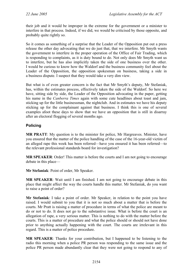their job and it would be improper in the extreme for the government or a minister to interfere in that process. Indeed, if we did, we would be criticised by those opposite, and probably quite rightly so.

So it comes as something of a surprise that the Leader of the Opposition put out a press release the other day advocating that we do just that, that we interfere. Mr Smyth wants the government to interfere in the proper operation of the Office of Fair Trading, which is responding to complaints, as it is duty bound to do. Not only does Mr Smyth want us to interfere, but he has also implicitly taken the side of one business over the other. I would be curious to know how the Waldorf and the business community feel about the Leader of the Opposition, the opposition spokesman on business, taking a side in a business dispute. I suspect that they would take a very dim view.

But what is of even greater concern is the fact that Mr Smyth's deputy, Mr Stefaniak, has, within the estimates process, effectively taken the side of the Waldorf. So here we have, sitting side by side, the Leader of the Opposition advocating in the paper, getting his name in the *Canberra Times* again with some cute headlines about toast and jam, sticking up for the little businessman, the nightclub. And in estimates we have his deputy sticking up for the complainant against that business. I think this is one of several examples afoot these days to show that we have an opposition that is still in disarray after an electoral flogging of several months ago.

## <span id="page-35-0"></span>**Policing**

**MR PRATT**: My question is to the minister for police, Mr Hargreaves. Minister, have you ensured that the matter of the police handling of the case of the 16-year-old victim of an alleged rape this week has been referred—have you ensured it has been referred—to the relevant professional standards board for investigation?

**MR SPEAKER:** Order! This matter is before the courts and I am not going to encourage debate in this place—

**Mr Stefaniak**: Point of order, Mr Speaker.

**MR SPEAKER**: Wait until I am finished. I am not going to encourage debate in this place that might affect the way the courts handle this matter. Mr Stefaniak, do you want to raise a point of order?

**Mr Stefaniak**: I take a point of order. Mr Speaker, in relation to the point you have raised. I would submit to you that it is not so much about a matter that is before the courts. Mr Pratt is raising a matter of procedure in terms of what the police are meant to do or not to do. It does not go to the substantive issue. What is before the court is an allegation of rape, a very serious matter. This is nothing to do with the matter before the courts. This is a matter of procedure and what the police should or should not have done prior to anything actually happening with the court. The courts are irrelevant in this regard. This is a matter of police procedure.

**MR SPEAKER**: Thanks for your contribution, but I happened to be listening to the radio this morning when a police PR person was responding to the same issue and the police PR person made abundantly clear that they were not going to respond to any of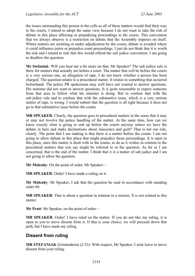the issues surrounding this person in the cells as all of these matters would find their way to the courts. I intend to adopt the same view because I do not want to take the risk of debate in this place affecting or prejudicing proceedings in the courts. This convention that we always observe is a restriction on debate that the Assembly imposes on itself. Where matters are awaiting or under adjudication by the courts, debate is avoided where it could influence juries or prejudice court proceedings. I just do not think that it is worth the risk and I intend to rule that this would offend the sub judice convention. I am going to disallow the question.

**Mr Stefaniak**: Will you hear me a bit more on that, Mr Speaker? The sub judice rule is there for matters that actually are before a court. The matter that will be before the courts is a very serious one, an allegation of rape. I do not know whether a person has been charged. The question relates to a procedural matter. It relates to something that occurred beforehand. The police PR spokesman may well have not wanted to answer questions. His minister did not want to answer questions. It is quite reasonable to expect someone from that area to follow what his minister is doing. But to confuse that with the sub judice rule and to confuse that with the substantive issue, which is a very serious matter of rape, is wrong. I would submit that the question is all right because it does not go to that substantive issue before the courts.

**MR SPEAKER**: Clearly, the question goes to procedural matters in the sense that it may or may not involve the police handling of the matter. At the same time, how can we know exactly what is going to end up before the courts anyway unless we have the debate in here and make declarations about innocence and guilt? That is not our role, clearly. The point that I am making is that there is a matter before the courts. I am not going to allow debate in this place that might prejudice those proceedings. It is open to this place, once this matter is dealt with in the courts, to do as it wishes in relation to the procedural matters that you say might be referred to in the question. As far as I am concerned, that is the end of the matter. I think that it is a matter of sub judice and I am not going to allow the question.

**Mr Mulcahy**: On the point of order, Mr Speaker—

**MR SPEAKER**: Order! I have made a ruling on it.

**Mr Mulcahy**: Mr Speaker, I ask that the question be read in accordance with standing order 60.

**MR SPEAKER**: That is about a question in relation to a motion. It is not related to this matter.

**Mr Pratt**: Mr Speaker, on the point of order—

**MR SPEAKER**: Order! I have ruled on the matter. If you do not like my ruling, it is open to you to move dissent from it. If that is your choice, we will proceed down that path, but I have made my ruling.

# **Dissent from ruling**

**MR STEFANIAK** (Ginninderra) (2.52): With respect, Mr Speaker, I seek leave to move dissent from your ruling.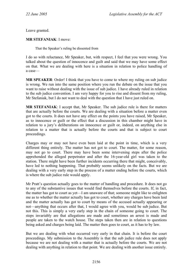Leave granted.

### **MR STEFANIAK**: I move:

That the Speaker's ruling be dissented from

I do so with reluctance, Mr Speaker, but, with respect, I feel that you were wrong. You talked about the question of innocence and guilt and said that we may have some effect on that. What we are dealing with here is a situation in relation to police handling of a case—

**MR SPEAKER**: Order! I think that you have to come to where my ruling on sub judice is wrong. We run into the same position where you run the debate on the issue that you want to raise without dealing with the issue of sub judice. I have already ruled in relation to the sub judice convention. I am very happy for you to rise and dissent from my ruling, Mr Stefaniak, but I do not want to deal with the question that I have just ruled on.

**MR STEFANIAK**: I accept that, Mr Speaker. The sub judice rule is there for matters that are actually before the courts. We are dealing with a situation before a matter even got to the courts. It does not have any effect on the points you have raised, Mr Speaker, as to innocence or guilt or the effect that a discussion in this chamber might have in relation to a jury's deliberations on innocence or guilt or, indeed, on anything else in relation to a matter that is actually before the courts and that is subject to court proceedings.

Charges may or may not have even been laid at the point in time, which is a very different thing entirely. The matter has not got to court. The matter, for some reason, may not go to court. There may have been some intervening steps after the police apprehended the alleged perpetrator and after the 16-year-old girl was taken to the station. There might have been further incidents occurring there that might, conceivably, have led to nothing happening. That probably seems unlikely on the facts. But we are dealing with a very early step in the process of a matter ending before the courts, which is where the sub judice rule would apply.

Mr Pratt's question actually goes to the matter of handling and procedure. It does not go to any of the substantive issues that would find themselves before the courts. If, in fact, the matter has got to court as yet—I am unaware of that; someone might like to enlighten me as to whether the matter actually has got to court, whether any charges have been laid and the matter actually has got to court by means of the accused actually appearing or not—anything that occurs after that, I would agree with you, would be sub judice. But not this. This is simply a very early step in the chain of someone going to court. The steps invariably are that allegations are made and sometimes an arrest is made and people are taken to the watch house. The steps taken then are in relation to questions being asked and charges being laid. The matter then goes to court, as it has to by law.

But we are dealing with what occurred very early in that chain. It is before the court proceedings. My submission to the Assembly is that the sub judice rule does not apply because we are not dealing with a matter that is actually before the courts. We are not dealing with anything in relation to that point. We are dealing with another issue entirely.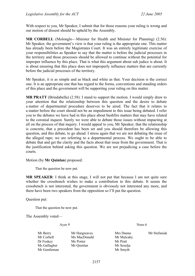With respect to you, Mr Speaker, I submit that for those reasons your ruling is wrong and our motion of dissent should be upheld by the Assembly.

**MR CORBELL** (Molonglo—Minister for Health and Minister for Planning) (2.56): Mr Speaker, the government's view is that your ruling is the appropriate one. This matter has already been before the Magistrates Court. It was an entirely legitimate exercise of your responsibilities as Speaker to say that the matter is before the judicial processes in the territory and those processes should be allowed to continue without the potential for improper influence by this place. That is what this argument about sub judice is about. It is about ensuring that this place does not improperly influence matters that are currently before the judicial processes of the territory.

Mr Speaker, it is as simple and as black and white as that. Your decision is the correct one. It is an appropriate one that has regard to the forms, conventions and standing orders of this place and the government will be supporting your ruling on this matter.

**MR PRATT** (Brindabella) (2.58): I stand to support the motion. I would simply draw to your attention that the relationship between this question and the desire to debate a matter of departmental procedure deserves to be aired. The fact that it relates to a matter before the court should not be an impediment to this issue being debated. I refer you to the debates we have had in this place about bushfire matters that may have related to the coronial inquest. Surely we were able to debate those issues without impacting at all on the process of that inquiry. I would appeal to you, Mr Speaker, that the relationship is concrete, that a precedent has been set and you should therefore be allowing this question, and this debate, to go ahead. I stress again that we are not debating the issue of the alleged rape; we are referring to a departmental process. We ought to be able to debate that and get the clarity and the facts about that issue from the government. That is the justification behind asking this question. We are not prejudicing a case before the courts.

Motion (by **Mr Quinlan**) proposed:

That the question be now put.

**MR SPEAKER**: I think at this stage, I will not put that because I am not quite sure whether the crossbench wishes to make a contribution to this debate. It seems the crossbench is not interested, the government is obviously not interested any more, and there have been two speakers from the opposition so I'll put the question.

Question put:

That the question be now put.

The Assembly voted—

Ayes 9 Noes 6

- Mr Berry Mr Hargreaves Mrs Dunne Mr Stefaniak Mr Corbell Ms MacDonald Mr Mulcahy Dr Foskey Ms Porter Mr Pratt Ms Gallagher Mr Quinlan Mr Seselja Mr Gentleman Mr Smyth
	-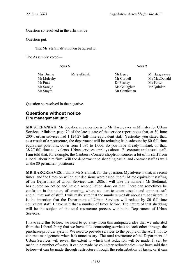Question so resolved in the affirmative

Question put:

That **Mr Stefaniak's** motion be agreed to.

The Assembly voted—

Ayes 6 Noes 9

| Mrs Dunne  | Mr Stefaniak | Mr Berry     | Mr Hargreav |
|------------|--------------|--------------|-------------|
| Mr Mulcahy |              | Mr Corbell   | Ms MacDon   |
| Mr Pratt   |              | Dr Foskey    | Ms Porter   |
| Mr Seselja |              | Ms Gallagher | Mr Quinlan  |
| Mr Smyth   |              | Mr Gentleman |             |

Mrs Dunne Mr Stefaniak Mr Berry Mr Hargreaves Mr Mulcahy Mr Corbell Ms MacDonald

Question so resolved in the negative.

# **Questions without notice Fire management unit**

**MR STEFANIAK**: Mr Speaker, my question is to Mr Hargreaves as Minister for Urban Services. Minister, page 70 of the latest state of the service report notes that, at 30 June 2004, urban services had 1,124.27 full-time equivalent staff. Yesterday you stated that, as a result of a restructure, the department will be reducing its headcount by 80 full-time equivalent positions, down from 1,086 to 1,006. So you have already mislaid, on that, 38.27 full-time equivalents. Urban services employs about 171 contract and casual staff. I am told that, for example, the Canberra Connect shopfront sources a lot of its staff from a local labour hire firm. Will the department be shedding casual and contract staff as well as the 80 permanent positions?

**MR HARGREAVES**: I thank Mr Stefaniak for the question. My advice is that, in recent times, and the times on which our decisions were based, the full-time equivalent staffing of the Department of Urban Services was 1,086. I will take the numbers Mr Stefaniak has quoted on notice and have a reconciliation done on that. There can sometimes be confusion in the nature of counting, where we start to count casuals and contract staff and all that sort of stuff. I will make sure that the numbers we talk about are consistent. It is the intention that the Department of Urban Services will reduce by 80 full-time equivalent staff. I have said that a number of times before. The nature of that shedding will be the subject of the total restructure process within the Department of Urban Services.

I have said this before: we need to go away from this antiquated idea that we inherited from the Liberal Party that we have silos contracting services to each other through the purchaser/provider system. We need to provide services to the people of the ACT, not to contract management when it is unnecessary. The total restructure of the Department of Urban Services will reveal the extent to which that reduction will be made. It can be made in a number of ways. It can be made by voluntary redundancies—we have said that before—it can be made through restructure through the redistribution of tasks; or it can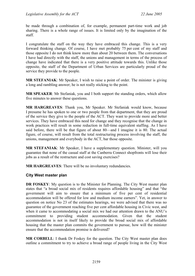be made through a combination of, for example, permanent part-time work and job sharing. There is a whole range of issues. It is limited only by the imagination of the staff.

I congratulate the staff on the way they have embraced this change. This is a very forward thinking change. Of course, I have met probably 75 per cent of my staff and those opposite I do not think know more than about 20 between them. The conversations I have had directly with the staff, the unions and management in terms of the process of change have indicated that there is a very positive attitude towards this. Unlike those opposite, the staff of the Department of Urban Services are particularly proud of the service they provide to the people.

**MR STEFANIAK**: Mr Speaker, I wish to raise a point of order. The minister is giving a long and rambling answer; he is not really sticking to the point.

**MR SPEAKER**: Mr Stefaniak, you and I both support the standing orders, which allow five minutes to answer these questions.

**MR HARGREAVES**: Thank you, Mr Speaker. Mr Stefaniak would know, because I presume he has spoken to one or two people from that department, that they are proud of the service they give to the people of the ACT. They want to provide more and better services. They have embraced this need for change and they recognise that the change in work practices will result in some reduction in full-time equivalent staffing. As I have said before, there will be that figure of about 80—and I imagine it is 80. The actual figure, of course, will result from the total restructuring process involving the staff, the unions, management and everybody in the ACT, bar those opposite.

**MR STEFANIAK**: Mr Speaker, I have a supplementary question. Minister, will you guarantee that none of the casual staff at the Canberra Connect shopfronts will lose their jobs as a result of the restructure and cost saving exercises?

**MR HARGREAVES**: There will be no involuntary redundancies.

### **City West master plan**

**DR FOSKEY**: My question is to the Minister for Planning. The City West master plan states that "a broad social mix of residents requires affordable housing" and that "the government will aim to ensure that a minimum of five per cent of residential accommodation will be offered for low and medium income earners". Yet, in answer to question on notice No 23 of the estimates hearings, we were advised that there was no guarantee of the government reaching five per cent affordable housing in Civic west, and when it came to accommodating a social mix we had our attention drawn to the ANU's commitment to providing student accommodation. Given that the student accommodation is not in itself likely to provide the broad social mix of affordable housing that the master plan commits the government to pursue, how will the minister ensure that the accommodation promise is delivered?

**MR CORBELL:** I thank Dr Foskey for the question. The City West master plan does outline a commitment to try to achieve a broad range of people living in the City West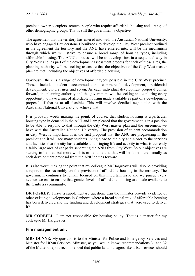precinct: owner occupiers, renters, people who require affordable housing and a range of other demographic groups. That is still the government's objective.

The agreement that the territory has entered into with the Australian National University, who have engaged Baulderstone Hornibrook to develop the City West precinct outlined in the agreement the territory and the ANU have entered into, will be the mechanism through which we will strive to ensure a broad range of housing types, including affordable housing. The ANU's process will be to develop sites in a sequential way in City West and, as part of the development assessment process for each of those sites, the planning authority will be seeking to ensure that the objectives of the City West master plan are met, including the objectives of affordable housing.

Obviously, there is a range of development types possible in the City West precinct. Those include student accommodation, commercial development, residential development, cultural uses and so on. As each individual development proposal comes forward, the planning authority and the government will be seeking and exploring every opportunity to have a mix of affordable housing made available as part of a development proposal, if that is at all feasible. This will involve detailed negotiation with the Australian National University to achieve that.

It is probably worth making the point, of course, that student housing is a particular housing type in demand in the ACT and I am pleased that the government is in a position to be able to respond to that through the City West master plan and the agreement we have with the Australian National University. The provision of student accommodation in City West is important. It is the first proposal that the ANU are progressing in the precinct and it will see many students living close to the city and closer to the services and facilities that the city has available and bringing life and activity to what is currently a fairly large area of car parks separating the ANU from City West. So our objectives are starting to be met, but more work is to be done and that will be done incrementally as each development proposal from the ANU comes forward.

It is also worth making the point that my colleague Mr Hargreaves will also be providing a report to the Assembly on the provision of affordable housing in the territory. The government continues to remain focused on this important issue and we pursue every avenue we can to ensure that greater levels of affordable housing are made available to the Canberra community.

**DR FOSKEY**: I have a supplementary question. Can the minister provide evidence of other existing developments in Canberra where a broad social mix of affordable housing has been delivered and the funding and development strategies that were used to deliver it?

**MR CORBELL**: I am not responsible for housing policy. That is a matter for my colleague Mr Hargreaves.

### **Fire management unit**

**MRS DUNNE**: My question is to the Minister for Police and Emergency Services and Minister for Urban Services. Minister, as you would know, recommendations 31 and 32 of the McLeod report recommended that public land managers like urban services should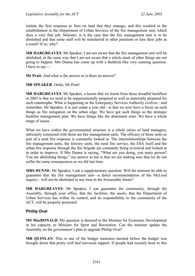initiate the first response to fires on land that they manage, and this resulted in the establishment in the Department of Urban Services of the fire management unit, which does a very fine job. Minister, is it the case that the fire management unit is to be abolished and that some staff will be transferred to other positions or lose their jobs as a result? If so, why?

**MR HARGREAVES**: Mr Speaker, I am not aware that the fire management unit will be abolished, in the same way that I am not aware that a whole stack of other things are not going to happen. Mrs Dunne has come up with a Baldrick-like very cunning question. I have to say—

**Mr Pratt**: And what is the answer or is there an answer?

**MR SPEAKER**: Order, Mr Pratt!

**MR HARGREAVES**: Mr Speaker, a lesson that we learnt from those dreadful bushfires in 2003 is that we need to be organisationally prepared as well as materially prepared for such catastrophe. What is happening as the Emergency Services Authority evolves—and remember, Mr Speaker, it is just under a year old—is that we now have a focus on such things as fire mitigation on the urban edge. We have got such things as the strategic bushfire management plan. We have things like the abatement zone. We have a whole range of issues.

What we have within the governmental structure is a whole series of land managers; intricately connected with those are fire management units. The efficacy of those units as part of a total fire response is constantly looked at. The interrelationships between the fire management units, the forestry units, the rural fire service, the ESA itself and the urban fire response through the fire brigade are constantly being reviewed and looked at in order to improve. If Mrs Dunne is saying, "What are you doing, you nasty person? You are abolishing things," my answer to her is that we are making sure that we do not suffer the same consequences as we did last time.

**MRS DUNNE**: Mr Speaker, I ask a supplementary question. Will the minister be able to guarantee that the fire management unit—a direct recommendation of the McLeod inquiry—will not be abolished at any time in the foreseeable future?

**MR HARGREAVES**: Mr Speaker, I can guarantee the community, through the Assembly, through your office, that the facilities, the assets, that the Department of Urban Services has within its control, and its responsibility to the community of the ACT, will be properly protected.

## **Phillip Oval**

**MS MacDONALD**: My question is directed to the Minister for Economic Development in his capacity as Minister for Sport and Recreation. Can the minister update the Assembly on the government's plan to upgrade Phillip Oval?

**MR QUINLAN**: This is one of the budget measures mooted before the budget was brought down that pretty well had universal support. If people had recently been to this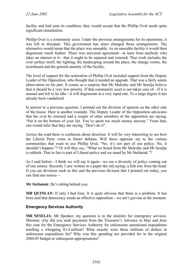facility and had seen its condition, they would accept that the Phillip Oval needs quite significant remediation.

Phillip Oval is a community asset. Under the previous arrangements for its operations, it was left in disrepair. This government has since changed those arrangements. The alternative would mean that the place was unusable. As an unusable facility it would then degenerate much further. There was universal agreement—at least from anybody who takes an interest in it—that it ought to be repaired and restored. That work includes the oval surface itself, the lighting, the landscaping around the place, the change rooms, the scoreboard and the general amenity of the facility.

The level of support for the restoration of Phillip Oval included support from the Deputy Leader of the Opposition, who thought that it needed an upgrade. That was a fairly astute observation on his part. It comes as a surprise that Mr Mulcahy and Mr Seselja believe that it should be a very low priority. If that community asset is not taken care of—if it is unused and left to lie idle—it will degenerate at a very rapid rate. To a large degree it has already been vandalised.

In answer to a previous question, I pointed out the division of opinion on the other side of the house. Here is another example. The Deputy Leader of the Opposition advocates that the oval be restored and a couple of other members of the opposition are saying, "Put it on the bottom of your list. You've spent too much money anyway." From that, one would infer that they are saying, "Don't do it".

Across the road there is confusion about direction. It will be very interesting to see how the Liberal Party votes in future debates. Will those opposite say to the various communities that want to use Phillip Oval, "No, it's not part of our policy. No, it shouldn't happen."? Or will they say, "What we heard from Mr Mulcahy and Mr Seselja is rubbish. That in fact is part of Liberal policy and we stand by Mr Stefaniak."?

As I said before—I think we will say it again—we see a diversity of policy coming out of one source. Recently I saw written in a paper the old saying: a fish rots from the head. If you see divisions such as this and the previous division that I pointed out today, you can find one source—

**Mr Stefaniak**: He's sitting behind you.

**MR QUINLAN**: If only I had time. It is quite obvious that there is a problem. It has been said that democracy needs an effective opposition—we ain't got one at the moment.

## **Emergency Services Authority**

**MR SESELJA**: Mr Speaker, my question is to the minister for emergency services. Minister, why did you seek payments from the Treasurer's Advance in May and June this year for the Emergency Services Authority for unforeseen operational expenditure totalling a whopping \$3.4 million? What exactly were these millions of dollars in unforeseen expenditure for? Why was this spending not provided for in the original 2004-05 budget or subsequent appropriations?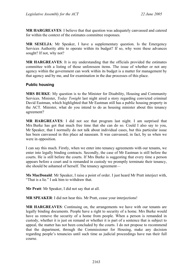**MR HARGREAVES**: I believe that that question was adequately canvassed and catered for within the context of the estimates committee responses.

**MR SESELJA**: Mr Speaker, I have a supplementary question. Is the Emergency Services Authority able to operate within its budget? If so, why were these advances sought? If not, why not?

**MR HARGREAVES**: It is my understanding that the officials provided the estimates committee with a listing of those unforeseen items. The issue of whether or not any agency within the government can work within its budget is a matter for management by that agency and by me, and for examination in the due processes of this place.

## **Public housing**

**MRS BURKE**: My question is to the Minister for Disability, Housing and Community Services. Minister, *Today Tonight* last night aired a story regarding convicted criminal David Eastman, which highlighted that Mr Eastman still has a public housing property in the ACT. Minister, what do you intend to do as housing minister about this tenancy agreement?

**MR HARGREAVES**: I did not see that program last night. I am surprised that Mrs Burke has got that much free time that she can do so. Could I also say to you, Mr Speaker, that I normally do not talk about individual cases, but this particular issue has been canvassed in this place ad nauseam. It was canvassed, in fact, by us when we were in opposition.

I can say this much. Firstly, when we enter into tenancy agreements with our tenants, we enter into legally binding contracts. Secondly, the case of Mr Eastman is still before the courts. He is still before the courts. If Mrs Burke is suggesting that every time a person appears before a court and is remanded in custody we promptly terminate their tenancy, she should be ashamed of herself. The tenancy agreement—

**Ms MacDonald**: Mr Speaker, I raise a point of order. I just heard Mr Pratt interject with, "That is a lie." I ask him to withdraw that.

**Mr Pratt**: Mr Speaker, I did not say that at all.

**MR SPEAKER**: I did not hear this. Mr Pratt, cease your interjections!

**MR HARGREAVES**: Continuing on, the arrangements we have with our tenants are legally binding documents. People have a right to security of a home. Mrs Burke would have us remove the security of a home from people. When a person is remanded in custody, whether it is just on remand or whether it is part of a sentence that is subject to appeal, the matter has not been concluded by the courts. I do not propose to recommend that the department, through the Commissioner for Housing, make any decision regarding people's tenancies until such time as judicial proceedings have run their full course.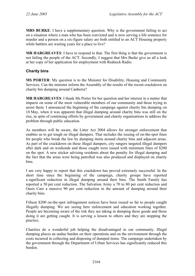**MRS BURKE**: I have a supplementary question. Why is the government failing to act on a situation where a man who has been convicted and is now serving a life sentence for murder and a person on a six-figure salary are both entitled to an ACT Housing property while battlers are waiting years for a place to live?

**MR HARGREAVES**: I have to respond to that. The first thing is that the government is not failing the people of the ACT. Secondly, I suggest that Mrs Burke give us all a look at her copy of her application for employment with Redneck Radio.

# **Charity bins**

**MS PORTER**: My question is to the Minister for Disability, Housing and Community Services. Can the minister inform the Assembly of the results of the recent crackdown on charity bin dumping around Canberra?

**MR HARGREAVES**: I thank Ms Porter for her question and her interest in a matter that impacts on some of the most vulnerable members of our community and those trying to assist them. I announced the beginning of the campaign against charity bin dumping on 10 May, when it was apparent that illegal dumping around charity bins was still on the rise, in spite of continuing efforts by government and charity organisations to address the problem through public education.

As members will be aware, the Litter Act 2004 allows for stronger enforcement that enables us to get tough on illegal dumpers. That includes the issuing of on-the-spot fines for people who break the law by dumping items around charity bins and adjacent areas. As part of the crackdown on these illegal dumpers, city rangers targeted illegal dumpers after dark and on weekends and those caught were issued with minimum fines of \$200 on the spot. A new sticker advising residents about the penalty for illegal dumping and the fact that the areas were being patrolled was also produced and displayed on charity bins.

I am very happy to report that this crackdown has proved extremely successful. In the short time since the beginning of the campaign, charity groups have reported a significant reduction in illegal dumping around their bins. The Smith Family has reported a 50 per cent reduction. The Salvation Army a 70 to 80 per cent reduction and Oasis Care a massive 90 per cent reduction in the amount of dumping around their charity bins.

Fifteen \$200 on-the-spot infringement notices have been issued so far to people caught illegally dumping. We are seeing here enforcement and education working together. People are becoming aware of the risk they are taking in dumping these goods and those doing it are getting caught. It is serving a lesson to others and they are stopping the practice.

Charities do a wonderful job helping the disadvantaged in our community. Illegal dumping places an undue burden on their operations and on the environment through the costs incurred in collecting and disposing of dumped items. The campaign undertaken by the government through the Department of Urban Services has significantly reduced this burden.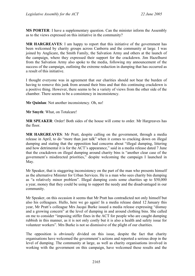**MS PORTER**: I have a supplementary question. Can the minister inform the Assembly as to the views expressed on this initiative in the community?

**MR HARGREAVES**: I am happy to report that this initiative of the government has been welcomed by charity groups across Canberra and the community at large. I was joined by Anglicare, the Smith Family, the Salvation Army and others at the launch of the campaign, where they expressed their support for the crackdown. Jim Hazelhurst from the Salvation Army also spoke to the media, following my announcement of the success of the campaign, outlining the extreme reduction in dumping that has occurred as a result of this initiative.

I thought everyone was in agreement that our charities should not bear the burden of having to remove this junk from around their bins and that this continuing crackdown is a positive thing. However, there seems to be a variety of views from the other side of the chamber. There seems to be a consistency in inconsistency.

**Mr Quinlan**: Not another inconsistency. Oh, no!

**Mr Smyth**: What, on Totalcare!

**MR SPEAKER**: Order! Both sides of the house will come to order. Mr Hargreaves has the floor.

**MR HARGREAVES**: Mr Pratt, despite calling on the government, through a media release in April, to do "more than just talk" when it comes to cracking down on illegal dumping and stating that the opposition had concerns about "illegal dumping, littering and how detrimental it is for the ACT's appearance," said in a media release dated 7 June that the crackdown on illegal dumping around charity bins is "another clear case of the government's misdirected priorities," despite welcoming the campaign I launched in May.

Mr Speaker, that is staggering inconsistency on the part of the man who presents himself as the alternative Minister for Urban Services. He is a man who sees charity bin dumping as "a relatively minor problem". Illegal dumping costs some charities up to \$50,000 a year, money that they could be using to support the needy and the disadvantaged in our community.

Mr Speaker, on this occasion it seems that Mr Pratt has contradicted not only himself but also his colleagues. Hullo, here we go again! In a media release dated 12 January this year, Mr Pratt's colleague Mrs Jacqui Burke issued a media release expressing "dismay and a growing concern" at the level of dumping in and around clothing bins. She called on me to consider "imposing stiffer fines in the ACT for people who are caught dumping rubbish in this manner, as it is not only costly but it is also a health and safety issue for volunteer workers". Mrs Burke is not so dismissive of the plight of our charities.

The opposition is obviously divided on this issue, despite the fact that charity organisations have welcomed the government's actions and reported a serious drop in the level of dumping. The community at large, as well as charity organisations involved in working with the government on this campaign, have welcomed these results and the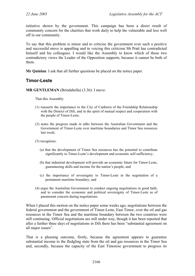initiative shown by the government. This campaign has been a direct result of community concern for the charities that work daily to help the vulnerable and less well off in our community.

To say that this problem is minor and to criticise the government over such a positive and successful move is appalling and in voicing this criticism Mr Pratt has contradicted himself and his colleagues. I would like the Assembly to know which of those two contradictory views the Leader of the Opposition supports, because it cannot be both of them.

**Mr Quinlan**: I ask that all further questions be placed on the notice paper.

# **Timor-Leste**

**MR GENTLEMAN** (Brindabella) (3.36): I move:

That this Assembly:

- (1) reasserts the importance to the City of Canberra of the Friendship Relationship with the District of Dili, and in the spirit of mutual respect and cooperation with the people of Timor-Leste;
- (2) notes the progress made in talks between the Australian Government and the Government of Timor-Leste over maritime boundaries and Timor Sea resources last week;
- (3) recognises:
	- (a) that the development of Timor Sea resources has the potential to contribute significantly to Timor-Leste's development and economic self-sufficiency;
	- (b) that industrial development will provide an economic future for Timor-Leste, guaranteeing skills and income for the nation's people; and
	- (c) the importance of sovereignty to Timor-Leste in the negotiation of a permanent maritime boundary; and
- (4) urges the Australian Government to conduct ongoing negotiations in good faith, and to consider the economic and political sovereignty of Timor-Leste as of paramount concern during negotiations.

When I placed this motion on the notice paper some weeks ago, negotiations between the federal government and the government of Timor-Leste, East Timor, over the oil and gas resources in the Timor Sea and the maritime boundary between the two countries were still continuing. Official negotiations are still under way, though it has been reported that after a further three days of negotiations in Dili there has been "substantial agreement on all major issues".

That is a pleasing outcome, firstly, because the agreement appears to guarantee substantial income to the fledgling state from the oil and gas resources in the Timor Sea and, secondly, because the capacity of the East Timorese government to progress its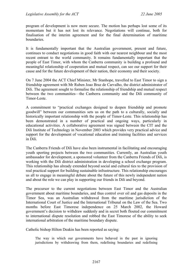program of development is now more secure. The motion has perhaps lost some of its momentum but it has not lost its relevance. Negotiations will continue, both for finalisation of the interim agreement and for the final determination of maritime boundaries.

It is fundamentally important that the Australian government, present and future, continues to conduct negotiations in good faith with our nearest neighbour and the most recent entrant to the world community. It remains fundamentally important that the people of East Timor, with whom the Canberra community is building a profound and meaningful relationship of cooperation and mutual respect, can see our support for their cause and for the future development of their nation, their economy and their society.

On 7 June 2004 the ACT Chief Minister, Mr Stanhope, travelled to East Timor to sign a friendship agreement with Mr Ruben Joao Braz de Carvalho, the district administrator of Dili. The agreement sought to formalise the relationship of friendship and mutual respect between the two communities—the Canberra community and the Dili community of Timor-Leste.

A commitment to "practical exchanges designed to deepen friendship and promote goodwill" between our communities sets us on the path to a culturally, socially and historically important relationship with the people of Timor-Leste. This relationship has been demonstrated in a number of practical and ongoing ways, particularly in educational activities. A collaborative agreement was signed between the CIT and the Dili Institute of Technology in November 2003 which provides very practical advice and support for the development of vocational education and training facilities and services in Dili.

The Canberra Friends of Dili have also been instrumental in facilitating and encouraging youth sporting projects between the two communities. Currently, an Australian youth ambassador for development, a sponsored volunteer from the Canberra Friends of Dili, is working with the Dili district administration in developing a school exchange program. This relationship has already extended beyond social and cultural ties to the provision of real practical support for building sustainable infrastructure. This relationship encourages us all to engage in meaningful debate about the future of this newly independent nation and about the role we can play in supporting our friends in Dili and beyond.

The precursor to the current negotiations between East Timor and the Australian government about maritime boundaries, and thus control over oil and gas deposits in the Timor Sea, was an Australian withdrawal from the maritime jurisdiction of the International Court of Justice and the International Tribunal on the Law of the Sea. Two months before East Timorese independence on 25 March 2002, the Howard government's decision to withdraw suddenly and in secret both flouted our commitment to international dispute resolution and robbed the East Timorese of the ability to seek international arbitration of the maritime boundary dispute.

Catholic bishop Hilton Deakin has been reported as saying:

The way in which our governments have behaved in the past in ignoring jurisdictions by withdrawing from them, redefining boundaries and redefining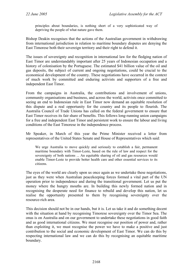principles about boundaries, is nothing short of a very sophisticated way of depriving the people of what nature gave them.

Bishop Deakin recognises that the actions of the Australian government in withdrawing from international jurisdiction in relation to maritime boundary disputes are denying the East Timorese both their sovereign territory and their right to defend it.

The issues of sovereignty and recognition in international law for the fledging nation of East Timor are understandably important after 25 years of Indonesian occupation and a history of colonisation by the Portuguese. The estimated \$41 billion value of the oil and gas deposits, the subject of current and ongoing negotiations, could be crucial to the economical development of the country. These negotiations have occurred in the context of much work by committed and enduring activists and supporters of a free and independent East Timor.

From the campaigns in Australia, the contributions and involvement of unions, community organisations and business, and across the world, activists once committed to seeing an end to Indonesian rule in East Timor now demand an equitable resolution of this dispute and a real opportunity for the country and its people to flourish. The Australia Council of Trade Unions has called on the federal government to ensure that East Timor receives its fair share of benefits. This follows long-running union campaigns for a free and independent East Timor and persistent work to ensure the labour and living conditions of the East Timorese in the independence process.

Mr Speaker, in March of this year the Prime Minister received a letter from representatives of the United States Senate and House of Representatives which said:

We urge Australia to move quickly and seriously to establish a fair, permanent maritime boundary with Timor-Leste, based on the rule of law and respect for the sovereignty of both nations ... An equitable sharing of oil and gas resources would enable Timor-Leste to provide better health care and other essential services to its citizens.

The eyes of the world are clearly upon us once again as we undertake these negotiations, just as they were when Australian peacekeeping forces formed a vital part of the UN operation prior to independence and during the transitional government. Let us put the money where the hungry mouths are. In building this newly formed nation and in recognising the desperate need for finance to rebuild and develop this nation, let us realise the opportunity presented to them by recognising sovereignty over the resource-rich area.

This decision should not be in our hands, but it is. Let us take it and do something decent with the situation at hand by recognising Timorese sovereignty over the Timor Sea. The onus is on Australia and on our government to undertake these negotiations in good faith and as good international citizens. We must recognise our position of power and, rather than exploiting it, we must recognise the power we have to make a positive and just contribution to the social and economic development of East Timor. We can do this by respecting international law and we can do this by recognising an equitable maritime boundary.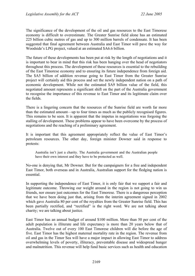The significance of the development of the oil and gas resources to the East Timorese economy is difficult to overestimate. The Greater Sunrise field alone has an estimated 225 billion cubic metres of gas and up to 300 million barrels of condensate. It has been suggested that final agreement between Australia and East Timor will pave the way for Woodside's LPG project, valued at an estimated \$A6.6 billion.

The future of these developments has been put at risk by the length of negotiations and it is important to bear in mind that this risk has been hanging over the head of negotiators throughout this process. The development of these resources is essential to the rebuilding of the East Timorese economy and to ensuring its future independence from foreign aid. The \$A5 billion of addition revenue going to East Timor from the Greater Sunrise project will certainly aid this process and set the newly independent nation on a path of economic development. While not the estimated \$A9 billion value of the field, this negotiated amount represents a significant shift on the part of the Australia government to recognise the importance of this revenue to East Timor and its legitimate claim over the fields.

There is a lingering concern that the resources of the Sunrise field are worth far more than the estimated amount—up to four times as much as the publicly recognised figures. This remains to be seen. It is apparent that the impetus in negotiations was forgoing the stalling of development. These problems appear to have been overcome by the process of negotiations and the reaching of a preliminary agreement.

It is important that this agreement appropriately reflect the value of East Timor's petroleum resources. The other day, foreign minister Downer said in response to protests:

Australia isn't just a charity. The Australia government and the Australian people have their own interest and they have to be protected as well.

No-one is denying that, Mr Downer. But for the campaigners for a free and independent East Timor, both overseas and in Australia, Australian support for the fledging nation is essential.

In supporting the independence of East Timor, it is only fair that we support a fair and legitimate outcome. Throwing our weight around in the region is not going to win us friends, nor ensure just outcomes for the East Timorese. There is a dangerous perception that we have been doing just that, arising from the interim agreement signed in 2002 which gave Australia 80 per cent of the royalties from the Greater Sunrise field. This has been partially rectified, and "rectified" is the right word. We are not talking about charity; we are talking about justice.

East Timor has an annual budget of around \$100 million. More than 50 per cent of the adult population is illiterate and life expectancy is more than 20 years below that of Australia. Twelve out of every 100 East Timorese children will die before the age of five. East Timor has the highest maternal mortality rate in the region. The revenue from oil and gas in the Timor Sea will have a major impact in allowing East Timor to address overwhelming levels of poverty, illiteracy, preventable disease and widespread hunger and malnutrition. This revenue will help fund basic services such as health and education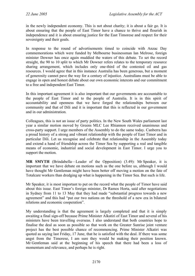in the newly independent economy. This is not about charity; it is about a fair go. It is about ensuring that the people of East Timor have a chance to thrive and flourish in independence and it is about ensuring justice for the East Timorese and respect for their sovereignty and their goals.

In response to the round of advertisements timed to coincide with Anzac Day commemorations which were funded by Melbourne businessman Ian Melrose, foreign minister Downer has once again muddied the waters of this debate. To set the record straight, the 90 to 10 split to which Mr Downer refers relates to the temporary resource sharing arrangement, which includes only one-third of the contested oil and gas resources. I would agree that in this instance Australia has been generous, but a moment of generosity cannot pave the way for a century of injustice. Australians must be able to engage in open and honest debate about our own economic interests and our commitment to a free and independent East Timor.

In this important agreement it is also important that our governments are accountable to the people of East Timor and to the people of Australia. It is in this spirit of accountability and openness that we have forged the relationships between our community and that of Dili and it is important that this is reflected in our government and in our administration.

Colleagues, this is not an issue of party politics. In the New South Wales parliament last year a similar motion moved by Greens MLC Lee Rhiannon received unanimous and cross-party support. I urge members of the Assembly to do the same today. Canberra has a proud history of a strong and vibrant relationship with the people of East Timor and in particular Dili. Let us recognise and celebrate that relationship in the Assembly today and extend a hand of friendship across the Timor Sea by supporting a real and tangible means of economic, industrial and social development in East Timor. I urge you to support the motion.

**MR SMYTH** (Brindabella—Leader of the Opposition) (3.49): Mr Speaker, it is important that we have debate on motions such as the one before us, although I would have thought Mr Gentleman might have been better off moving a motion on the fate of Totalcare workers than dredging up what is happening in the Timor Sea. But such is life.

Mr Speaker, it is most important to put on the record what the people of Timor have said about this issue. East Timor's foreign minister, Dr Ramos Horta, said after negotiations in Sydney from 11 to 13 May that they had made "substantial progress towards a new agreement" and this had "put our two nations on the threshold of a new era in bilateral relations and economic cooperation".

My understanding is that the agreement is largely completed and that it is simply awaiting a final sign-off because Prime Minister Alkatiri of East Timor and several of his ministers have been travelling overseas. I also understand that both countries hope to finalise the deal as soon as possible so that work on the Greater Sunrise joint venture project has the best possible chance of recommencing. Prime Minister Alkatiri was quoted as saying last Friday, 17 June, that he is satisfied with the deal. If there was some angst from the Timorese, I am sure they would be making their position known. Mr Gentleman said at the beginning of his speech that there had been a loss of momentum and relevance, and perhaps he is right.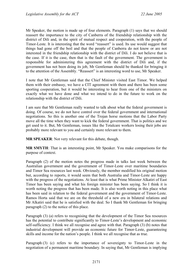Mr Speaker, the motion is made up of four elements. Paragraph (1) says that we should reassert the importance to the city of Canberra of the friendship relationship with the district of Dili and, in the spirit of mutual respect and cooperation, with the people of Timor-Leste. It is interesting that the word "reassert" is used. Its use would suggest that things had gone off the boil and that the people of Canberra do not know or are not interested in the friendship relationship with the district of Dili. I do not believe that is the case. If it is the case, then that is the fault of the government. The government is responsible for administering this agreement with the district of Dili and, if the government has not been doing its job, Mr Gentleman should be thanked for bringing it to the attention of the Assembly. "Reassert" is an interesting word to use, Mr Speaker.

I note that Mr Gentleman said that the Chief Minister visited East Timor. We helped them with their embassy, we have a CIT agreement with them and there has been some sporting cooperation, but it would be interesting to hear from one of the ministers on exactly what we have done and what we intend to do in the future to work on the relationship with the district of Dili.

I am sure that Mr Gentleman really wanted to talk about what the federal government is doing. Of course, we do not have control over the federal government and international negotiations. So this is another one of the Trojan horse motions that the Labor Party move all the time when they want to kick the federal government. That is politics and we get used to it. But, Mr Gentleman, issues like the Totalcare workers losing their jobs are probably more relevant to you and certainly more relevant to them.

**MR SPEAKER**: Not very relevant for this debate, though.

**MR SMYTH**: That is an interesting point, Mr Speaker. You make comparisons for the purpose of context.

Paragraph (2) of the motion notes the progress made in talks last week between the Australian government and the government of Timor-Leste over maritime boundaries and Timor Sea resources last week. Obviously, the member modified his original motion but, according to reports, it would seem that both Australia and Timor-Leste are happy with the progress of the negotiations. At least that is what Prime Minister Alkatiri of East Timor has been saying and what his foreign minister has been saying. So I think it is worth noting the progress that has been made. It is also worth noting in this place what has been said in relation to the federal government and the government of Timor-Leste. Ramos Horta said that we are on the threshold of a new era in bilateral relations and Mr Alkatiri said that he is satisfied with the deal. So I thank Mr Gentleman for bringing paragraph (2) to the notice of this place.

Paragraph (3) (a) refers to recognising that the development of the Timor Sea resources has the potential to contribute significantly to Timor-Leste's development and economic self-sufficiency. I think we all recognise and agree with that. Paragraph (3) (b) notes that industrial development will provide an economic future for Timor-Leste, guaranteeing skills and income for the nation's people. I think we all recognise that as true.

Paragraph (3) (c) refers to the importance of sovereignty to Timor-Leste in the negotiation of a permanent maritime boundary. In saying that, Mr Gentleman is implying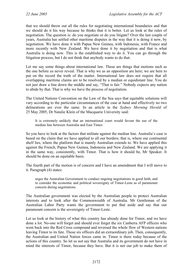that we should throw out all the rules for negotiating international boundaries and that we should do it his way because he thinks that it is better. Let us look at the rules of negotiation. The question is: do you negotiate or do you litigate? Over the last couple of years, Australia has settled other maritime disputes in the way that it is doing it now, by negotiation. We have done it with Papua New Guinea, with Indonesia, with France and more recently with New Zealand. We have done it by negotiation and that is what Australia is doing now. This is the established way to do it. You can go through the litigation process, but I do not think that anybody wants to do that.

Let me say some things about international law. These are things that motions such as the one before us never reveal. That is why we as an opposition are here; we are here to put on the record the truth of the matter. International law does not require that all overlapping maritime claims are to be resolved by a median or equidistant line. You do not just draw a line down the middle and say, "That is fair." Nobody expects any nation to abide by that. That is why we have the process of negotiation.

The United Nations Convention on the Law of the Sea says that equitable solutions will vary according to the particular circumstances of the case at hand and effectively no two delineations are ever the same. In an article in the *Sydney Morning Herald* of 25 May 2005, Dr Natalie Klein of the Macquarie University said:

It is extremely unlikely that an international court would favour the use of the median line between Australia and East Timor.

So you have to look at the factors that militate against the median line. Australia's case is based on the claim that we have applied to all our borders; that is, where our continental shelf lies, where the platform that is mainly Australian extends to. We have applied this against the French, Papua New Guinea, Indonesia and New Zealand. We are applying it in the same way, consistently, with Timor. That is how it should be, Mr Speaker. It should be done on an equitable basis.

The fourth part of the motion is of concern and I have an amendment that I will move to it. Paragraph (4) states:

urges the Australian Government to conduct ongoing negotiations in good faith, and to consider the economic and political sovereignty of Timor-Leste as of paramount concern during negotiations.

The Australian government was elected by the Australian people to protect Australian interests and to look after the Commonwealth of Australia. Mr Gentleman of the Australian Labor Party wants the government to put that aside and say that our paramount concern is the sovereignty of Timor-Leste.

Let us look at the history of what this country has already done for Timor, and we have done a lot. No-one will forget and should ever forget the six Canberra AFP officers who went back into the Red Cross compound and reversed the whole flow of Western nations leaving Timor to its fate. Those six officers did an extraordinary job. Then, consequently, the Australian and United Nation forces came in. Timor is there today because of the actions of this country. So let us not say that Australia and its government do not have in mind the interests of Timor, because they have. But it is not our job to make them of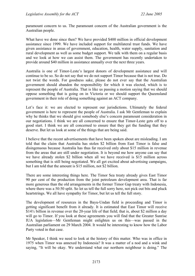paramount concern to us. The paramount concern of the Australian government is the Australian people.

What have we done since then? We have provided \$400 million in official development assistance since 1999. We have included support for multilateral trust funds. We have given assistance in areas of government, education, health, water supply, sanitation and rural development as well as some budget support. We talk with them on a regular basis and we look at how we can assist them. The government has recently undertaken to provide around \$40 million in assistance annually over the next three years.

Australia is one of Timor-Leste's largest donors of development assistance and will continue to be so. So do not say that we do not support Timor because that is not true. Do not twist the words. For goodness sake, please do not ever say that the Australian government should abandon the responsibility for which it was elected, which is to represent the people of Australia. That is like us passing a motion saying that we should oppose something that is going on in Victoria or we should support the Queensland government in their role of doing something against an ACT company.

Let's face it: we are elected to represent our jurisdictions. Ultimately the federal government is here to represent the people of Australia. I ask Mr Gentleman to explain why he thinks that we should give somebody else's concern paramount consideration in our negotiations. I think we are all concerned to ensure that Timor-Leste gets off to a good start. I think we are all concerned to ensure that they get the funding that they deserve. But let us look at some of the things that are being said.

I believe that the recent advertisements that have been spoken about are misleading. I am told that the claim that Australia has stolen \$2 billion from East Timor is false and disingenuous because Australia has thus far received only about \$15 million in revenue from the areas that are still under negotiation. It is beyond me how anyone can say that we have already stolen \$2 billion when all we have received is \$15 million across something that is still being negotiated. We all get excited about advertising campaigns, but I am told that the amount is \$15 million, not \$2 billion.

There are some interesting things here. The Timor Sea treaty already gives East Timor 90 per cent of the production from the joint petroleum development area. That is far more generous than the old arrangements in the former Timor Gap treaty with Indonesia, where there was a 50:50 split. So let us tell the full sorry here, not pick out bits and pluck heartstrings. We all have sympathy for Timor, but let us tell the full story.

The development of resources in the Bayu-Undan field is proceeding and Timor is getting significant benefit from it already. It is estimated that East Timor will receive  $$14\frac{1}{2}$  billion in revenue over the 20-year life of that field; that is, about \$2 million a day will go to Timor. If you look at these agreements you will find that the Greater Sunrise IUA legislation—Mr Gentleman might enlighten us on this—was passed in the Australian parliament on 29 March 2004. It would be interesting to know how the Labor Party voted in that case.

Mr Speaker, I think we need to look at the history of this matter. Who was in office in 1975 when Timor was annexed by Indonesia? It was a matter of a nod and a wink and saying, "It will be okay. We understand what our northern neighbour is doing." The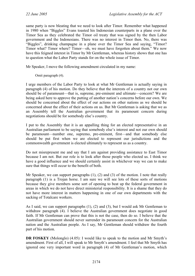same party is now bleating that we need to look after Timor. Remember what happened in 1980 when "Biggles" Evans toasted his Indonesian counterparts in a plane over the Timor Sea as they celebrated the Timor oil treaty that was signed by the then Labor government and the Indonesians. There was no interest in Timor then. No, there was "Biggles", drinking champagne in a plane over the Timor Sea and saying, "Timor? Timor what? Timor where? Timor—oh, we must have forgotten about them." We now have this feigned interest in Timor by Mr Gentleman, whereas history shows that one has to question what the Labor Party stands for on the whole issue of Timor.

Mr Speaker, I move the following amendment circulated in my name:

Omit paragraph (4).

I urge members of the Labor Party to look at what Mr Gentleman is actually saying in paragraph (4) of his motion. Do they believe that the interests of a country not our own should be of paramount—that is, supreme, pre-eminent and ultimate—concern? We are being asked here to approve the putting of another nation's concerns before our own. We should be concerned about the effect of our actions on other nations as we should be concerned about the effect of their actions on us. But Mr Gentleman is asking that we as an Assembly tell the Australian government that its paramount concern during negotiations should be for somebody else's country.

I put to the Assembly that it is an appalling thing for an elected representative in an Australian parliament to be saying that somebody else's interest and not our own should be paramount—number one, supremo, pre-eminent, first—and that somebody else should be put first when we are elected to represent our jurisdictions and the commonwealth government is elected ultimately to represent us as a country.

Do not misrepresent me and say that I am against providing assistance to East Timor because I am not. But our role is to look after those people who elected us. I think we have a good influence and we should certainly assist in whichever way we can to make sure that things will occur to the benefit of both.

Mr Speaker, we can support paragraphs (1), (2) and (3) of the motion. I note that really paragraph (1) is a Trojan horse. I am sure we will see lots of these sorts of motions because they give members some sort of opening to beat up the federal government in areas in which we do not have direct ministerial responsibility. It is a shame that they do not have more interest in matters happening in one of our own departments with the sacking of Totalcare workers.

As I said, we can support paragraphs (1), (2) and (3), but I would ask Mr Gentleman to withdraw paragraph (4). I believe the Australian government does negotiate in good faith. If Mr Gentleman can prove that this is not the case, then do so. I believe that the Australian government should never surrender its paramount concern for the Australian nation and the Australian people. As I say, Mr Gentleman should withdraw the fourth part of his motion.

**DR FOSKEY** (Molonglo) (4.05): I would like to speak to the motion and Mr Smyth's amendment. First of all, I will speak to Mr Smyth's amendment. I feel that Mr Smyth has ignored one very important word in paragraph (4) of Mr Gentleman's motion, which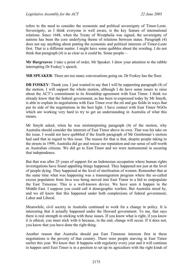refers to the need to consider the economic and political sovereignty of Timor-Leste. Sovereignty, as I think everyone is well aware, is the key feature of international relations. Since 1648, when the Treaty of Westphalia was signed, the sovereignty of nations has been the core underlying theme of relations between states. Paragraph (4) does not say anything about putting the economic and political interests of Timor-Leste first. That is a different matter. I might have some quibbles about the wording. I do not think that paragraph (4) is as clear as it could be. Some people—

**Mr Hargreaves**: I take a point of order, Mr Speaker. I draw your attention to the rabble interrupting Dr Foskey's speech.

**MR SPEAKER**: There are too many conversations going on. Dr Foskey has the floor.

**DR FOSKEY**: Thank you. I just wanted to say that I will be supporting paragraph (4) of the motion. I will support the whole motion, although I do have some issues to raise about the ACT's commitment to its friendship agreement with East Timor. I think we already know that the federal government, as has been re-expressed today by Mr Smyth, is able to explain its negotiations with East Timor over the oil and gas fields in ways that put its side of the negotiations in the best light. I have contact with East Timor NGOs which are working very hard to try to get an understanding in Australia of what this means.

Mr Smyth asked, when he was misinterpreting paragraph (4) of the motion, why Australia should consider the interests of East Timor above its own. That was his take on the issue. I would not have quibbled if the fourth paragraph of Mr Gentleman's motion had said that in regard to this issue. The reason for that is that, despite people taking to the streets in 1999, Australia did go and rescue our reputation and our sense of self-worth as Australian citizens. We did go to East Timor and we were instrumental in securing that independence.

But that was after 25 years of support for an Indonesian occupation where human rights investigations have found appalling things happened. They happened not just at the level of people dying. They happened at the level of sterilisation of women. Remember that at the same time what was happening was a transmigration program where the so-called excess population from Java was being moved into East Timor in a bid to outpopulate the East Timorese. This is a well-known device. We have seen it happen in the Middle East. I suppose you could call it demographic warfare. But Australia stood by, and we all know that this happened under both complexions of federal government, Labor and Liberal.

Meanwhile, civil society in Australia continued to work for a change in policy. It is interesting that it actually happened under the Howard government. To me, that says there is real strength in sticking with these issues. If you know what is right, if you know it is ethical, you must stick with it because, in the end, change will occur. If it does not, you know that you have done the right thing.

Another reason that Australia should put East Timorese interests first in these negotiations is the poverty of that country. There were people starving in East Timor earlier this year. We know that. It happens with regularity every year and it will continue to happen until East Timor is in a position to set up its agriculture with the right kinds of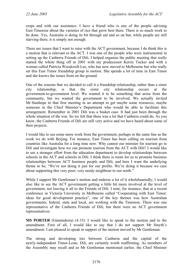crops and with our assistance. I have a friend who is one of the people advising East Timorese about the varieties of rice that grow best there. There is so much work to be done. Yes, Australia is doing its bit through aid and so on but, while people are still starving there, it is simply not enough.

There are issues that I want to raise with the ACT government, because I do think this is a motion that is relevant to the ACT. I was one of the people who were instrumental in setting up the Canberra Friends of Dili. I helped organise the public meeting that really started the whole thing off in 2001 with my predecessor Kerrie Tucker and with a woman called Patricia Woodcroft-Lee, who has now moved to Melbourne but who really set this East Timor friendship group in motion. She spends a lot of time in East Timor and she knows the issues from on the ground.

One of the reasons that we decided to call it a friendship relationship, rather than a sister city relationship, is that the sister city relationship occurs at the government-to-government level. We wanted it to be something that arose from the community, but we wanted the government to be involved. We actually invited Mr Stanhope to that first meeting in an attempt to get maybe some resources, maybe someone in the Chief Minister's Department who would be able to facilitate this arrangement. Remember in 2001 Dili was a basket case. It had just been through the whole situation of the war. So we felt that there was a lot that Canberra could do. As you know, the Canberra Friends of Dili are still very active and we have heard about some of their projects.

I would like to see some more work from the government, perhaps in the same line as the work we do with Beijing. For instance, East Timor has been calling on tourism from countries like Australia for a long time now. Why cannot our minister for tourism go to Dili and investigate how we can promote tourism from the ACT with Dili? I would like to see a stronger effort from the education department to develop relationships between schools in the ACT and schools in Dili. I think there is room for us to promote business relationships between ACT business people and Dili, and here I want the underlying theme to be, "We're not doing it just for our profits. We're doing it because we care about supporting this very poor, very needy neighbour to our north."

While I support Mr Gentleman's motion and endorse a lot of it wholeheartedly, I would also like to see the ACT government getting a little bit more involved at the level of government, not leaving it all to the Friends of Dili. I note, for instance, that at a recent conference in Victoria University in Melbourne called "Cooperating with East Timor: ideas for good development practice", one of the key themes was how Australian governments, federal, state and local, are working with the Timorese. There was one representative of the Canberra Friends of Dili, but there were no ACT government representatives.

**MS PORTER** (Ginninderra) (4.15): I would like to speak to the motion and to the amendment. First of all, I would like to say that I do not support Mr Smyth's amendment. I am pleased to speak in support of the motion moved by Mr Gentleman.

The strong and developing ties between Canberra and the capital of the newly-independent Timor-Leste, Dili, are certainly worth reaffirming. As members of the Assembly may recall and as Mr Gentleman mentioned earlier, the Chief Minister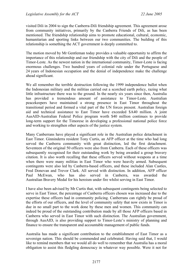visited Dili in 2004 to sign the Canberra-Dili friendship agreement. This agreement arose from community initiatives, primarily by the Canberra Friends of Dili, as has been mentioned. The friendship relationship aims to promote educational, cultural, economic, humanitarian and sporting links between our two communities. The building of this relationship is something the ACT government is deeply committed to.

The motion moved by Mr Gentleman today provides a valuable opportunity to affirm the importance of this relationship and our friendship with the city of Dili and the people of Timor-Leste. As the newest nation in the international community, Timor-Leste is facing enormous challenges. Two hundred years of colonial rule under the Portuguese and 24 years of Indonesian occupation and the denial of independence make the challenge ahead significant.

We all remember the terrible destruction following the 1999 independence ballot when the Indonesian military and the militias carried out a scorched earth policy, razing what little infrastructure there was to the ground. In the nearly six years since then, Australia has provided a tremendous amount of assistance to Timor-Leste. Australian peacekeepers have maintained a strong presence in East Timor throughout the transitional period and formed a vital part of the UN forces present. Australian foreign aid and technical assistance to East Timor have exceeded \$A40 million. A joint AusAID-Australian Federal Police program worth \$40 million continues to provide long-term support for the Timorese in developing a professional national police force and working to strengthen other aspects of the justice system.

Many Canberrans have played a significant role in the Australian police detachment in East Timor. Ginninderra resident Tony Curtis, an AFP officer at the time who had long served the Canberra community with great distinction, led the first detachment. Seventeen of the original 50 officers were also from Canberra. Each of these officers was subsequently recognised for their outstanding work by being awarded a group bravery citation. It is also worth recalling that these officers served without weapons at a time when there were many militias in East Timor who were heavily armed. Subsequent contingents were also led by Canberra-based officers, and these included Alan Castles, Fred Donovan and Trevor Clark. All served with distinction. In addition, AFP officer Paul McEwan, who has also served in Canberra, was awarded the Australian Bravery Medal for his heroism under fire whilst serving in East Timor.

I have also been advised by Mr Curtis that, with subsequent contingents being selected to serve in East Timor, the percentage of Canberra officers chosen was increased due to the expertise these officers had in community policing. Canberrans can rightly be proud of the efforts of our officers, and the level of community safety that now exists in Timor is due in no small part to the work done by these men and women. This community can indeed be proud of the outstanding contribution made by all those AFP officers based in Canberra who served in East Timor with such distinction. The Australian government, through AusAID, is also providing support to Timor-Leste's ministry of planning and finance to ensure the transparent and accountable management of public funds.

Australia has made a significant contribution to the establishment of East Timor as a sovereign nation. This should be commended and celebrated. Having said that, I would like to remind members that we would all do well to remember that Australia has a moral obligation to assist this fledgling democracy in whatever way possible. Were it not for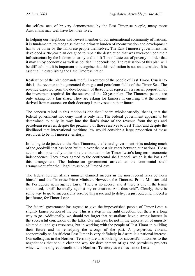the selfless acts of bravery demonstrated by the East Timorese people, many more Australians may well have lost their lives.

In helping our neighbour and newest member of our international community of nations, it is fundamental to recognise that the primary burden of reconstruction and development has to be borne by the Timorese people themselves. The East Timorese government has developed a 20-year plan designed to repair the destruction that was wreaked upon their infrastructure by the Indonesian army and to lift Timor-Leste out of poverty in order that it may enjoy economic as well as political independence. The realisation of this plan will be difficult, but it is important to recognise that this realisation is not an alternative. It is essential in establishing the East Timorese nation.

Realisation of the plan demands the full resources of the people of East Timor. Crucial to this is the revenue to be generated from gas and petroleum fields of the Timor Sea. The revenue expected from the development of these fields represents a crucial proportion of the investment required for the success of the 20-year plan. The Timorese people are only asking for a fair share. They are asking for fairness in ensuring that the income derived from resources on their doorstep is reinvested in their future.

The concern raised in this motion is one that I share wholeheartedly, that is, that the federal government not deny what is only fair. The federal government appears to be determined to bully its way into the lion's share of the revenue from the gas and petroleum reserves, despite the proximity of those reserves to East Timor and despite the likelihood that international maritime law would consider a large proportion of these resources to be in Timorese territory.

In failing to do justice to the East Timorese, the federal government risks undoing much of the goodwill that has been built up over the past six years between our nations. These actions also potentially undermine the foundation for Timor-Leste's long-term economic independence. They never agreed to the continental shelf model, which is the basis of this arrangement. The Indonesian government arrived at the continental shelf arrangement after the illegal invasion of Timor-Leste.

The federal foreign affairs minister claimed success in the most recent talks between himself and the Timorese Prime Minister. However, the Timorese Prime Minister told the Portuguese news agency Lusa, "There is no accord, and if there is one in the terms announced, it will be totally against my orientation. And thus void". Clearly, there is some way to go to successfully resolve this issue and to deliver a just outcome, indeed a just future, for Timor-Leste.

The federal government has agreed to give the impoverished people of Timor-Leste a slightly larger portion of the pie. This is a step in the right direction, but there is a long way to go. Additionally, we should not forget that Australians have a strong interest in the successful conclusion of the talks. Our interests lie not in the exportation of unjustly claimed oil and gas resources, but in working with the people of East Timor in building their future and in remedying the wrongs of the past. A prosperous, vibrant, economically self-sufficient East Timor is very definitely in Australia's national interest. Our colleagues in the Northern Territory are also looking for successful outcomes to the negotiations that should clear the way for development of gas and petroleum projects which will be of great benefit to the Northern Territory as well as Timor-Leste.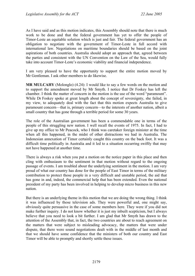As I have said and as this motion indicates, this Assembly should note that there is much work to be done and that the federal government has yet to offer the people of Timor-Leste an equitable solution which is just and fair. The federal government has an obligation to negotiate with the government of Timor-Leste in full accord with international law. Negotiations on maritime boundaries should be based on the joint aspirations of both countries. Australia should adopt an approach that, agreed between the parties and consistent with the UN Convention on the Law of the Sea, would fully take into account Timor-Leste's economic viability and financial independence.

I am very pleased to have the opportunity to support the entire motion moved by Mr Gentleman. I ask other members to do likewise.

**MR MULCAHY** (Molonglo) (4.24): I would like to say a few words on the motion and to support the amendment moved by Mr Smyth. I notice that Dr Foskey has left the chamber. I think the matter of concern in the motion is the use of the word "paramount". While Dr Foskey spoke at great length about the concept of sovereignty, she failed, in my view, to adequately deal with the fact that this motion expects Australia to give paramount concern—that is, primary concern—to the interests of another nation, albeit a small country that has gone through a terrible period for some 30 years.

The role of the Australian government has been a commendable one in terms of the people of this struggling new nation. I well recall the events of 1975. In fact, I had to give up my office to Mr Peacock, who I think was caretaker foreign minister at the time when all this happened, in the midst of other distractions we had in Australia. The Indonesian annexation of Timor certainly caught this country on the back foot. It was a difficult time politically in Australia and it led to a situation occurring swiftly that may not have happened at another time.

There is always a risk when you put a motion on the notice paper in this place and then cling with enthusiasm to the sentiment in that motion without regard to the ongoing passage of events. I am troubled about the underlying sentiment in the motion. I am very proud of what our country has done for the people of East Timor in terms of the military contribution to protect those people in a very difficult and unstable period, the aid that has gone in and, indeed, the commercial help that has been extended. Even the national president of my party has been involved in helping to develop micro business in this new nation.

But there is an underlying theme in this motion that we are doing the wrong thing. I think it was influenced by those television ads. They were powerful and, one might say, obviously quite persuasive in the case of some members here. They were if you did not make further inquiry. I do not know whether it is just my inbuilt scepticism, but I always believe that you need to look a bit further. I am glad that Mr Smyth has drawn to the attention of the Assembly that, in fact, the two countries are about to reach agreement on the matters that were subject to misleading advocacy, the matters that were under dispute, that there were sound negotiations dealt with in the middle of last month and that we should have some confidence that the ministers of both our country and East Timor will be able to promptly and shortly settle these issues.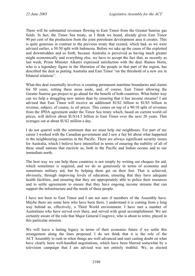There will be substantial revenues flowing to East Timor from the Greater Sunrise gas fields. In fact, the Timor Sea treaty, as I think we heard, already gives East Timor 90 per cent of the production from the joint petroleum development area it creates. This is quite generous in contrast to the previous treaty that existed, which had, as we were advised earlier, a 50:50 split with Indonesia. Before we take up the cause of the exploited and downtrodden and so forth, because Australia is perceived as having much greater might economically and everything else, we have to accept the fact that, as recently as last week, Prime Minister Alkatiri expressed satisfaction with the deal. Ramos Horta, who is a legendary figure in the liberation of the people in that part of the region, has described the deal as putting Australia and East Timor "on the threshold of a new era in bilateral relations".

What this deal essentially involves is creating permanent maritime boundaries and claims for 50 years, setting these areas aside, and, of course, East Timor allowing the Greater Sunrise gas project to go ahead for the benefit of both countries. What better way can we help a struggling new nation than by ensuring that it has income streams? I am advised that East Timor will receive an additional \$US2 billion to \$US5 billion in revenue, subject, of course, to oil prices. This comes on top of a 90:10 split of revenues from the JPDA agreement under the Timor Sea treaty which, based on current world oil prices, will deliver about \$US14.5 billion to East Timor over the next 20 years. That averages out at about \$US2 million a day.

I do not quarrel with the sentiment that we must help our neighbours. For part of my career I worked with the Canadian government and I saw a fair bit about what happened in the neighbouring countries in the Pacific. There are always significant security issues for Australia, which I believe have intensified in terms of ensuring the stability of all of these small nations that encircle us, both in the Pacific and Indian oceans and to our immediate north.

The best way we can help these countries is not simply by writing out cheques for aid, which sometimes is required, and we do so generously in terms of economic and sometimes military aid, but by helping them get on their feet. That is achieved, obviously, through improving levels of education, ensuring that they have adequate health facilities, and ensuring that they are appropriately able to police their resources and to settle agreements to ensure that they have ongoing income streams that can support the infrastructure and the needs of these people.

I have not been to East Timor and I am not sure if members of the Assembly have. Maybe there are some here who have been there. I understand it is coming from a long way behind as, effectively, a Third World environment. I have met a number of Australians who have served over there, and served with great accomplishment. We are certainly aware of the role that Major General Cosgrove, who is about to retire, played in this particular mission.

We will leave a lasting legacy in terms of their economic future if we settle this arrangement along the lines proposed. I do not think that it is the role of the ACT Assembly to rush in when things are well advanced and start casting doubt on what have clearly been well-handled negotiations, which have been blurred somewhat by a television campaign that I am advised was not entirely truthful. We, as elected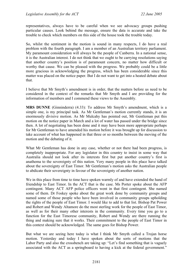representatives, always have to be careful when we see advocacy groups pushing particular causes. Look behind the message, ensure the data is accurate and take the trouble to check which members on this side of the house took the trouble today.

So, whilst the sentiment in the motion is sound in many respects, I do have a real problem with the fourth paragraph. I am a member of an Australian territory parliament. My paramount consideration will always be the people of Canberra. In a national sense, it is the Australian interest. I do not think that we ought to be carrying resolutions saying that another country's position is of paramount concern, no matter how difficult or worthy that cause. We can be pleased with the progress. We probably could be a little more gracious in acknowledging the progress, which has been considerable since this matter was placed on the notice paper. But I do not want to get into a heated debate about that.

I believe that Mr Smyth's amendment is in order, that the matters before us need to be considered in the context of the remarks that Mr Smyth and I are providing for the information of members and I commend these views to the Assembly.

**MRS DUNNE** (Ginninderra) (4.33): To address Mr Smyth's amendment, which is a simple one, is my principal task. As Mr Gentleman's motion currently stands, it is an enormously divisive motion. As Mr Mulcahy has pointed out, Mr Gentleman put this motion on the notice paper in March and a lot of water has passed under the bridge since then. A lot of negotiating has been done and it may have been more appropriate perhaps for Mr Gentleman to have amended his motion before it was brought up for discussion to take account of what has happened in that three or so months between the moving of the motion and the debating of it.

What Mr Gentleman has done in any case, whether or not there had been progress, is completely inappropriate. For any legislator in this country to insist in some way that Australia should not look after its interests first but put another country's first is anathema to the sovereignty of this nation. Very many people in this place have talked about the sovereignty of East Timor. Mr Gentleman's motion asks the Australian people to abdicate their sovereignty in favour of the sovereignty of another nation.

We in this place from time to time have spoken warmly of and have extended the hand of friendship to East Timor. In the ACT that is the case. Ms Porter spoke about the AFP contingent. Many ACT AFP police officers went in that first contingent. She named some of them. Dr Foskey spoke about the great work done by community groups and named some of those people who have been involved in community groups upholding the rights of the people of East Timor. I would like to add to that list. Bishop Pat Power and Robert and Wendy Altamore do the most sterling work for the people of East Timor, as well as for their many other interests in the community. Every time you go to a function for the East Timorese community, Robert and Wendy are there running the thing and making sure that it works. Their commitment to the people of East Timor in this context should be acknowledged. The same goes for Bishop Power.

But what we are seeing here today is what I think Mr Smyth called a Trojan horse motion. Yesterday and today I have spoken about the sorts of motions that the Labor Party and also the crossbench are taking up: "Let's find something that is vaguely associated with the ACT as a springboard to having a kick at the federal government."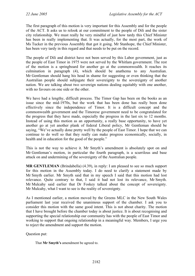The first paragraph of this motion is very important for this Assembly and for the people of the ACT. It asks us to relook at our commitment to the people of Dili and the sister city relationship. We must really be very mindful of just how tardy this Chief Minister has been in really implementing that. It was actually, for the most part, the work of Ms Tucker in the previous Assembly that got it going. Mr Stanhope, the Chief Minister, has been very tardy in this regard and that needs to be put on the record.

The people of Dili and district have not been served by this Labor government, just as the people of East Timor in 1975 were not served by the Whitlam government. The rest of the motion is a springboard for another go at the commonwealth. It reaches its culmination in paragraph (4), which should be anathema to any Australian. Mr Gentleman should hang his head in shame for suggesting or even thinking that the Australian people should subjugate their sovereignty to the sovereignty of another nation. We are talking about two sovereign nations dealing equitably with one another, with no favours on one side or the other.

We have had a lengthy, difficult process. The Timor Gap has been on the books as an issue since the mid-1970s, but the work that has been done has really been done effectively since the independence of Timor. It is a difficult concept and the commonwealth government and the Timorese government need to be congratulated for the progress that they have made, especially the progress in the last six to 12 months. Instead of using this motion as an opportunity, a really base opportunity, to have yet another go at yet another plank of federal Liberal policy, Mr Gentleman should be saying, "We've actually done pretty well by the people of East Timor. I hope that we can continue to do well so that they really can make progress economically, socially, in health and in education for the good of the people."

This is not the way to achieve it. Mr Smyth's amendment is absolutely spot on and Mr Gentleman's motion, in particular the fourth paragraph, is a scurrilous and base attack on and undermining of the sovereignty of the Australian people.

**MR GENTLEMAN** (Brindabella) (4.39), in reply: I am pleased to see so much support for this motion in the Assembly today. I do need to clarify a statement made by Mr Smyth earlier. Mr Smyth said that in my speech I said that this motion had lost relevance. Quite contrary to that, I said it had not lost its relevance, Mr Smyth. Mr Mulcahy said earlier that Dr Foskey talked about the concept of sovereignty. Mr Mulcahy, what I want to see is the reality of sovereignty.

As I mentioned earlier, a motion moved by the Greens MLC in the New South Wales parliament last year received the unanimous support of the chamber. I ask you to consider this motion with the same good intent. This is not about charity. The motion that I have brought before the chamber today is about justice. It is about recognising and supporting the special relationship our community has with the people of East Timor and working to support that ongoing relationship in a meaningful way. Members, I urge you to reject the amendment and support the motion.

Question put:

That **Mr Smyth's** amendment be agreed to.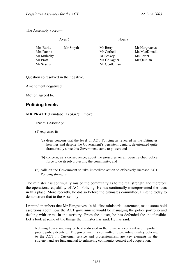The Assembly voted—

|                                                                | Ayes 6   | Noes 9                                                              |                                                          |
|----------------------------------------------------------------|----------|---------------------------------------------------------------------|----------------------------------------------------------|
| Mrs Burke<br>Mrs Dunne<br>Mr Mulcahy<br>Mr Pratt<br>Mr Seselja | Mr Smyth | Mr Berry<br>Mr Corbell<br>Dr Foskey<br>Ms Gallagher<br>Mr Gentleman | Mr Hargreaves<br>Ms MacDonald<br>Ms Porter<br>Mr Quinlan |
|                                                                |          |                                                                     |                                                          |

Question so resolved in the negative.

Amendment negatived.

Motion agreed to.

# **Policing levels**

**MR PRATT** (Brindabella) (4.47): I move:

That this Assembly:

(1) expresses its:

- (a) deep concern that the level of ACT Policing as revealed in the Estimates hearings and despite the Government's persistent denials, deteriorated quite dramatically since this Government came to power; and
- (b) concern, as a consequence, about the pressures on an overstretched police force to do its job protecting the community; and
- (2) calls on the Government to take immediate action to effectively increase ACT Policing strengths.

The minister has continually misled the community as to the real strength and therefore the operational capability of ACT Policing. He has continually misrepresented the facts in this place. More recently, he did so before the estimates committee. I intend today to demonstrate that to the Assembly.

I remind members that Mr Hargreaves, in his first ministerial statement, made some bold assertions about how the ACT government would be managing the police portfolio and dealing with crime in the territory. From the outset, he has defended the indefensible. Let's look at some of the things the minister has said. He has said:

Refining how crime may be best addressed in the future is a constant and important public policy debate … The government is committed to providing quality policing to the ACT … Customer service and professionalism are key elements in the strategy, and are fundamental to enhancing community contact and cooperation.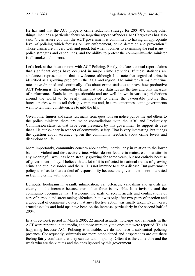He has said that the ACT property crime reduction strategy for 2004-07, among other things, includes a particular focus on targeting repeat offenders. Mr Hargreaves has also said, "I can assure you that the ACT government is committed to having an appropriate level of policing which focuses on law enforcement, crime detection and prevention." Those claims are all very well and good, but when it comes to examining the real issue police strengths and capabilities, and the ability to protect the community—the minister is all smoke and mirrors.

Let's look at the situation now with ACT Policing. Firstly, the latest annual report claims that significant drops have occurred in major crime activities. If these statistics are a balanced representation, that is welcome, although I do note that organised crime is identified as a growing problem in the ACT and region. The minister claims that crime rates have dropped and continually talks about crime statistics to prove how productive ACT Policing is. He continually claims that these statistics are the true and only measure of performance. Statistics are questionable and are well known in various jurisdictions around the world to be easily manipulated to frame the favourable picture that bureaucracies want to tell their governments and, in turn sometimes, some governments want to tell their constituencies to gild the lily.

Given other figures and statistics, many from questions on notice put by me and others to the police minister, there are major contradictions with the ABS and Productivity Commission statistics that have been presented by this government to support its case that all is hunky-dory in respect of community safety. That is very interesting, but it begs the question about accuracy, given the community feedback about crime levels and disruptions to life.

More importantly, community concern about safety, particularly in relation to the lower bands of violent and destructive crime, which do not feature in mainstream statistics in any meaningful way, has been steadily growing for some years, but not entirely because of government policy. I believe that a lot of it is reflected in national trends of growing crime and public disorder, and the ACT is not immune to such a disease. But government policy also has to share a deal of responsibility because the government is not interested in fighting crime with vigour.

Burnouts, hooliganism, assault, intimidation, car offences, vandalism and graffiti are clearly on the increase because our police force is invisible. It is invisible and the community recognises that. I welcome the spate of recent arrests and confiscations of cars of burnout and street racing offenders, but it was only after two years of inaction and a good deal of community outcry that any effective action was finally taken. Even worse, armed assaults and hold ups have been on the increase, particularly in the second half of 2004.

In a three-week period in March 2005, 22 armed assaults, hold-ups and ram-raids in the ACT were reported in the media, and those were only the ones that were reported. This is happening because ACT Policing is invisible; we do not have a substantial policing presence. Consequently, criminals are more emboldened and desperadoes are out there feeling fairly confident that they can act with impunity. Often it is the vulnerable and the weak who are the victims and the ones ignored by this government.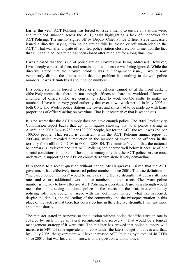Earlier this year, ACT Policing was forced to issue a memo to ensure all stations were, and remained, manned across the ACT, again highlighting a lack of manpower for ACT Policing. The memo, signed off by Deputy Chief Police Officer Steve Lancaster, issued a directive saying, "No police station will be closed or left unattended in the ACT." That was after a spate of reported police station closures, not to mention the fact that Gungahlin police station has been closed after midnight for a long time now.

I was pleased that the issue of police station closures was being addressed. However, I was deeply concerned then, and remain so, that the cause was being ignored. While the directive stated that the closure problem was a management issue, I would now vehemently dispute the claims made that the problem had nothing to do with police numbers. It was definitely all about police numbers.

If a police station is forced to close or if its officers cannot sit at the front desk, it effectively means that there are not enough officers to share the workload. I know of a number of officers who are constantly asked to work double shifts to make up numbers. I have it on very good authority that over a two-week period in May 2005 at both Civic and Woden police stations the rosters and shifts had to be made up with large proportions of officers acting on overtime. That is unacceptable; that is scandalous.

It is no secret that the ACT simply does not have enough police. The 2005 Productivity Commission report backs that up, with figures showing that total police staffing in Australia in 2003-04 was 289 per 100,000 people, but for the ACT the result was 251 per 100,000 people. That result is consistent with the ACT Policing annual report of 2003-04, which revealed a reduction in the number of sworn police officers in the territory from 603 in 2002-03 to 600 in 2003-04. The minister's claim that the national benchmark is irrelevant and that ACT Policing can operate well below it because of our special conditions is bunkum. The supplementary role that the ACT police service must undertake in supporting the AFP on counterterrorism alone is very demanding.

In response to a recent question without notice, Mr Hargreaves insisted that the ACT government had effectively increased police numbers since 2001. The true definition of "increased police numbers" would be increases in effective strength that bypass attrition rates and ensure additional sworn police numbers on our streets. The sworn police number is the key to how effective ACT Policing is operating. A growing strength would mean the public seeing additional police on the streets, on the beat, in a community policing role. One could not argue with that definition. In fact, what has happened, despite the denials, the misleading of the community and the misrepresentation in this place of the facts, is that there has been a decline in the effective strength. I will say more about that shortly.

The minister stated in response to the question without notice that "the attrition rate is covered by such things as lateral recruitment and recovery". That would be a logical management strategy if it were true. The minister has crowed that police numbers will increase to 849 full-time equivalents in 2008 under the latest budget initiatives and that, by 1 July 2005, the government will have increased ACT Policing by a total of 48 FTEs since 2001. That was his claim in answer to the question without notice.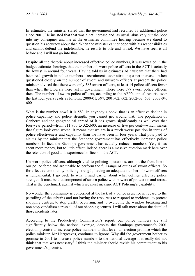In estimates, the minister stated that the government had recruited 33 additional police since 2001. He insisted that that was a net increase and, as usual, abusively put the boot into my colleagues and me at the estimates committee hearing because we dared to question his accuracy about that. When the minister cannot cope with his responsibilities and cannot defend the indefensible, he resorts to bile and vitriol. We have seen it all before and I will not go into that.

Despite all the rhetoric about increased effective police numbers, it was revealed in the budget estimates hearings that the number of sworn police officers in the ACT is actually the lowest in around four years. Having told us in estimates ad nauseam that there had been real growth in police numbers—recruitments over attritions; a net increase—when questioned closely on the number of sworn and unsworn officers at present the police minister advised that there were only 583 sworn officers, at least 14 police officers fewer than when the Liberals were last in government. There were 597 sworn police officers then. The number of sworn police officers, according to the AFP's annual reports, over the last four years reads as follows: 2000-01, 597, 2001-02, 602; 2002-03, 603; 2003-04, 600.

What is the number now? It is 583. In anybody's book, that is an effective decline in police capability and police strength; you cannot get around that. The population of Canberra and the geographical spread of it has grown significantly as well over that four-year period—from 311,900 to 325,600, an increase of five per cent—which makes that figure look even worse. It means that we are in a much worse position in terms of police effectiveness and capability than we have been in four years. That puts paid to claims by the minister that the Stanhope government has effectively increased police numbers. In fact, the Stanhope government has actually reduced numbers. Yes, it has spent more money, but to little effect. Indeed, there is a massive question mark here over the retention of good and experienced officers in the ACT.

Unsworn police officers, although vital to policing operations, are not the front line of our police force and are unable to perform the full range of duties of sworn officers. So for effective community policing strength, having an adequate number of sworn officers is fundamental. I go back to what I said earlier about what defines effective police strength. It must be that component of sworn police with powers of protection and arrest. That is the benchmark against which we must measure ACT Policing's capability.

No wonder the community is concerned at the lack of a police presence in regard to the patrolling of the suburbs and not having the resources to respond to incidents, to protect shopping centres, to stop graffiti occurring, and to overcome the window breaking and non-stop vandalism across all of our shopping centres. I will talk more about the detail of those incidents later.

According to the Productivity Commission's report, our police numbers are still significantly below the national average, despite the Stanhope government's 2001 election promise to increase police numbers to that level, an election promise which the police minister, Mr Hargreaves, continues to ignore. Why did the government bother to promise in 2001 to increase police numbers to the national average if it really did not think that that was necessary? I think the minister should revisit his commitment to his government's promise.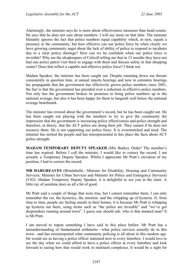Alarmingly, the minister says he is more about effectiveness measures than head counts. He says that he does not care about numbers. I will say more on that later. The minister blatantly ignores the fact that police numbers equal capability which, in turn, equals a presence in the community, but how effective can our police force be when clearly we have growing community angst about the lack of ability of police to respond to incidents due to a clear police shortage? How can we be confident when our police force is invisible? Why are the shopkeepers of Calwell telling me that in 12 months they have not had one police patrol visit there to engage with them and discuss safety in that shopping centre? Does that reflect a capable and effective police force? I think not.

Madam Speaker, the minister has been caught out. Despite ramming down our throats consistently in question time, at annual reports hearings and now in estimates hearings his propaganda that the government has effectively grown police numbers since 2001, the fact is that the government has presided over a reduction in effective police numbers. Not only has the government broken its promises to bring police numbers up to the national average, but also it has been happy for them to languish well below the national average benchmark.

The minister has crowed about the government's record, but he has been caught out. He has been caught out playing with the numbers to try to give the community the impression that the government is increasing police effectiveness and police strength and therefore, in theory, that the ACT police are doing their job. They cannot if he does not resource them. He is not supporting our police force. It is overstretched and tired. The minister has misled the people and has misrepresented in this place the facts about ACT police strength.

**MADAM TEMPORARY DEPUTY SPEAKER** (Mrs Burke): Order! The member's time has expired. Before I call the minister, I would like to correct the record. I am actually a Temporary Deputy Speaker. Whilst I appreciate Mr Pratt's elevation of my position, I had to correct the record.

**MR HARGREAVES** (Brindabella—Minister for Disability, Housing and Community Services; Minister for Urban Services and Minister for Police and Emergency Services) (5.02): Madam Temporary Deputy Speaker, it is delightful to see you in the chair. A little ray of sunshine does us all a bit of good.

Mr Pratt said a couple of things that were true, but I cannot remember them. I can only remember the rot, the hysterics, the emotion. and the whipping up of hysteria. If, from time to time, people are feeling unsafe in their homes, it is because Mr Pratt is whipping up hysteria out there, using terms such as "the police are invisible" and "we've got desperadoes running around town". I guess one should ask: who is that masked man? It is Mr Pratt.

I am moved to repeat something I have said in this place before: Mr Pratt has a misunderstanding of fundamental arithmetic—what police services actually do in this town—and has misinterpreted what community policing is all about in this modern age. He would see us having a police officer stationed next to every letterbox. I would love to see the day when we could afford to have a police officer at every letterbox and look forward to seeing how that would work in multiunit complexes. It would be a sight for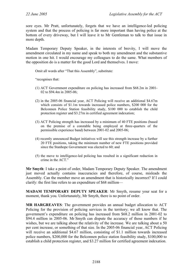sore eyes. Mr Pratt, unfortunately, forgets that we have an intelligence-led policing system and that the process of policing is far more important than having police at the bottom of every driveway, but I will leave it to Mr Gentleman to talk to that issue in more depth.

Madam Temporary Deputy Speaker, in the interests of brevity, I will move the amendment circulated in my name and speak to both my amendment and the substantive motion in one hit. I would encourage my colleagues to do the same. What members of the opposition do is a matter for the good Lord and themselves. I move:

Omit all words after "That this Assembly", substitute:

"recognises that:

- (1) ACT Government expenditure on policing has increased from \$68.2m in 2001- 02 to \$94.4m in 2005-06;
- (2) in the 2005-06 financial year, ACT Policing will receive an additional \$4.67m which consists of \$1.1m towards increased police numbers, \$200 000 for the Belconnen Police Station feasibility study, \$100 000 to establish the child protection register and \$3.27m in certified agreement indexation;
- (3) ACT Policing strength has increased by a minimum of 40 FTE positions (based on the premise of a constable being employed at three-quarters of the permissible experience band) between 2001-02 and 2005-06;
- (4) recently announced Budget initiatives will see this strength increase by a further 20 FTE positions, taking the minimum number of new FTE positions provided since the Stanhope Government was elected to 60; and
- (5) the move to intelligence-led policing has resulted in a significant reduction in crime in the ACT."

**Mr Smyth**: I take a point of order, Madam Temporary Deputy Speaker. The amendment just moved actually contains inaccuracies and therefore, of course, misleads the Assembly. Can the member move an amendment that is historically incorrect? If I could clarify: the first line refers to an expenditure of \$68 million—

**MADAM TEMPORARY DEPUTY SPEAKER**: Mr Smyth, resume your seat for a moment, thank you. Unfortunately, Mr Smyth, there is no point of order.

**MR HARGREAVES**: The government provides an annual budget allocation to ACT Policing for the provision of policing services in the territory; we all know that. The government's expenditure on policing has increased from \$68.2 million in 2001-02 to \$94.4 million in 2005-06. Mr Smyth can dispute the accuracy of those numbers if he wishes, but we are talking about the relativity of the increase. We are talking about a 50 per cent increase, or something of that size. In the 2005-06 financial year, ACT Policing will receive an additional \$4.67 million, consisting of \$1.1 million towards increased police numbers, \$200,000 for the Belconnen police station feasibility study, \$100,000 to establish a child protection register, and \$3.27 million for certified agreement indexation.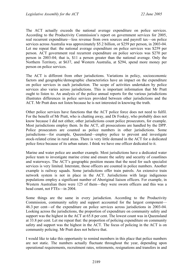The ACT actually exceeds the national average expenditure on police services. According to the Productivity Commission's report on government services for 2005, real recurrent expenditure—less revenue from own sources and payroll tax—on police services across Australia was approximately \$5.2 billion, or \$259 per person, in 2003-04. Let me repeat that: the national average expenditure on police services was \$259 per person. ACT government real recurrent expenditure on police services was \$270 per person in 2003-04; that is, \$11 a person greater than the national average. Only the Northern Territory, at \$637, and Western Australia, at \$294, spend more money per person on police services.

The ACT is different from other jurisdictions. Variations in policy, socioeconomic factors and geographic/demographic characteristics have an impact on the expenditure on police services in each jurisdiction. The scope of activities undertaken by police services also varies across jurisdictions. This is important information that Mr Pratt ought to listen to. An analysis of the police annual reports for the various jurisdictions illustrates differences in police services provided between other jurisdictions and the ACT. Mr Pratt does not listen because he is not interested in knowing the truth.

Other police services have functions that the ACT police force does not need to fulfil. For the benefit of Mr Pratt, who is chatting away, and Dr Foskey, who probably does not know because I did not either, other jurisdictions count police prosecutors, for example. Most jurisdictions employ them. In the ACT, all prosecutions are handled by the DPP. Police prosecutors are counted as police numbers in other jurisdictions. Some jurisdictions—for example, Queensland—employ police to prevent and investigate stock-related crime in rural areas. There is very little demand in the ACT for a dedicated police force because of its urban nature. I think we have one officer dedicated to it.

Marine and water police are another example. Most jurisdictions have a dedicated water police team to investigate marine crime and ensure the safety and security of coastlines and waterways. The ACT's geographic position means that the need for such specialist services is very limited. Interstate, those officers are counted in police numbers. Another example is railway squads. Some jurisdictions offer train patrols. An extensive train network system is not in place in the ACT. Jurisdictions with large indigenous populations employ a significant number of Aboriginal liaison officers. For example, in Western Australian there were 125 of them—they were sworn officers and this was a head count, not FTEs—in 2004.

Some things are the same in every jurisdiction. According to the Productivity Commission, community safety and support accounted for the largest component— 46.3 per cent—of the expenditure on police services across jurisdictions in 2003-04. Looking across the jurisdictions, the proportion of expenditure on community safety and support was the highest in the ACT at 65.8 per cent. The lowest count was in Queensland at 33.8 per cent. Let me repeat that: the proportion of policing expenditure on community safety and support was the highest in the ACT. The focus of policing in the ACT is on community policing. Mr Pratt does not believe that.

I would like to take this opportunity to remind members in this place that police numbers are not static. The numbers actually fluctuate throughout the year, depending upon operational requirements, recruitment rates, retirements, resignations and transfers in and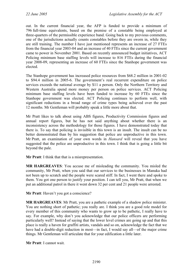out. In the current financial year, the AFP is funded to provide a minimum of 796 full-time equivalents, based on the premise of a constable being employed at three-quarters of the permissible experience band. Going back to my previous comments, one of the jurisdictions actually counts constables before they are sworn in, while they are still training. The number I have just mentioned represents an increase of 27 FTEs from the financial year 2003-04 and an increase of 40 FTEs since the current government came to power in November 2001. Based on recently announced budget initiatives, ACT Policing minimum base staffing levels will increase to 816 FTEs during the financial year 2008-09, representing an increase of 60 FTEs since the Stanhope government was elected.

The Stanhope government has increased police resources from \$68.2 million in 2001-02 to \$94.4 million in 2005-6. The government's real recurrent expenditure on police services exceeds the national average by \$11 a person. Only the Northern Territory and Western Australia spend more money per person on police services. ACT Policing minimum base staffing levels have been funded to increase by 60 FTEs since the Stanhope government was elected. ACT Policing continues to perform well, with significant reductions in a broad range of crime types being achieved over the past 12 months. Mr Gentleman will probably speak a little more about that.

Mr Pratt likes to talk about using ABS figures, Productivity Commission figures and annual report figures, but he has not said anything about whether there is an inconsistency across the methodology for those figures. I have demonstrated today that there is. To say that policing is invisible in this town is an insult. The insult can be no better demonstrated than by his suggestion that police are unproductive in this town. Mr Pratt, an examination of your own words in *Hansard* will reveal that you have suggested that the police are unproductive in this town. I think that is going a little bit beyond the pale.

**Mr Pratt:** I think that that is a misrepresentation.

**MR HARGREAVES**: You accuse me of misleading the community. You misled the community, Mr Pratt, when you said that our services to the businesses in Manuka had not been up to scratch and the people were scared stiff. In fact, I went there and spoke to them. You got one person to justify your position. I can tell you, Mr Pratt, that when we put an additional patrol in there it went down 32 per cent and 21 people were arrested.

**Mr Pratt**: Haven't you got a conscience?

**MR HARGREAVES**: Mr Pratt, you are a pathetic example of a shadow police minister. You are nothing short of pathetic; you really are. I think you are a good role model for every member of this community who wants to grow up to be pathetic, I really have to say. For example, why don't you acknowledge that our police officers are performing particularly well? Instead of saying that the lower level crimes are going up and that this place is really a haven for graffiti artists, vandals and so on, acknowledge the fact that we have had a double-digit reduction in most—in fact, I would say all—of the major crime things. Mr Gentleman will articulate that for your edification a little later.

**Mr Pratt**: I cannot wait.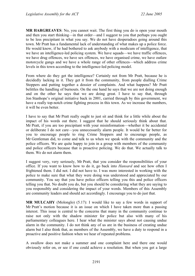**MR HARGREAVES**: No, you cannot wait. The first thing you do is open your mouth and then you start thinking—in that order—and I suggest to you that perhaps you ought to be less precipitant in what you say. We do not have desperadoes going around this town. Mr Pratt has a fundamental lack of understanding of what makes up a police force. He would know, if he had bothered to ask anybody with a modicum of intelligence, that we have an intelligence-led policing system. We have squads—we have traffic offences, we have drug offences, we have sex offences, we have organised crime, we have outlaw motorcycle gangs and we have a whole range of other offences—which address crime levels in this town according to the intelligence-led policing model.

From where do they get the intelligence? Certainly not from Mr Pratt, because he is decidedly lacking in it. They get it from the community, from people dialling Crime Stoppers and putting together a dossier of complaints. And what happens? Mr Pratt belittles the handling of burnouts. On the one hand he says that we are not doing enough and on the other he says that we are doing great. I have to say that, through Jon Stanhope's original initiative back in 2001, carried through by this government, we have a really top-notch crime fighting process in this town. As we increase the numbers, it will be even better.

I have to say that Mr Pratt really ought to just sit and think for a little while about the impact of his words out there. I suggest that he should seriously think about that. Mr Pratt, if you are too precipitant with your misinformation—whether it be accidental or deliberate I do not care—you unnecessarily alarm people. It would be far better for you to encourage people to ring Crime Stoppers and to encourage people, as Mr Gentleman did, to come and talk to us when we speak with the community and the police officers. We are quite happy to join in a group with members of the community and police officers because that is proactive policing. We do that. We actually talk to them. We do not alarm them.

I suggest very, very seriously, Mr Pratt, that you consider the responsibilities of your office. If you want to know how to do it, go back into *Hansard* and see how often I frightened them. I did not. I did not have to. I was more interested in working with the police to make sure that what they were doing was understood and appreciated by our community. You say that you have police officers telling you this and police officers telling you that. No doubt you do, but you should be considering what they are saying to you responsibly and considering the impact of your words. Members of this Assembly are community leaders and should act accordingly. I encourage you to do just that.

**MR MULCAHY** (Molonglo) (5.17): I would like to say a few words in support of Mr Pratt's motion because it is an issue on which I have taken more than a passing interest. This issue is central to the concerns that many in the community continue to raise not only with the shadow minister for police but also with many of his parliamentary colleagues here. I hear what the minister says about not causing undue alarm in the community. I do not think any of us are in the business of creating undue alarm but I also think that, as members of the Assembly, we have a duty to respond in a proactive and positive fashion when we hear of repeated problems.

A swallow does not make a summer and one complaint here and there one would obviously refer on, or see if one could achieve a resolution. But when you get a large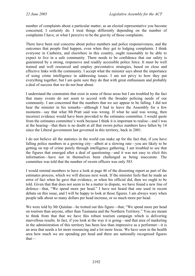number of complaints about a particular matter, as an elected representative you become concerned; I certainly do. I treat things differently depending on the number of complaints I have, or what I perceive to be the gravity of those complaints.

There have been real concerns about police numbers and police responsiveness, and the outcomes that people find happen, even when they get to lodging complaints. I think everyone in Canberra, and elsewhere in this country, ought reasonably to be able to expect to live in a safe community. There needs to be confidence that our safety is guaranteed by a strong, responsive and readily accessible police force. It must be well trained and well resourced and employ preventative strategies, based on close and effective links with the community. I accept what the minister says about the importance of using crime intelligence in addressing issues. I am not privy to how they put everything together, but I am quite sure they do that with great enthusiasm and probably a deal of success that we do not hear about.

I understand the constraints that exist in some of those areas but I am troubled by the fact that many events do not seem to accord with the broader policing needs of our community. I am concerned that the numbers that we see appear to be falling. I did not hear the minister in his remarks—although I had to leave the Assembly for a few moments—say that what Mr Pratt said was wrong. If what he said was wrong, then incorrect evidence would have been provided to the estimates committee. I would quote from the estimates committee's work because I think it is important to realise—and I was at the hearing—that there is no doubt at all that sworn police numbers have fallen by 14 since the Liberal government last governed in this territory, back in 2001.

I do not believe all the statistics in the world can make up for the fact that, if you have falling police numbers in a growing city—albeit at a slowing rate—you are likely to be getting on top of crime purely through intelligence gathering. I am troubled to see that the figures that emerged after a deal of questioning—and it was not easy to elicit this information—have not in themselves been challenged as being inaccurate. The committee was told that the number of sworn officers was only 583.

I would remind members to have a look at page 46 of the dissenting report as part of the estimates process, which we will discuss next week. If the minister feels that he made an error of fact when he gave that evidence, or when his official did, then we ought to be told. Given that that does not seem to be a matter in dispute, we have found a new line of defence—that, "We spend more per head." I have not heard that one used in recent debate on this issue, and I will be happy to look at those figures. I am always wary when people talk about so many dollars per head increase, or so much more per head.

We were told by Mr Quinlan—he trotted out this figure—that, "We spend more per head on tourism than anyone, other than Tasmania and the Northern Territory." You are meant to think from that that we have this robust tourism campaign which is delivering marvellous results. In fact, if you look at the way it is going—and that area of marketing in the administration of this territory has been less than impressive as a performer—it is an area that needs a lot more resourcing and a lot more focus. We have seen in the health area how much we are spending per head and there are nationally recognised figures that—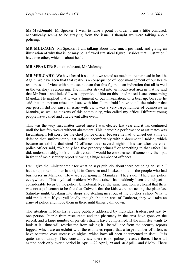**Ms MacDonald**: Mr Speaker, I wish to raise a point of order. I am a little confused. Mr Mulcahy seems to be straying from the issue. I thought we were talking about policing.

**MR MULCAHY**: Mr Speaker, I am talking about how much per head, and giving an illustration of why that is, or may be, a flawed statistical figure. Besides that illustration I have one other, which is about health.

**MR SPEAKER**: Remain relevant, Mr Mulcahy.

**MR MULCAHY**: We have heard it said that we spend so much more per head in health. Again, we have seen that that really is a consequence of poor management of our health resources, so I view with some scepticism that this figure is an indication that all is well in the territory's resourcing. The minister strayed into an ill-advised area in that he said that Mr Pratt—and indeed I was supportive of him on this—had raised issues concerning Manuka. He implied that it was a figment of our imagination, or a beat up, because he said that one person raised an issue with him. I am afraid I have to tell the minister that one person did not raise an issue with us; it was a very large number of businesses in Manuka, as well as citizens of this community, who called my office. Different young people have called and cited event after event.

This was the very first matter raised since I was elected last year and it has continued until the last few weeks without abatement. This incredible performance at estimates was fascinating. I felt sorry for the chief police officer because he had to wheel out a line of defence that, unfortunately, sat rather uncomfortably with a document I tabled, which became an exhibit, that cited 62 offences over several nights. This was after the chief police officer said, "We only had five property crimes," or something to that effect. He did, understandably, look a bit distressed. I would be embarrassed if somebody then put in front of me a security report showing a huge number of offences.

I will give the minister credit for what he says publicly about there not being an issue. I had a supporters dinner last night in Canberra and I asked some of the people who had businesses in Manuka, "How are you going in Manuka?" They said, "There are police everywhere!" This mythical problem Mr Pratt raised has suddenly been the subject of considerable focus by the police. Unfortunately, at the same function, we heard that there was not a policeman to be found at Calwell; that the kids were ransacking the place last Saturday night, breaking into shops and stealing meat out of the butcher's shop. What it told me is that, if you yell loudly enough about an area of Canberra, they will take an army of police and move them in there until things calm down.

The situation in Manuka is being publicly addressed by individual traders, not just by one person. People from restaurants and the pharmacy in the area have gone on the record, and a large number of private citizens have complained. If the minister wants to look at it—time will restrict me from raising it—he will see from the security reports logged, which are an exhibit with the estimates report, that a large number of offences have occurred over successive nights, which have all been documented in detail. It is quite extraordinary. They constantly say there is no police presence there. These all extend back only over a period in April—22 April, 29 and 30 April—and 6 May. There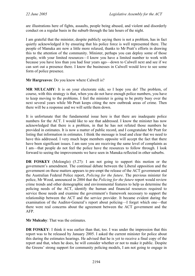are illustrations here of fights, assaults, people being abused, and violent and disorderly conduct on a regular basis in the suburb through the late hours of the night.

I am grateful that the minister, despite publicly saying there is not a problem, has in fact quietly acknowledged it by ensuring that his police force is well represented there. The people of Manuka are now a little more relaxed, thanks to Mr Pratt's efforts in drawing this to the attention of the community. Minister, perhaps you can deploy some of those people, with your limited resources—I know you have a limited number to work with because you have less than you had four years ago—down to Calwell next and see if we can sort out a presence there. I know the businesses in Calwell would love to see some form of police presence.

**Mr Hargreaves**: Do you know where Calwell is?

**MR MULCAHY**: It is on your electorate side, so I hope you do! The problem, of course, with this strategy is that, when you do not have enough police numbers, you have to keep moving to the problems. I feel the minister is going to be pretty busy over the next several years while Mr Pratt keeps citing the new outbreak areas of crime. Then there will be a response and we will settle them down.

It is unfortunate that the fundamental issue here is that there are inadequate police numbers for the ACT. I would like to see that addressed. I know the minister has now acknowledged that there is a problem, in that he has not refuted those numbers he provided in estimates. It is now a matter of public record, and I congratulate Mr Pratt for listing that information in estimates. I think the message is loud and clear that we need to have this addressed. I very much hope members opposite will accept the fact that there have been significant issues. I am sure you are receiving the same level of complaints as I am—that people do not feel the police have the resources to follow through. I look forward to seeing the improvements we have seen in Manuka reflected in other suburbs.

**DR FOSKEY** (Molonglo) (5.27): I am not going to support this motion or the government's amendment. The continual debate between the Liberal opposition and the government on these matters appears to pre-empt the release of the ACT government and the Australian Federal Police report, *Policing for the future*. The previous minister for police, Mr Wood, announced in 2004 that the *Policing for the future* report would review crime trends and other demographic and environmental features to help us determine the policing needs of the ACT, identify the human and financial resources required to service those needs and examine the government's framework necessary to support the relationship between the ACT and the service provider. It became evident during the examination of the Auditor-General's report about policing—I forget which one—that there were real concerns about the agreement between the ACT government and the AFP.

**Mr Mulcahy**: That was the estimates.

**DR FOSKEY**: I think it was earlier than that, too. I was under the impression that this report was to be released by January 2005. I asked the current minister for police about this during the estimates hearings. He advised that he is yet to receive a final copy of the report and that, when he does, he will consider whether or not to make it public. Despite the Greens' strong support for community policing models, I am not going to engage in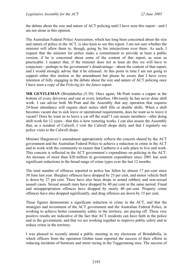the debate about the size and nature of ACT policing until I have seen this report—and I am not alone in this opinion.

The Australian Federal Police Association, which has long been concerned about the size and nature of police in the ACT, is also keen to see this report. I am not sure whether the minister will allow them to, though, going by his interjections over there. As such, I request that the minister for police make a commitment to provide at least a public version, if he is concerned about some of the content of this report, as soon as practicable. I suspect that, if the minister does not at least do this we will have to conjecture—perhaps to the government's disadvantage—about the content of that report, and I would strongly advise that it be released. At this point in time I am not going to support either this motion or the amendment but please be aware that I have every intention of fully engaging in the debate about the size and nature of ACT policing once I have seen a copy of the *Policing for the future* report.

**MR GENTLEMAN** (Brindabella) (5.30): Once again, Mr Pratt wants a copper at the bottom of every driveway and one at every letterbox. Obviously he has never done shift work. I can advise both Mr Pratt and the Assembly that any operation that requires 24-hour attendance will require short notice shift fills or double shifts. When a shift becomes vacant due to sick leave or operational requirements, does he want us to leave it vacant? Does he want us to leave a car off the road? I can assure members—after doing shift work for 12 years—that this is how rostering works. I can also assure the Assembly that, as a resident of Calwell, I visit the Calwell shops daily and that I regularly see police visits to the Calwell shops.

Minister Hargreaves's amendment appropriately reflects the concern shared by the ACT government and the Australian Federal Police to achieve a reduction in crime in the ACT and to work with the community to ensure that Canberra is a safe place to live and work. This concern is reflected in the ACT government's expenditure on policing in the ACT. An increase of more than \$20 million in government expenditure since 2001 has seen significant reductions in the broad range of crime types over the last 12 months.

The total number of offences reported to police has fallen by almost 17 per cent since 30 June last year. Burglary offences have dropped by 25 per cent, and motor vehicle theft is down by 27 per cent. There have also been drops in armed robbery and non-sexual assault cases. Sexual assault rates have dropped by 40 per cent in the same period. Fraud and misappropriation offences have dropped by nearly 40 per cent. Property crime offences have also dropped significantly, and drug offences are down by 15 per cent.

These figures demonstrate a significant reduction in crime in the ACT, and that the strategies and investment of the ACT government and the Australian Federal Police, in working to achieve better community safety in the territory, are paying off. These very positive results are indicative of the fact that ACT residents can have faith in the police and in the government, and that we are working together to improve public safety and to reduce crime in the territory.

I was pleased to recently attend a public meeting in my electorate of Brindabella, in which officers from the operation Globin team reported the success of their efforts in reducing incidents of burnouts and street racing in the Tuggeranong area. The success of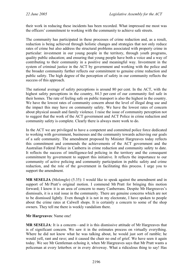their work in reducing these incidents has been recorded. What impressed me most was the officers' commitment to working with the community to achieve safe streets.

The community has participated in these processes of crime reduction and, as a result, reduction is being achieved through holistic changes and strategies that not only reduce rates of crime but also address the structural problems associated with property crime in particular: investment in our young people in the territory, through youth programs, quality public education; and ensuring that young people have both a voice and a way of contributing to their community in a positive and meaningful way. Investment in the system of criminal justice in the ACT by government and working with the police and the broader community further reflects our commitment to genuine crime reduction and public safety. The high degree of the perception of safety in our community reflects the success of this approach.

The national average of safety perceptions is around 80 per cent. In the ACT, with the highest safety perceptions in the country, 84.3 per cent of our community feel safe in their homes. The rate of feeling safe on public transport is also the highest in the country. We have the lowest rates of community concern about the level of illegal drug use and the impact this may have on community safety. We have the lowest rates of concern about physical assault and family violence. I raise the issue of community perception not to suggest that the work of the ACT government and ACT Police in crime reduction and community safety is complete. Clearly there is always more work to do.

In the ACT we are privileged to have a competent and committed police force dedicated to working with government, businesses and the community towards achieving our goals of a safe community. The amendment proposed by Minister Hargreaves today reflects this commitment and commends the achievements of the ACT government and the Australian Federal Police in Canberra in crime reduction and community safety to date. It reflects the success of intelligence-led policing in the territory and the consequent commitment by government to support this initiative. It reflects the importance to our community of active policing and community participation in public safety and crime reduction, and the role of the government in facilitating this process. I urge you to support the amendment.

**MR SESELJA** (Molonglo) (5.35): I would like to speak against the amendment and in support of Mr Pratt's original motion. I commend Mr Pratt for bringing this motion forward; I know it is an area of concern to many Canberrans. Despite Mr Hargreaves's dismissals, it is a real issue in the community. There are genuine concerns which are not to be dismissed lightly. Even though it is not in my electorate, I have spoken to people about the crime rates at Calwell shops. It is certainly a concern to some of the shop owners. They tell me there is weekly vandalism there.

### **Mr Hargreaves**: Name one!

**MR SESELJA**: It is a concern—and it is this dismissive attitude of Mr Hargreaves that is of significant concern. We saw it in the estimates process on virtually everything. Where he did not know what he was talking about, he would just sort of ramble; he would yell, rant and rave; and it caused the chair no end of grief. We have seen it again today. We see Mr Gentleman echoing it, when Mr Hargreaves says that Mr Pratt wants a policeman at every letterbox or in every driveway. What a ridiculous thing to say! Has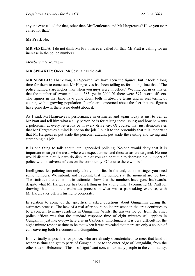anyone ever called for that, other than Mr Gentleman and Mr Hargreaves? Have you ever called for that?

**Mr Pratt**: No.

**MR SESELJA**: I do not think Mr Pratt has ever called for that. Mr Pratt is calling for an increase in the police numbers.

*Members interjecting—* 

**MR SPEAKER**: Order! Mr Seselja has the call.

**MR SESELJA**: Thank you, Mr Speaker. We have seen the figures, but it took a long time for them to come out. Mr Hargreaves has been telling us for a long time that, "The police numbers are higher than when you guys were in office." We find out in estimates that the number of sworn police is 583, yet in 2000-01 there were 597 sworn officers. The figures in that time have gone down both in absolute terms and in real terms, of course, with a growing population. People are concerned about the fact that the figures have gone down; there is no doubt about it.

As I said, Mr Hargreaves's performance in estimates and again today is just to yell at Mr Pratt and tell him what a silly person he is for raising these issues; and how he wants a policeman at every letterbox or in every driveway. Of course, that just demonstrates that Mr Hargreaves's mind is not on the job. I put it to the Assembly that it is important that Mr Hargreaves put aside the personal attacks, put aside the ranting and raving and start doing his job.

It is one thing to talk about intelligence-led policing. No-one would deny that it is important to target the areas where we expect crime, and those areas are targeted. No-one would dispute that, but we do dispute that you can continue to decrease the numbers of police with no adverse effects on the community. Of course there will be!

Intelligence-led policing can only take you so far. In the end, at some stage, you need some numbers. We submit, and I submit, that the numbers at the moment are too low. The statistics that came out in estimates show that the numbers have gone backwards, despite what Mr Hargreaves has been telling us for a long time. I commend Mr Pratt for drawing that out in the estimates process in what was a painstaking exercise, with Mr Hargreaves often refusing to cooperate.

In relation to some of the specifics, I asked questions about Gungahlin during the estimates process. The lack of a real after hours police presence in the area continues to be a concern to many residents in Gungahlin. Whilst the answer we got from the chief police officer was that the standard response time of eight minutes still applies in Gungahlin, just like everywhere else in Canberra, unfortunately it is very difficult for the eight-minute response time to be met when it was revealed that there are only a couple of cars covering both Belconnen and Gungahlin.

It is virtually impossible for police, who are already overstretched, to meet that kind of response time and get to parts of Gungahlin, or to the outer edge of Gungahlin, from the other side of Belconnen. This is of significant concern to many people in the community.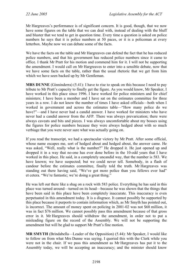Mr Hargreaves's performance is of significant concern. It is good, though, that we now have some figures on the table that we can deal with, instead of dealing with the bluff and bluster that we tend to get in question time. Every time a question is asked on police numbers he says that it is police numbers at 50 paces, or it is a policeman at every letterbox. Maybe now we can debate some of the facts.

We have the facts on the table and Mr Hargreaves can defend the fact that he has reduced police numbers, and that his government has reduced police numbers since it came to office. I thank Mr Pratt for his motion and commend him for it. I will not be supporting the amendment. I would call on Mr Hargreaves to enter into a sensible debate, now that we have some facts on the table, rather than the usual rhetoric that we get from him which we have seen backed up by Mr Gentleman.

**MRS DUNNE** (Ginninderra) (5.41): I have to rise to speak on this because I need to pay tribute to Mr Pratt's capacity to finally get the figure. As you would know, Mr Speaker, I have worked in this place since 1996. I have worked for police ministers and for chief ministers; I have been a member and I have sat on the estimates committee for three years in a row. I do not know the number of times I have asked officials—both when I worked in government and across the estimates table—"How many police do we have?"—and I have never had a candid answer. I have worked for ministers who have never had a candid answer from the AFP. There was always prevarication; there were always caveats and bits and pieces. I was always uncomfortable about my bosses using the figures for police numbers because they were always hedged about with so much verbiage that you were never sure what was actually going on.

If you read the transcript, we had a spectacular victory by Mr Pratt. After some official, whose name escapes me, sort of hedged about and hedged about, the answer came. He was asked, "Well, really what is the number?" He dropped it. He just opened up and dropped it in a way that no-one has ever done before in the 10-odd years that I have worked in this place. He said, in a completely uncandid way, that the number is 583. We have known; we have suspected; but we could never tell. Somebody, in a flash of candour before the estimates committee, finally told the truth. Mr Hargreaves was standing out there having said, "We've got more police than you fellows ever had" et cetera. "We're fantastic; we're doing a great thing."

He was left out there like a shag on a rock with 583 police. Everything he has said in this place was turned around—turned on its head—because he was shown that the things that have been said in this place have been completely inaccurate. This inaccuracy is even perpetuated in this amendment today. It is a disgrace. It cannot possibly be supported by this place because it purports to contain information which, as Mr Smyth has pointed out, is incorrect. The amount of money spent on policing in 2001-02 was not \$68 million, it was in fact \$76 million. We cannot possibly pass this amendment because of that gross error in it. Mr Hargreaves should withdraw the amendment, in order not to put a misleading figure on the record of the Assembly. We will not be supporting the amendment but will be glad to support Mr Pratt's fine motion.

**MR SMYTH** (Brindabella—Leader of the Opposition) (5.44): Mr Speaker, I would like to follow on from what Mrs Dunne was saying. I queried this with the Clerk while you were not in the chair. If we pass this amendment as Mr Hargreaves has put it to the Assembly today, we will be accepting an inaccuracy; and the minister should know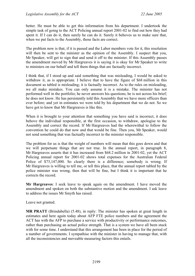better. He must be able to get this information from his department. I undertook the simple task of going to the ACT Policing annual report 2001-02 to find out how they had spent it. If I can do it, then surely he can do it. Surely it behoves us to make sure that, when we put facts to the Assembly, those facts are correct.

The problem now is that, if it is passed and the Labor members vote for it, this resolution will then be sent to the minister as the opinion of the Assembly. I suspect that you, Mr Speaker, will get to sign that and send it off to the minister. If this Assembly passes the amendment moved by Mr Hargreaves it is saying it is okay for Mr Speaker to write to ministers on our behalf and tell them things that are factually incorrect.

I think that, if I stood up and said something that was misleading, I would be asked to withdraw it, as is appropriate. I believe that to have the figure of \$68 million in this document as tabled is misleading; it is factually incorrect. As to the rules on misleading, we all make mistakes. You can only assume it is a mistake. The minister has not performed well in the portfolio; he never answers his questions; he is not across his brief; he does not know. He has persistently told this Assembly that we have more officers than ever before; and yet in estimates we were told by his department that we do not. So we have got to know that Mr Hargreaves is like this.

When it is brought to your attention that something you have said is incorrect, it does behove the individual responsible, at the first occasion, to withdraw, apologise to the Assembly and correct the record. If Mr Hargreaves had the wherewithal to follow the convention he could do that now and that would be fine. Then you, Mr Speaker, would not send something that was factually incorrect to the minister responsible.

The problem for us is that the weight of numbers will mean that this goes down and that we will perpetuate things that are not true. In the annual report, in paragraph 8, Mr Hargreaves asserts that it has increased from \$68.2 million in 2001-02, yet the ACT Policing annual report for 2001-02 shows total expenses for the Australian Federal Police of \$73,147,000. So clearly there is a difference; somebody is wrong. If Mr Hargreaves is willing to tell me, or tell this place, that the annual report tabled by the police minister was wrong, then that will be fine, but I think it is important that he corrects the record.

**Mr Hargreaves**: I seek leave to speak again on the amendment. I have moved the amendment and spoken on both the substantive motion and the amendment. I ask leave to address the issues Mr Smyth has raised.

Leave not granted.

**MR PRATT** (Brindabella) (5.48), in reply: The minister has spoken at great length in estimates and here again today about AFP FTE police numbers and the agreement the ACT has with the AFP to purchase a service with productivity or performance outcomes, rather than purchasing an actual police strength. That is a system we have all been stuck with for some time. I understand that this arrangement has been in place for the period of a number of governments. I sympathise with the minister in having to manage that, with all the inconsistencies and moveable measuring factors this entails.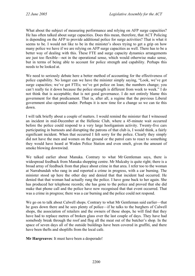What about the subject of measuring performance and relying on AFP surge capacities? He has often talked about surge capacities. Does this mean, therefore, that ACT Policing is depending on the AFP to provide additional police for surge activities? That is what it seems to be. I would not like to be in the minister's shoes trying to get a grip on how many police we have if we are relying on AFP surge capacities as well. There has to be a better way of dealing with this. These FTE and surge capacity dynamics arrangements are just too flexible—not in the operational sense, which would otherwise make sense, but in terms of being able to account for police strength and capability. Perhaps this needs to be looked at.

We need to seriously debate here a better method of accounting for the effectiveness of police capability. No longer can we have the minister simply saying, "Look, we've got surge capacities; we've got FTEs; we've got police on loan; the numbers change; you can't really tie it down because the police strength is different from week to week." I do not think that is acceptable; that is not good governance. I do not entirely blame this government for that predicament. That is, after all, a regime that the previous Liberal government also operated under. Perhaps it is now time for a change so we can tie this down.

I will talk briefly about a couple of matters. I would remind the minister that I witnessed an incident in mid-December at the Hellenic Club, where a 45-minute wait occurred before the police could respond to a very large hooliganism activity. Twenty-five cars participating in burnouts and disrupting the patrons of that club is, I would think, a fairly significant incident. When that occurred I felt sorry for the police. Clearly they simply did not have the men and women on the ground or the patrol cars to react to something they would have heard at Woden Police Station and even smelt, given the amount of smoke blowing downwind.

We talked earlier about Manuka. Contrary to what Mr Gentleman says, there is widespread feedback from Manuka shopping centre. Mr Mulcahy is quite right; there is a broad array of feedback from that place about crime in that area. I refer too to the woman at Narrabundah who rang in and reported a crime in progress, with a car burning. The minister stood up here the other day and denied that that incident had occurred. He denied that that woman had actually rung the police. I have gone back to her again. She has produced her telephone records; she has gone to the police and proved that she did make that phone call and the police have now recognised that that event occurred. That was a crime in progress; there was a car burning and the police could not respond.

We go on to talk about Calwell shops. Contrary to what Mr Gentleman said earlier—that he goes down there and he sees plenty of police—if he talks to the burghers of Calwell shops, the association of retailers and the owners of those shops, he will find that they have had to replace metres of broken glass over the last couple of days. They have had somebody break through the roof and flog all the meat out of the butcher's shop. In the space of seven days all of the outside buildings have been covered in graffiti, and there have been thefts and shoplifts from the local cafe.

**Mr Hargreaves**: It must have been a desperado!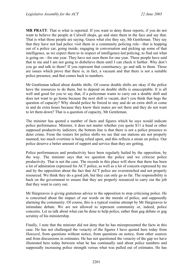**MR PRATT**: That is what is reported. If you want to deny those reports, if you do not want to believe the people at Calwell shops, go and stare them in the face and say that. That is what those people are saying. Guess what else they say, Mr Gentleman. They say that they have not had police visit them in a community policing role—that is hopping out of a police car, going inside, engaging in conversation and picking up some of that intelligence, as we expect them to in respect of intelligence-led policing, to find out what is going on—for one year. They have not seen them for one year. These people have said that to me and I am not going to disbelieve them until I can check it further. Why don't you go and talk to them? If you represent that constituency, go and talk to them. Those are issues which prove that there is, in fact, a vacuum and that there is not a suitable police presence; and that comes back to numbers.

Mr Gentleman talked about double shifts. Of course double shifts are okay if the police have the resources to do them, but to depend on double shifts is unacceptable. It is all well and good for you to say that, if a policeman wants to carry out a double shift and does not want to go home because the next shift is vacant, don't you think that begs the question of capacity? Why should police be forced to stay and do an extra shift or come in and do extra hours because they know their mates are not there and they do not want to let them down? That is a question of capacity, Mr Gentleman.

The minister has quoted a number of facts and figures which he says would indicate police performance. Minister, it does not matter whether you quote \$11 a head or other supposed productivity indictors; the bottom line is that there is not a police presence to deter crime. From the rosters for police shifts we see that our stations are not properly manned; too much overtime is being relied upon, and this reflects a strain on police. Our police deserve a better amount of support and service than they are getting.

Police performances and productivity have been regularly hailed by the opposition, by the way. The minister says that we question the police and we criticise police productivity. That is not the case. The records in this place will show that there has been a lot of admiration expressed for ACT police, as well as a lot of concern expressed by me and by the opposition about the fact that ACT police are overstretched and not properly resourced. We think they do a good job, but they can only go so far. The responsibility is back on the government to ensure that they are properly resourced to carry out the job that they want to carry out.

Mr Hargreaves is giving gratuitous advice to the opposition to stop criticising police. He is concerned about the impact of our words on the morale of police, and supposedly alarming the community. Of course, this is a typical routine attempt by Mr Hargreaves to intimidate debate. We are not allowed to represent community or, indeed, police concerns. Let us talk about what can be done to help police, rather than gag debate or gag scrutiny of his ministership.

Finally, I note that the minister did not deny that he has misrepresented the facts in this case. He has not challenged the veracity of the figures I have quoted here today from *Hansard*, from questions without notice, from questions on notice, from other sources and from discussions in estimates. He has not questioned the veracity of the gap we have illustrated here today between what he has continually said about police numbers and supposedly increasing police strength versus what was pulled out of estimates. He has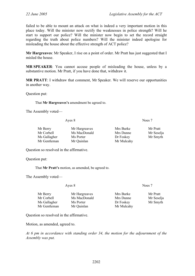failed to be able to mount an attack on what is indeed a very important motion in this place today. Will the minister now rectify the weaknesses in police strength? Will he start to support our police? Will the minister now begin to set the record straight regarding the truth about police numbers? Will the minister indeed apologise for misleading the house about the effective strength of ACT police?

**Mr Hargreaves**: Mr Speaker, I rise on a point of order. Mr Pratt has just suggested that I misled the house.

**MR SPEAKER**: You cannot accuse people of misleading the house, unless by a substantive motion. Mr Pratt, if you have done that, withdraw it.

**MR PRATT**: I withdraw that comment, Mr Speaker. We will reserve our opportunities in another way.

Question put:

That **Mr Hargreaves's** amendment be agreed to.

The Assembly voted—

| Ayes 8       |               | Noes 7     |            |
|--------------|---------------|------------|------------|
| Mr Berry     | Mr Hargreaves | Mrs Burke  | Mr Pratt   |
| Mr Corbell   | Ms MacDonald  | Mrs Dunne  | Mr Seselja |
| Ms Gallagher | Ms Porter     | Dr Foskey  | Mr Smyth   |
| Mr Gentleman | Mr Quinlan    | Mr Mulcahy |            |

Question so resolved in the affirmative.

Question put:

That **Mr Pratt's** motion, as amended, be agreed to.

The Assembly voted—

Ayes 8 Noes 7

| Mr Berry     | Mr Hargreaves | Mrs Burke  | Mr Pratt   |
|--------------|---------------|------------|------------|
| Mr Corbell   | Ms MacDonald  | Mrs Dunne  | Mr Seselja |
| Ms Gallagher | Ms Porter     | Dr Foskey  | Mr Smyth   |
| Mr Gentleman | Mr Quinlan    | Mr Mulcahy |            |

Question so resolved in the affirmative.

Motion, as amended, agreed to.

*At 6 pm in accordance with standing order 34, the motion for the adjournment of the Assembly was put.*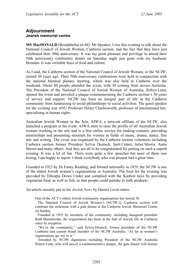# **Adjournment Jewish memorial centre**

**MS MacDONALD** (Brindabella) (6.04): Mr Speaker, I rise this evening to talk about the National Council of Jewish Women, Canberra section, and the fact that they have just celebrated their 50th anniversary. It was my great pleasure and privilege to attend their 50th anniversary celebratory dinner on Saturday night just gone with my husband, Brendan. It was veritable feast of food and culture.

As I said, the Canberra section of the National Council of Jewish Women, or the NCJW, started 50 years ago. Their 50th anniversary celebrations were held in conjunction with the national biennial plenary meeting, which was also held in Canberra over the weekend. About 80 people attended the event, with 30 coming from across Australia. The President of the National Council of Jewish Women of Australia, Robyn Lenn, opened the event and unveiled a plaque commemorating the Canberra section's 50 years of service and support. NCJW has been an integral part of life in the Canberra community from fundraising to social philanthropy to social activities. The guest speaker for the evening was ANU Professor Hilary Charlesworth, professor of international law, specialising in human rights.

Australian Jewish Women in the Arts, AJWA, a network affiliate of the NCJW, also launched a program at the event. AJWA aims to raise the profile of all Australian Jewish women working in the arts and is a free online service for making contacts, providing mentorships and presenting seminars for women in fields of music, drama, dance, fine arts and writing. The event was organised by the Canberra section volunteers including Canberra section former President Sylvia Deutsch, Sarit Cohen, Juliet Morris, Anita Shroot and many others. And they are all to be congratulated for putting on such a superb evening. It was a lot of fun. There were quite a few speeches but none of them was boring, I am happy to report. I think everybody who was present had a great time.

Founded in 1923 by Dr Fanny Reading, and formed nationally in 1929, the NCJW is one of the oldest Jewish women's organisations in Australia. The food for the evening was provided by Ethiopia Down Under and complied with the Kashrut laws by providing vegetarian food, as well as fish, so that people could partake in milk products.

An article recently put in the *Jewish News* by Darren Levin states:

One of the ACT's oldest Jewish community organisations has turned 50.

The National Council of Jewish Women's (NCJW's), Canberra section will celebrate the milestone with a gala dinner at the Canberra Jewish Memorial Centre on Sunday.

Founded in 1955 by members of the community, including inaugural president Ruth Mendelsohn, the organisation has been at the hub of Jewish life in Canberra since its inception.

"We're the community," said Sylvia Deutsch, former president of the NCJW Canberra and current board member of the NCJW Australia. "As far as women's organisations go, we're it."

Attended by NCJW dignitaries including President of the NCJW Australia Robyn Lenn, who will unveil a commemorative plaque, the gala dinner will feature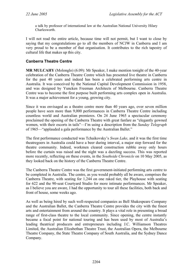a talk by professor of international law at the Australian National University Hilary **Charlesworth** 

I will not read the entire article, because time will not permit, but I want to close by saying that my congratulations go to all the members of NCJW in Canberra and I am very proud to be a member of that organisation. It contributes to the rich tapestry of cultural life that makes up this city.

# **Canberra Theatre Centre**

**MR MULCAHY** (Molonglo) (6.09): Mr Speaker, I make mention tonight of the 40-year celebration of the Canberra Theatre Centre which has presented live theatre in Canberra for the past 40 years and indeed has been a celebrated performing arts centre in Australia. It was conceived by the National Capital Development Commission in 1958, and was designed by Yuncken Freeman Architects of Melbourne. Canberra Theatre Centre was to become the first purpose built performing arts complex open in Australia. It was a major achievement for a young, growing city.

Since it was envisaged as a theatre centre more than 40 years ago, over seven million people have seen more than 9,000 performances in Canberra Theatre Centre including countless world and Australian premieres. On 24 June 1965 a spectacular ceremony proclaimed the opening of the Canberra Theatre with great fanfare as "elegantly gowned women, with their escorts in tails"—I'm using a description from the *Sunday Telegraph* of 1965—"applauded a gala performance by the Australian Ballet."

The first performance conducted was Tchaikovsky's *Swan Lake*, and it was the first time theatregoers in Australia could have a beer during interval, a major step forward for the theatre community. Indeed, workmen cleared construction rubble away only hours before the curtain was raised and the night was a dazzling success. This was reported more recently, reflecting on these events, in the *Southside Chronicle* on 10 May 2005, as they looked back on the history of the Canberra Theatre Centre.

The Canberra Theatre Centre was the first government-initiated performing arts centre to be completed in Australia. The centre, as you would probably all be aware, comprises the Canberra Theatre, with seating for 1,244 on one raked tier, the Playhouse with seating for 622 and the 90-seat Courtyard Studio for more intimate performances. Mr Speaker, as I believe you are aware, I had the opportunity to tour all these facilities, both back and front of house, some weeks ago.

As well as being hired by such well-respected companies as Bell Shakespeare Company and the Australian Ballet, the Canberra Theatre Centre provides the city with the finest arts and entertainment from around the country. It plays a vital role in presenting a broad range of first-class theatre to the local community. Since opening, the centre instantly became a focal point for national touring and has been used by most of Australia's leading theatrical producers and entrepreneurs including J.C. Williamson Theatres Limited, the Australian Elizabethan Theatre Trust, the Australian Opera, the Melbourne Theatre Company, the State Theatre Company of South Australia, and the Sydney Dance Company.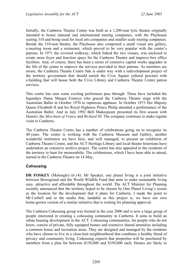Initially, the Canberra Theatre Centre was built as a 1,200-seat lyric theatre originally intended to house national and international touring companies, with the Playhouse seating 310 and being used for local arts companies and smaller scale touring companies. Beside the 310-seat theatre, the Playhouse also comprised a small visual arts gallery, a meeting room and a restaurant, which proved to be very popular with the centre's patrons. In 1971 the covered walkway, which linked the two venues, was enclosed to create more foyer and function space for the Canberra Theatre and improve box office facilities. And, of course, there has been a series of extensive capital works upgrades in the life of the centre to improve the services provided to their patrons. As members are aware, the Canberra Theatre Centre link is under way with a redevelopment project of the territory government that should enrich the Civic Square cultural precinct with a building that will house both the Civic Library and Canberra Theatre Centre patron services.

This centre has seen some exciting performers pass through. These have included the legendary Dame Margot Fonteyn who graced the Canberra Theatre stage with the Australian Ballet in October 1970 to rapturous applause. In October 1973 Her Majesty Queen Elizabeth II and his Royal Highness Prince Philip attended a performance of the Australian Ballet. And in July 1992 Bell Shakespeare presented its first season with *Hamlet*, the *Merchant of Venice* and *Richard III*. The company continues to make regular visits to Canberra.

The Canberra Theatre Centre has a number of celebrations going on to recognise its 40 years. The centre is working with the Canberra Museum and Gallery, another wonderful institution we have here, and well managed, to present an exhibition of Canberra Theatre Centre, and the ACT Heritage Library and local theatre historians have undertaken an extensive archive project. The centre has also appealed to the residents of the territory to hunt for memorabilia. The celebrations, which I have been able to attend, started in the Canberra Theatre on 14 May.

# **Cohousing**

**DR FOSKEY** (Molonglo) (6.14): Mr Speaker, one planet living is a joint initiative between Bioregional and the World Wildlife Fund that aims to make sustainable living easy, attractive and affordable throughout the world. The ACT Minister for Planning recently announced that the territory hoped to be chosen by One Planet Living's scouts as the location for the development that it plans for Canberra. I made the point to Mr Corbell and to the media that, laudable as this project is, we have our own home-grown version of a similar initiative that is waiting for planning approval.

The Canberra Cohousing group was formed in the year 2000 and is now a large group of people interested in creating a cohousing community in Canberra. It aims to build an urban housing development in the ACT. Cohousing communities, for people who do not know, consist of private, fully equipped homes and extensive shared amenities including a common house and recreation areas. They are designed and managed by the residents who have chosen to live in a close-knit neighbourhood that combines a healthy blend of privacy and community living. Cohousing expects that properties will be purchased by members from a plan for between \$150,000 and \$350,000 each. Homes are likely to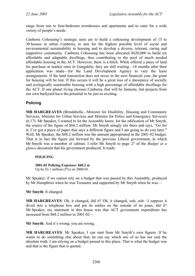range from one to four-bedroom townhouses and apartments and to cater for a wide variety of people's needs.

Canberra Cohousing's strategic aims are to build a cohousing development of 15 to 30 houses in urban Canberra, to aim for the highest possible level of social and environmental sustainability in housing and to develop a diverse, tolerant, caring and supportive community. Canberra Cohousing has been allocated \$620,000 to build six affordable and adaptable dwellings, thus contributing to the pool of much needed affordable housing in the ACT. However, there is a hitch. While offered a piece of land for purchase at market rates in Gungahlin, they are still waiting—18 months after their application was made—for the Land Development Agency to vary the lease arrangements. If the land transaction does not occur in the next financial year, the grant for housing will be lost. If this occurs it will be a great loss of a showpiece of socially and ecologically sustainable housing with a high percentage of affordable dwellings for the ACT. If one planet living chooses Canberra, that will be fantastic, but projects from our own backyard have the potential to be just as exciting.

# **Policing**

**MR HARGREAVES** (Brindabella—Minister for Disability, Housing and Community Services, Minister for Urban Services and Minister for Police and Emergency Services) (6.17): Mr Speaker, I wanted to let the Assembly know, for the edification of Mr Smyth, the source of the figure of \$68.2 million. Mr Smyth smugly sits there and says, "Go for it; I've got a piece of paper that says a different figure and I am going to do you later." Well, Mr Speaker, the \$68.2 million was the amount appropriated in the 2001-02 budget. That is in fact the figure put forward by the previous Liberal government, in which Mr Smyth was a member of cabinet. I refer Mr Smyth to page 27 of the *Budget at a glance* document that his government produced. It reads:

### **POLICING**

# **2001-02 Policing Expenses: \$68.2 m**

Up by \$3.1 million (5%) on 2000-01.

Mr Speaker, if we cannot rely on a budget that was passed by this Assembly, produced by Mr Humphries when he was Treasurer and supported by Mr Smyth when he was—

**Mr Smyth**: It changed.

**MR HARGREAVES**: Oh, it changed, did it? Oh, it changed, ooh, ooh—I suppose it dived into a telephone box and put its undies on the outside of its jeans, did it? Mr Speaker, my statement in this house was that ACT government expenditure has increased from \$68.2 million in 2001-02—

**Mr Smyth**: And it's wrong; you are wrong.

**MR HARGREAVES**: Mr Speaker, I can start from Mr Smyth's own figures. If he wants to do something else about that, he can say which one of us has not said the absolute truth. I am relying on a budget passed in this place. That is what the budget was and that is the figure that is quoted.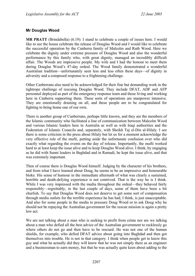## **Mr Douglas Wood**

**MR PRATT** (Brindabella) (6.19): I stand to celebrate a couple of issues here. I would like to see the house celebrate the release of Douglas Wood and I would like to celebrate the successful operation by the Canberra family of Malcolm and Ruth Wood. Here we celebrate the dignity under extreme pressure of Douglas Wood and also the wonderful performance by this family who, with great dignity, managed an incredibly difficult affair. The Woods are impressive people. My wife and I had the honour to meet them during Douglas Wood's 47-day ordeal. The Wood family demonstrated a wonderful Australian tradition—unfortunately seen less and less often these days—of dignity in adversity and a composed response to a frightening challenge.

Other Canberrans also need to be acknowledged for their fine but demanding work in the tightrope challenge of rescuing Douglas Wood. They include DFAT, ADF and AFP personnel deployed as part of the emergency response team and those living and working here in Canberra supporting them. These sorts of operations are manpower intensive. They are emotionally draining on all, and these people are to be congratulated for fighting to bring home one of our own.

There is another group of Canberrans, perhaps little known, and they are the members of the Islamic community who facilitated a line of communication between Malcolm Wood and various Islamic leaders here in Australia as well as with Iraqi authorities and the Federation of Islamic Councils and, separately, with Sheikh Taj el-Din al-Hilaly. I see there is some criticism in the press about Hilaly but let us for a moment acknowledge the very effective role of the mufti, putting aside the unfortunate confusion over who did exactly what regarding the events on the day of release. Importantly, the mufti worked hard to at least keep the issue alive and to keep Douglas Wood alive. I think, by engaging as he did with Sunni leaders in Baghdad and in Ramadi, he kept the issue alive, and that was extremely important.

Then of course there is Douglas Wood himself. Judging by the character of his brothers, and from what I have learned about Doug, he seems to be an impressive and honourable bloke. His sense of humour in the immediate aftermath of what was clearly a sustained, horrible and death-defying experience is not contrived. That is the way he is I think. While I was very impressed with the media throughout the ordeal—they behaved fairly responsibly—regrettably, in the last couple of days, some of them have been a bit churlish. To say that Douglas Wood does not deserve to get some sort of compensation through media outlets for the terrible experience he has had, I think, is just unacceptable. And also for some people in the media to pressure Doug Wood or to ask Doug why he should not be repaying the Australian government for the rescue mission is again a pretty low act.

We are not talking about a man who is seeking to profit from crime nor are we talking about a man who defied all the best advice of the Australian government to recklessly go where others do not go and then have to be rescued. He was not one of the human shields, for example, who defied DFAT advice about going into Baghdad and then got themselves into trouble. He is not in that category. I think when people get to know this guy and what he actually did they will know that he was not simply there as an engineer and a businessman to earn money, but that he was actually quite keen about adding to the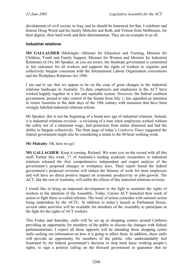development of civil society in Iraq, and he should be honoured for that. I celebrate and honour Doug Wood and his family Malcolm and Ruth, and Vernon from Melbourne, for their dignity, their hard work and their determination. They are an example to us all.

## **Industrial relations**

**MS GALLAGHER** (Molonglo—Minister for Education and Training, Minister for Children, Youth and Family Support, Minister for Women and Minister for Industrial Relations) (6.24): Mr Speaker, as you are aware, the Stanhope government is committed to fair outcomes for all workers and supports the rights of workers to organise and collectively bargain consistent with the International Labour Organisation conventions and the Workplace Relations Act 1996.

I am sad to say that we appear to be on the cusp of great changes in the industrial relations landscape in Australia. To date, employers and employees in the ACT have worked happily together in a fair and equitable system. However, the federal coalition government, poised to take control of the Senate from July 1, has signalled an intention to return Australia to the dark days of the 19th century with measures that have been wrongly labelled industrial relations reform.

Mr Speaker, this is not the beginning of a brand new age of industrial relations. Instead, it is industrial relations revision—a revisiting of a time when employees worked without the safety net of a minimum wage, had protection from unfair dismissal and had the ability to bargain collectively. The front page of today's *Canberra Times* suggested the federal government might also be considering a return to the 40-hour working week.

### **Mr Mulcahy**: Oh, here we go!

**MS GALLAGHER**: Keep it coming, Richard. We want you on the record with all this stuff. Earlier this week, 17 of Australia's leading academic researchers in industrial relations released the first comprehensive independent and expert analysis of the government's proposed changes to workplace laws. Their report found the federal government's proposed revisions will reduce the fairness of work for most employees and will have no direct positive impact on economic productivity or jobs growth. The ACT, like the rest of Australia, will suffer the effects of this industrial relations revision.

I would like to bring an important development in the fight to maintain the rights of workers to the attention of the Assembly. Today, Unions ACT launched their week of action to fight these so-called reforms. The week of action coincides with national action being undertaken by the ACTU. In addition to today's launch at Parliament House, several other activities will be available for members of the Assembly to participate in the fight for the rights of ACT workers.

This Friday and Saturday, stalls will be set up at shopping centres around Canberra providing an opportunity for members of the public to discuss the changes with federal parliamentarians. I expect all those opposite will be attending those shopping centre stalls seeking out information on how it is going to affect them. In addition, these stalls will provide an opportunity for members of the public, who understandably feel frustrated by the federal government's decision to strip back basic working people's rights, to sign a petition calling on the Howard government to guarantee that no